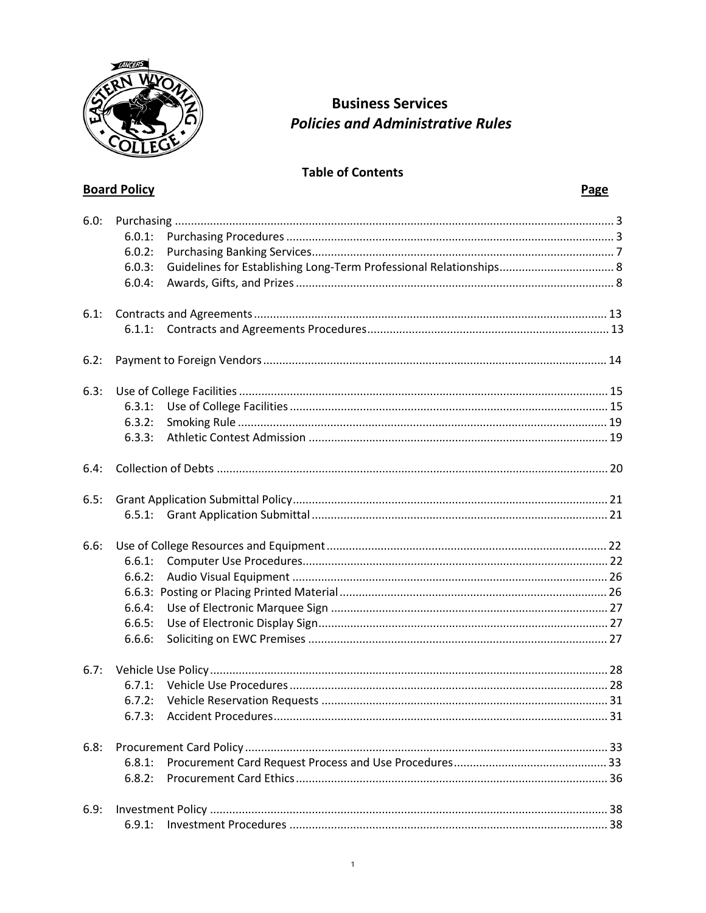

**Board Policy** 

## **Business Services Policies and Administrative Rules**

## **Table of Contents**

| 6.0: | 6.0.1:<br>6.0.2:<br>6.0.3:<br>6.0.4:           |  |  |  |  |  |
|------|------------------------------------------------|--|--|--|--|--|
| 6.1: |                                                |  |  |  |  |  |
| 6.2: |                                                |  |  |  |  |  |
| 6.3: | 6.3.1:<br>6.3.2:<br>6.3.3:                     |  |  |  |  |  |
| 6.4: |                                                |  |  |  |  |  |
| 6.5: |                                                |  |  |  |  |  |
| 6.6: | 6.6.1:<br>6.6.2:<br>6.6.4:<br>6.6.5:<br>6.6.6: |  |  |  |  |  |
| 6.7: | 6.7.1:<br>6.7.2:<br>6.7.3:                     |  |  |  |  |  |
| 6.8: | 6.8.1:<br>6.8.2:                               |  |  |  |  |  |
| 6.9: | 6.9.1:                                         |  |  |  |  |  |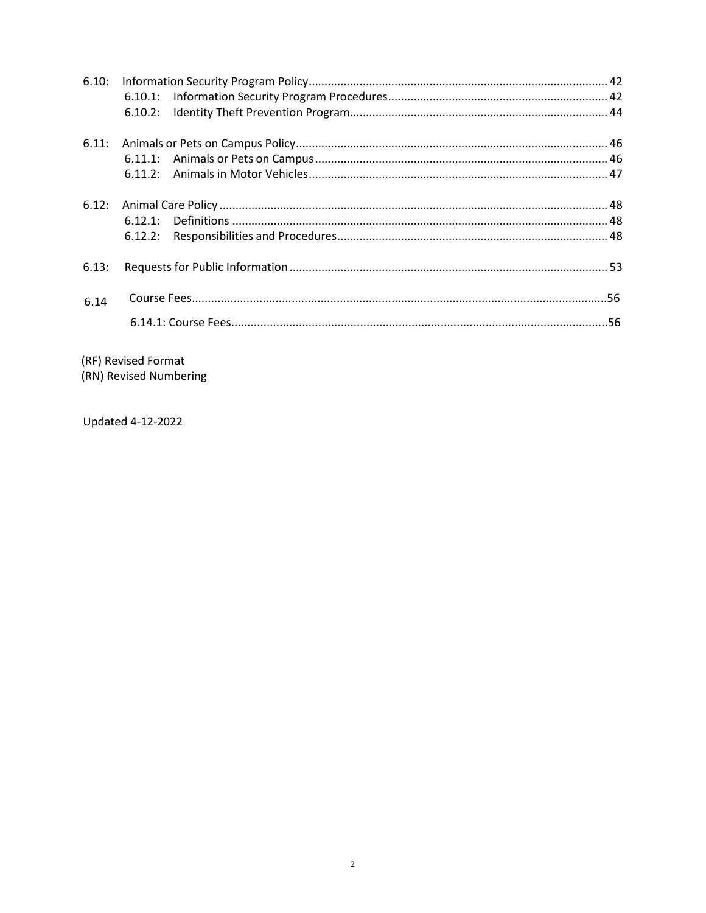|       | 6.12.2: |  |  |  |
|-------|---------|--|--|--|
| 6.13: |         |  |  |  |
| 6.14  |         |  |  |  |
|       |         |  |  |  |

(RF) Revised Format

(RN) Revised Numbering

Updated 4-12-2022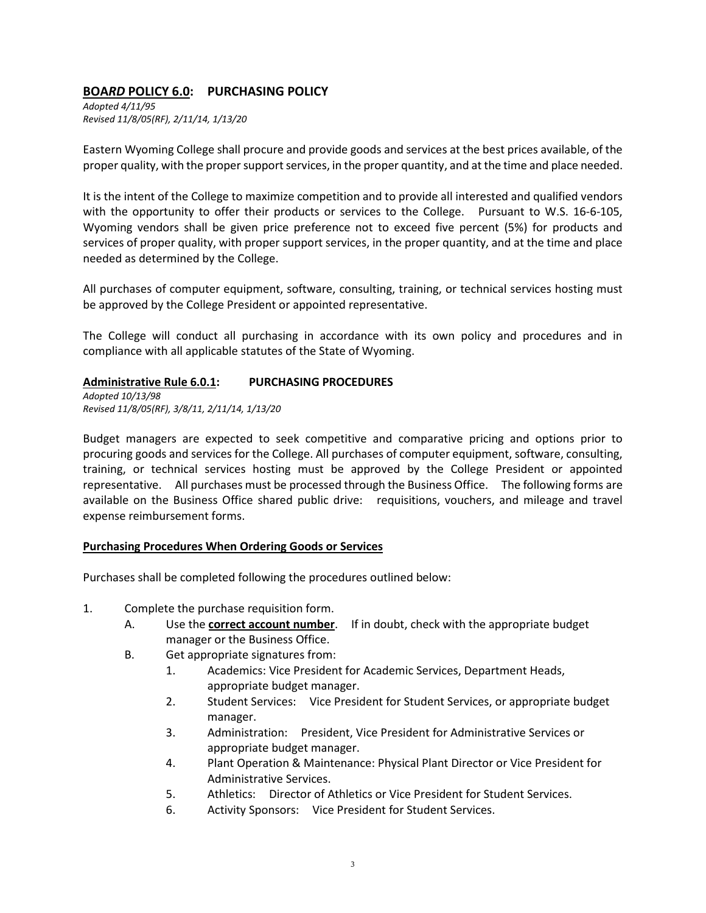## **BOA***RD* **POLICY 6.0: PURCHASING POLICY**

*Adopted 4/11/95 Revised 11/8/05(RF), 2/11/14, 1/13/20*

Eastern Wyoming College shall procure and provide goods and services at the best prices available, of the proper quality, with the proper support services, in the proper quantity, and at the time and place needed.

It is the intent of the College to maximize competition and to provide all interested and qualified vendors with the opportunity to offer their products or services to the College. Pursuant to W.S. 16-6-105, Wyoming vendors shall be given price preference not to exceed five percent (5%) for products and services of proper quality, with proper support services, in the proper quantity, and at the time and place needed as determined by the College.

All purchases of computer equipment, software, consulting, training, or technical services hosting must be approved by the College President or appointed representative.

The College will conduct all purchasing in accordance with its own policy and procedures and in compliance with all applicable statutes of the State of Wyoming.

#### **Administrative Rule 6.0.1: PURCHASING PROCEDURES**

*Adopted 10/13/98 Revised 11/8/05(RF), 3/8/11, 2/11/14, 1/13/20*

Budget managers are expected to seek competitive and comparative pricing and options prior to procuring goods and services for the College. All purchases of computer equipment, software, consulting, training, or technical services hosting must be approved by the College President or appointed representative. All purchases must be processed through the Business Office. The following forms are available on the Business Office shared public drive: requisitions, vouchers, and mileage and travel expense reimbursement forms.

#### **Purchasing Procedures When Ordering Goods or Services**

Purchases shall be completed following the procedures outlined below:

- 1. Complete the purchase requisition form.
	- A. Use the **correct account number**. If in doubt, check with the appropriate budget manager or the Business Office.
	- B. Get appropriate signatures from:
		- 1. Academics: Vice President for Academic Services, Department Heads, appropriate budget manager.
		- 2. Student Services: Vice President for Student Services, or appropriate budget manager.
		- 3. Administration: President, Vice President for Administrative Services or appropriate budget manager.
		- 4. Plant Operation & Maintenance: Physical Plant Director or Vice President for Administrative Services.
		- 5. Athletics: Director of Athletics or Vice President for Student Services.
		- 6. Activity Sponsors: Vice President for Student Services.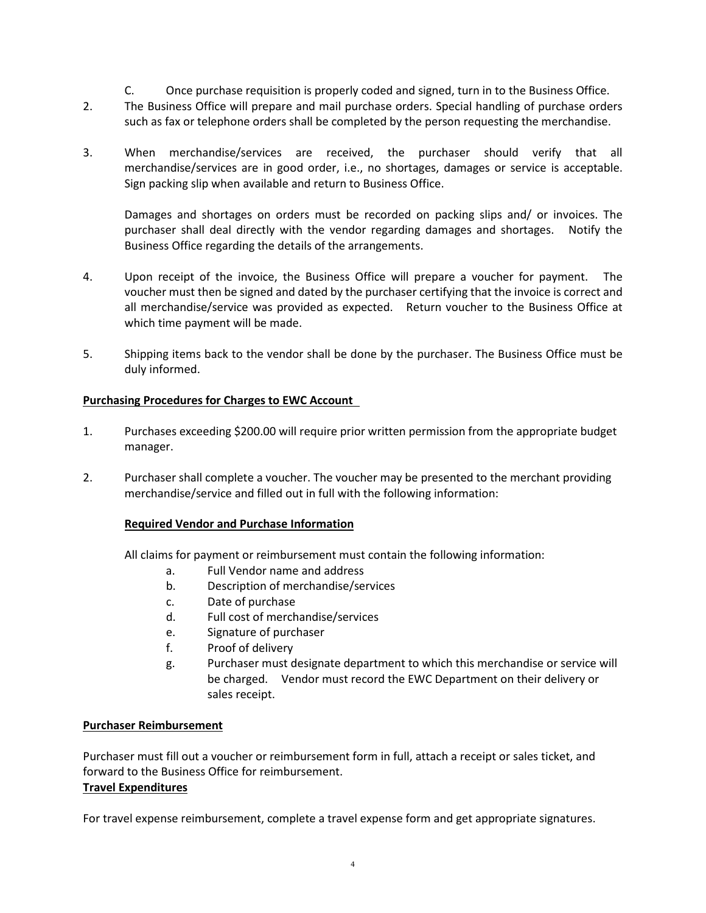- C. Once purchase requisition is properly coded and signed, turn in to the Business Office.
- 2. The Business Office will prepare and mail purchase orders. Special handling of purchase orders such as fax or telephone orders shall be completed by the person requesting the merchandise.
- 3. When merchandise/services are received, the purchaser should verify that all merchandise/services are in good order, i.e., no shortages, damages or service is acceptable. Sign packing slip when available and return to Business Office.

Damages and shortages on orders must be recorded on packing slips and/ or invoices. The purchaser shall deal directly with the vendor regarding damages and shortages. Notify the Business Office regarding the details of the arrangements.

- 4. Upon receipt of the invoice, the Business Office will prepare a voucher for payment. The voucher must then be signed and dated by the purchaser certifying that the invoice is correct and all merchandise/service was provided as expected. Return voucher to the Business Office at which time payment will be made.
- 5. Shipping items back to the vendor shall be done by the purchaser. The Business Office must be duly informed.

#### **Purchasing Procedures for Charges to EWC Account**

- 1. Purchases exceeding \$200.00 will require prior written permission from the appropriate budget manager.
- 2. Purchaser shall complete a voucher. The voucher may be presented to the merchant providing merchandise/service and filled out in full with the following information:

#### **Required Vendor and Purchase Information**

All claims for payment or reimbursement must contain the following information:

- a. Full Vendor name and address
- b. Description of merchandise/services
- c. Date of purchase
- d. Full cost of merchandise/services
- e. Signature of purchaser
- f. Proof of delivery
- g. Purchaser must designate department to which this merchandise or service will be charged. Vendor must record the EWC Department on their delivery or sales receipt.

#### **Purchaser Reimbursement**

Purchaser must fill out a voucher or reimbursement form in full, attach a receipt or sales ticket, and forward to the Business Office for reimbursement. **Travel Expenditures**

# For travel expense reimbursement, complete a travel expense form and get appropriate signatures.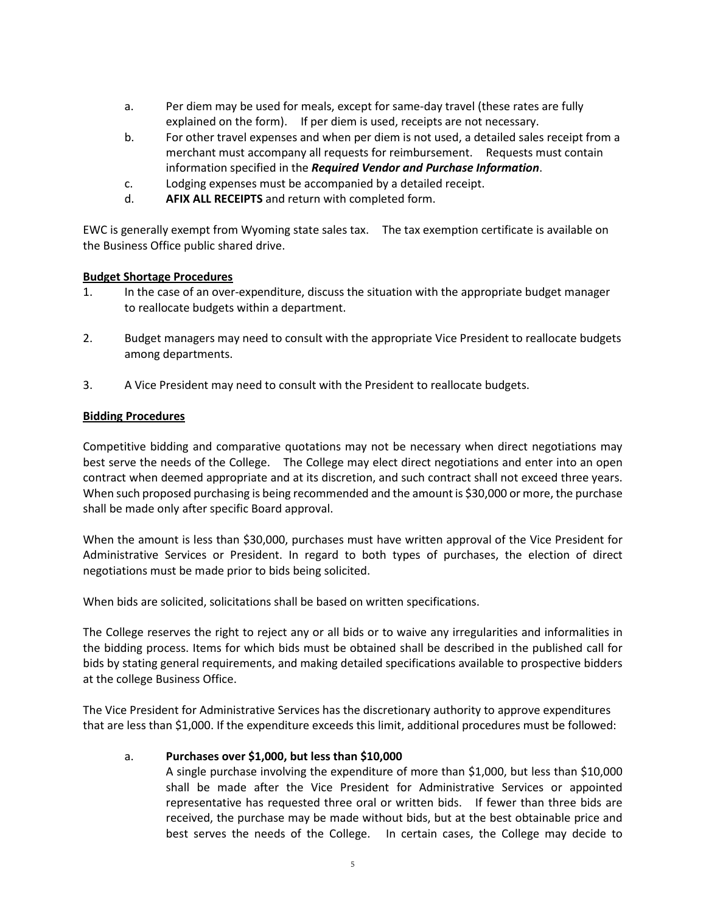- a. Per diem may be used for meals, except for same-day travel (these rates are fully explained on the form). If per diem is used, receipts are not necessary.
- b. For other travel expenses and when per diem is not used, a detailed sales receipt from a merchant must accompany all requests for reimbursement. Requests must contain information specified in the *Required Vendor and Purchase Information*.
- c. Lodging expenses must be accompanied by a detailed receipt.
- d. **AFIX ALL RECEIPTS** and return with completed form.

EWC is generally exempt from Wyoming state sales tax. The tax exemption certificate is available on the Business Office public shared drive.

#### **Budget Shortage Procedures**

- 1. In the case of an over-expenditure, discuss the situation with the appropriate budget manager to reallocate budgets within a department.
- 2. Budget managers may need to consult with the appropriate Vice President to reallocate budgets among departments.
- 3. A Vice President may need to consult with the President to reallocate budgets.

#### **Bidding Procedures**

Competitive bidding and comparative quotations may not be necessary when direct negotiations may best serve the needs of the College. The College may elect direct negotiations and enter into an open contract when deemed appropriate and at its discretion, and such contract shall not exceed three years. When such proposed purchasing is being recommended and the amount is \$30,000 or more, the purchase shall be made only after specific Board approval.

When the amount is less than \$30,000, purchases must have written approval of the Vice President for Administrative Services or President. In regard to both types of purchases, the election of direct negotiations must be made prior to bids being solicited.

When bids are solicited, solicitations shall be based on written specifications.

The College reserves the right to reject any or all bids or to waive any irregularities and informalities in the bidding process. Items for which bids must be obtained shall be described in the published call for bids by stating general requirements, and making detailed specifications available to prospective bidders at the college Business Office.

The Vice President for Administrative Services has the discretionary authority to approve expenditures that are less than \$1,000. If the expenditure exceeds this limit, additional procedures must be followed:

#### a. **Purchases over \$1,000, but less than \$10,000**

A single purchase involving the expenditure of more than \$1,000, but less than \$10,000 shall be made after the Vice President for Administrative Services or appointed representative has requested three oral or written bids. If fewer than three bids are received, the purchase may be made without bids, but at the best obtainable price and best serves the needs of the College. In certain cases, the College may decide to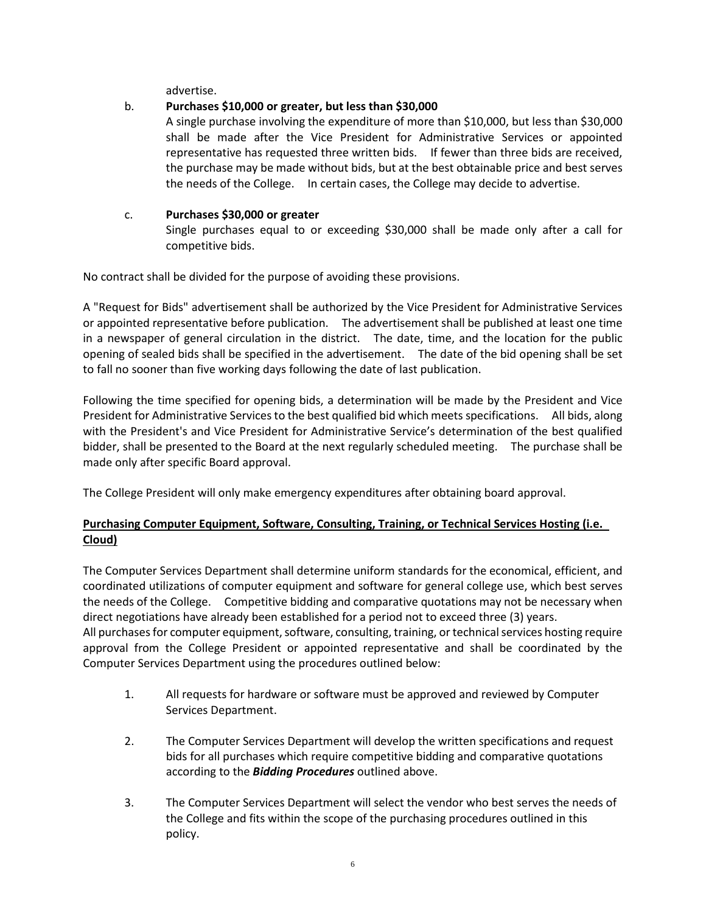advertise.

## b. **Purchases \$10,000 or greater, but less than \$30,000**

A single purchase involving the expenditure of more than \$10,000, but less than \$30,000 shall be made after the Vice President for Administrative Services or appointed representative has requested three written bids. If fewer than three bids are received, the purchase may be made without bids, but at the best obtainable price and best serves the needs of the College. In certain cases, the College may decide to advertise.

## c. **Purchases \$30,000 or greater**

Single purchases equal to or exceeding \$30,000 shall be made only after a call for competitive bids.

No contract shall be divided for the purpose of avoiding these provisions.

A "Request for Bids" advertisement shall be authorized by the Vice President for Administrative Services or appointed representative before publication. The advertisement shall be published at least one time in a newspaper of general circulation in the district. The date, time, and the location for the public opening of sealed bids shall be specified in the advertisement. The date of the bid opening shall be set to fall no sooner than five working days following the date of last publication.

Following the time specified for opening bids, a determination will be made by the President and Vice President for Administrative Services to the best qualified bid which meets specifications. All bids, along with the President's and Vice President for Administrative Service's determination of the best qualified bidder, shall be presented to the Board at the next regularly scheduled meeting. The purchase shall be made only after specific Board approval.

The College President will only make emergency expenditures after obtaining board approval.

## **Purchasing Computer Equipment, Software, Consulting, Training, or Technical Services Hosting (i.e. Cloud)**

The Computer Services Department shall determine uniform standards for the economical, efficient, and coordinated utilizations of computer equipment and software for general college use, which best serves the needs of the College. Competitive bidding and comparative quotations may not be necessary when direct negotiations have already been established for a period not to exceed three (3) years. All purchases for computer equipment, software, consulting, training, or technical services hosting require approval from the College President or appointed representative and shall be coordinated by the Computer Services Department using the procedures outlined below:

- 1. All requests for hardware or software must be approved and reviewed by Computer Services Department.
- 2. The Computer Services Department will develop the written specifications and request bids for all purchases which require competitive bidding and comparative quotations according to the *Bidding Procedures* outlined above.
- 3. The Computer Services Department will select the vendor who best serves the needs of the College and fits within the scope of the purchasing procedures outlined in this policy.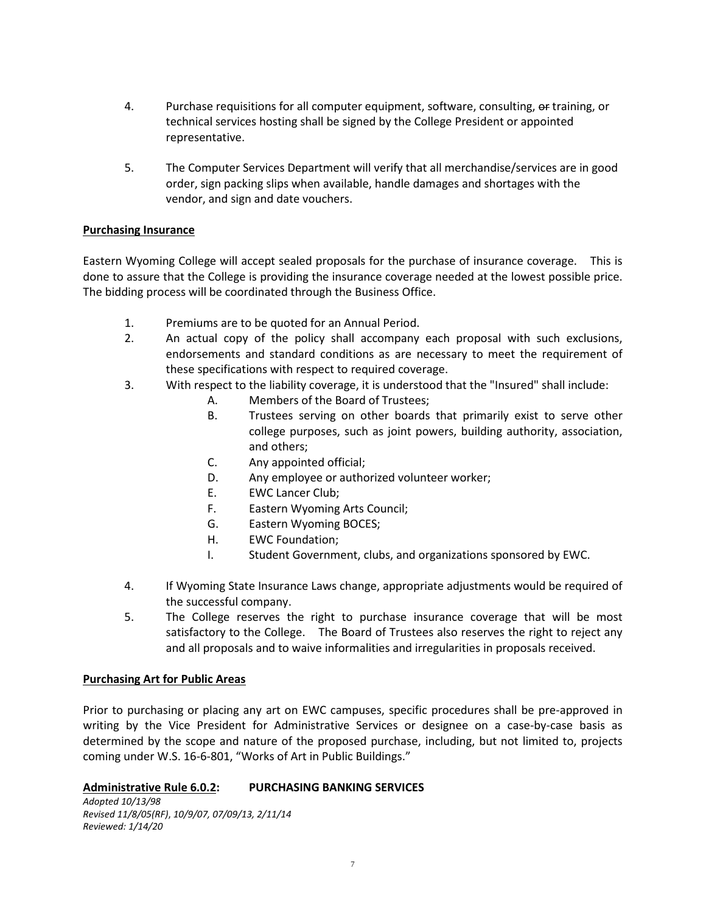- 4. Purchase requisitions for all computer equipment, software, consulting, or training, or technical services hosting shall be signed by the College President or appointed representative.
- 5. The Computer Services Department will verify that all merchandise/services are in good order, sign packing slips when available, handle damages and shortages with the vendor, and sign and date vouchers.

#### **Purchasing Insurance**

Eastern Wyoming College will accept sealed proposals for the purchase of insurance coverage. This is done to assure that the College is providing the insurance coverage needed at the lowest possible price. The bidding process will be coordinated through the Business Office.

- 1. Premiums are to be quoted for an Annual Period.
- 2. An actual copy of the policy shall accompany each proposal with such exclusions, endorsements and standard conditions as are necessary to meet the requirement of these specifications with respect to required coverage.
- 3. With respect to the liability coverage, it is understood that the "Insured" shall include:
	- A. Members of the Board of Trustees;
	- B. Trustees serving on other boards that primarily exist to serve other college purposes, such as joint powers, building authority, association, and others;
	- C. Any appointed official;
	- D. Any employee or authorized volunteer worker;
	- E. EWC Lancer Club;
	- F. Eastern Wyoming Arts Council;
	- G. Eastern Wyoming BOCES;
	- H. EWC Foundation;
	- I. Student Government, clubs, and organizations sponsored by EWC.
- 4. If Wyoming State Insurance Laws change, appropriate adjustments would be required of the successful company.
- 5. The College reserves the right to purchase insurance coverage that will be most satisfactory to the College. The Board of Trustees also reserves the right to reject any and all proposals and to waive informalities and irregularities in proposals received.

#### **Purchasing Art for Public Areas**

Prior to purchasing or placing any art on EWC campuses, specific procedures shall be pre-approved in writing by the Vice President for Administrative Services or designee on a case-by-case basis as determined by the scope and nature of the proposed purchase, including, but not limited to, projects coming under W.S. 16-6-801, "Works of Art in Public Buildings."

#### **Administrative Rule 6.0.2: PURCHASING BANKING SERVICES**

*Adopted 10/13/98 Revised 11/8/05(RF)*, *10/9/07, 07/09/13, 2/11/14 Reviewed: 1/14/20*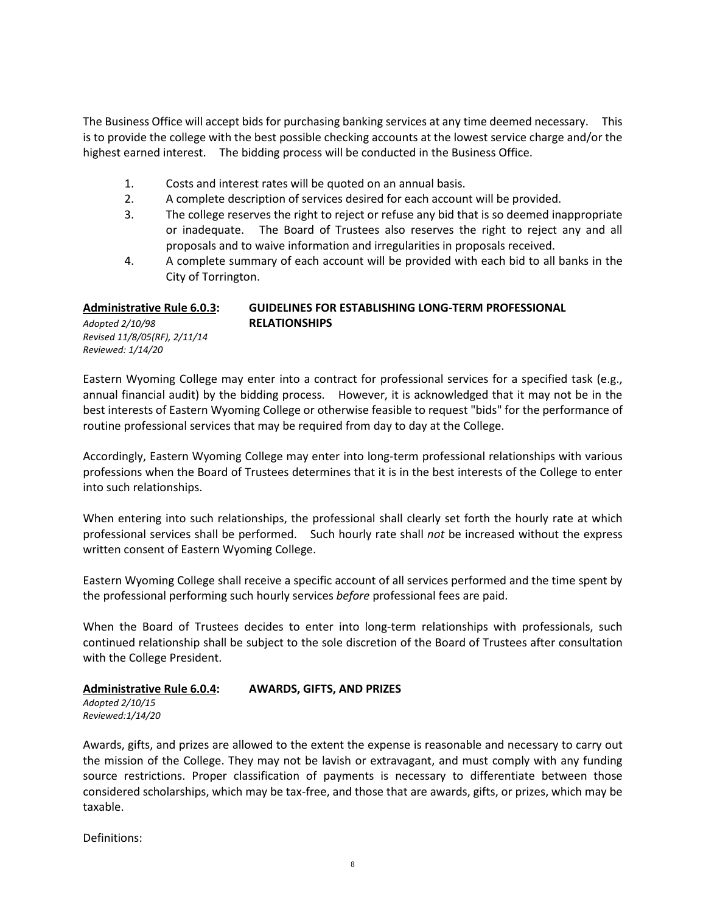The Business Office will accept bids for purchasing banking services at any time deemed necessary. This is to provide the college with the best possible checking accounts at the lowest service charge and/or the highest earned interest. The bidding process will be conducted in the Business Office.

- 1. Costs and interest rates will be quoted on an annual basis.
- 2. A complete description of services desired for each account will be provided.
- 3. The college reserves the right to reject or refuse any bid that is so deemed inappropriate or inadequate. The Board of Trustees also reserves the right to reject any and all proposals and to waive information and irregularities in proposals received.
- 4. A complete summary of each account will be provided with each bid to all banks in the City of Torrington.

#### **Administrative Rule 6.0.3: GUIDELINES FOR ESTABLISHING LONG-TERM PROFESSIONAL** *Adopted 2/10/98* **RELATIONSHIPS** *Revised 11/8/05(RF), 2/11/14*

Eastern Wyoming College may enter into a contract for professional services for a specified task (e.g., annual financial audit) by the bidding process. However, it is acknowledged that it may not be in the best interests of Eastern Wyoming College or otherwise feasible to request "bids" for the performance of routine professional services that may be required from day to day at the College.

Accordingly, Eastern Wyoming College may enter into long-term professional relationships with various professions when the Board of Trustees determines that it is in the best interests of the College to enter into such relationships.

When entering into such relationships, the professional shall clearly set forth the hourly rate at which professional services shall be performed. Such hourly rate shall *not* be increased without the express written consent of Eastern Wyoming College.

Eastern Wyoming College shall receive a specific account of all services performed and the time spent by the professional performing such hourly services *before* professional fees are paid.

When the Board of Trustees decides to enter into long-term relationships with professionals, such continued relationship shall be subject to the sole discretion of the Board of Trustees after consultation with the College President.

#### **Administrative Rule 6.0.4: AWARDS, GIFTS, AND PRIZES**

*Adopted 2/10/15 Reviewed:1/14/20*

*Reviewed: 1/14/20*

Awards, gifts, and prizes are allowed to the extent the expense is reasonable and necessary to carry out the mission of the College. They may not be lavish or extravagant, and must comply with any funding source restrictions. Proper classification of payments is necessary to differentiate between those considered scholarships, which may be tax-free, and those that are awards, gifts, or prizes, which may be taxable.

Definitions: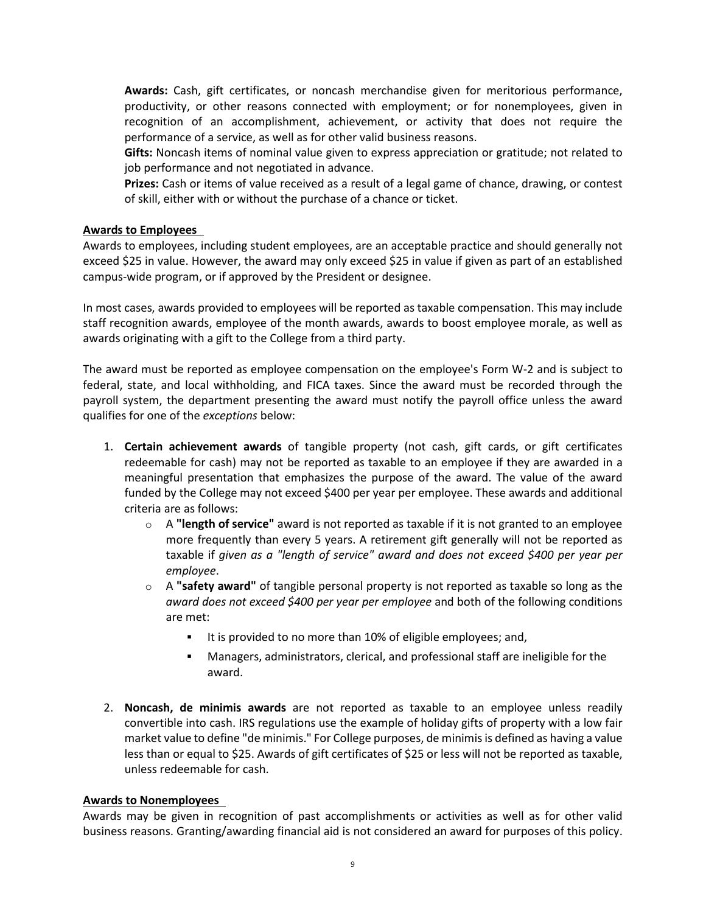**Awards:** Cash, gift certificates, or noncash merchandise given for meritorious performance, productivity, or other reasons connected with employment; or for nonemployees, given in recognition of an accomplishment, achievement, or activity that does not require the performance of a service, as well as for other valid business reasons.

**Gifts:** Noncash items of nominal value given to express appreciation or gratitude; not related to job performance and not negotiated in advance.

**Prizes:** Cash or items of value received as a result of a legal game of chance, drawing, or contest of skill, either with or without the purchase of a chance or ticket.

#### **Awards to Employees**

Awards to employees, including student employees, are an acceptable practice and should generally not exceed \$25 in value. However, the award may only exceed \$25 in value if given as part of an established campus-wide program, or if approved by the President or designee.

In most cases, awards provided to employees will be reported as taxable compensation. This may include staff recognition awards, employee of the month awards, awards to boost employee morale, as well as awards originating with a gift to the College from a third party.

The award must be reported as employee compensation on the employee's Form W-2 and is subject to federal, state, and local withholding, and FICA taxes. Since the award must be recorded through the payroll system, the department presenting the award must notify the payroll office unless the award qualifies for one of the *exceptions* below:

- 1. **Certain achievement awards** of tangible property (not cash, gift cards, or gift certificates redeemable for cash) may not be reported as taxable to an employee if they are awarded in a meaningful presentation that emphasizes the purpose of the award. The value of the award funded by the College may not exceed \$400 per year per employee. These awards and additional criteria are as follows:
	- o A **"length of service"** award is not reported as taxable if it is not granted to an employee more frequently than every 5 years. A retirement gift generally will not be reported as taxable if *given as a "length of service" award and does not exceed \$400 per year per employee*.
	- o A **"safety award"** of tangible personal property is not reported as taxable so long as the *award does not exceed \$400 per year per employee* and both of the following conditions are met:
		- It is provided to no more than 10% of eligible employees; and,
		- Managers, administrators, clerical, and professional staff are ineligible for the award.
- 2. **Noncash, de minimis awards** are not reported as taxable to an employee unless readily convertible into cash. IRS regulations use the example of holiday gifts of property with a low fair market value to define "de minimis." For College purposes, de minimis is defined as having a value less than or equal to \$25. Awards of gift certificates of \$25 or less will not be reported as taxable, unless redeemable for cash.

#### **Awards to Nonemployees**

Awards may be given in recognition of past accomplishments or activities as well as for other valid business reasons. Granting/awarding financial aid is not considered an award for purposes of this policy.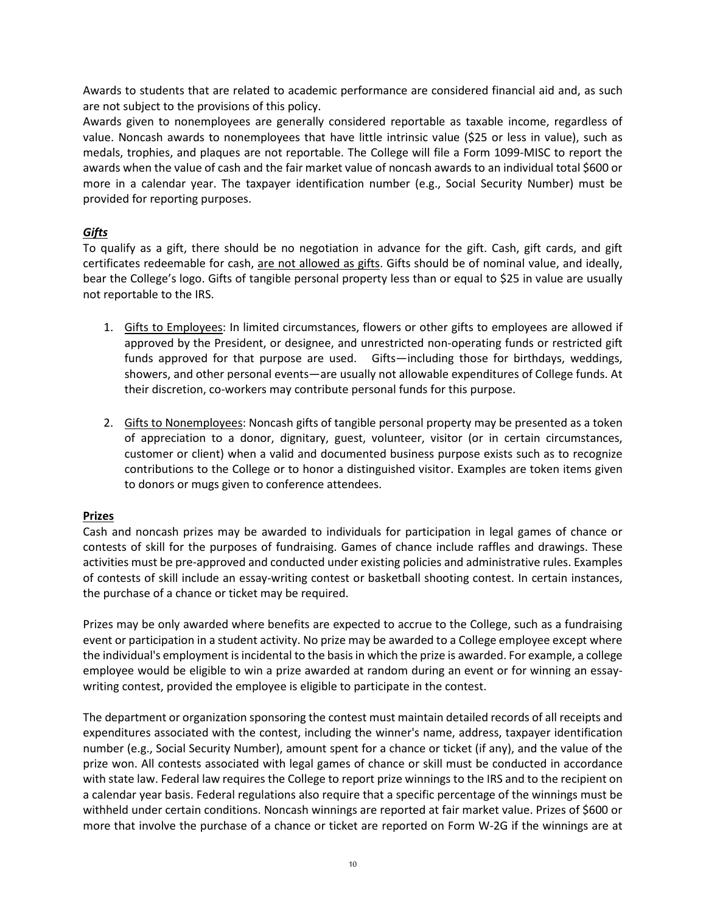Awards to students that are related to academic performance are considered financial aid and, as such are not subject to the provisions of this policy.

Awards given to nonemployees are generally considered reportable as taxable income, regardless of value. Noncash awards to nonemployees that have little intrinsic value (\$25 or less in value), such as medals, trophies, and plaques are not reportable. The College will file a Form 1099-MISC to report the awards when the value of cash and the fair market value of noncash awards to an individual total \$600 or more in a calendar year. The taxpayer identification number (e.g., Social Security Number) must be provided for reporting purposes.

#### *Gifts*

To qualify as a gift, there should be no negotiation in advance for the gift. Cash, gift cards, and gift certificates redeemable for cash, are not allowed as gifts. Gifts should be of nominal value, and ideally, bear the College's logo. Gifts of tangible personal property less than or equal to \$25 in value are usually not reportable to the IRS.

- 1. Gifts to Employees: In limited circumstances, flowers or other gifts to employees are allowed if approved by the President, or designee, and unrestricted non-operating funds or restricted gift funds approved for that purpose are used. Gifts—including those for birthdays, weddings, showers, and other personal events—are usually not allowable expenditures of College funds. At their discretion, co-workers may contribute personal funds for this purpose.
- 2. Gifts to Nonemployees: Noncash gifts of tangible personal property may be presented as a token of appreciation to a donor, dignitary, guest, volunteer, visitor (or in certain circumstances, customer or client) when a valid and documented business purpose exists such as to recognize contributions to the College or to honor a distinguished visitor. Examples are token items given to donors or mugs given to conference attendees.

## **Prizes**

Cash and noncash prizes may be awarded to individuals for participation in legal games of chance or contests of skill for the purposes of fundraising. Games of chance include raffles and drawings. These activities must be pre-approved and conducted under existing policies and administrative rules. Examples of contests of skill include an essay-writing contest or basketball shooting contest. In certain instances, the purchase of a chance or ticket may be required.

Prizes may be only awarded where benefits are expected to accrue to the College, such as a fundraising event or participation in a student activity. No prize may be awarded to a College employee except where the individual's employment is incidental to the basis in which the prize is awarded. For example, a college employee would be eligible to win a prize awarded at random during an event or for winning an essaywriting contest, provided the employee is eligible to participate in the contest.

The department or organization sponsoring the contest must maintain detailed records of all receipts and expenditures associated with the contest, including the winner's name, address, taxpayer identification number (e.g., Social Security Number), amount spent for a chance or ticket (if any), and the value of the prize won. All contests associated with legal games of chance or skill must be conducted in accordance with state law. Federal law requires the College to report prize winnings to the IRS and to the recipient on a calendar year basis. Federal regulations also require that a specific percentage of the winnings must be withheld under certain conditions. Noncash winnings are reported at fair market value. Prizes of \$600 or more that involve the purchase of a chance or ticket are reported on Form W-2G if the winnings are at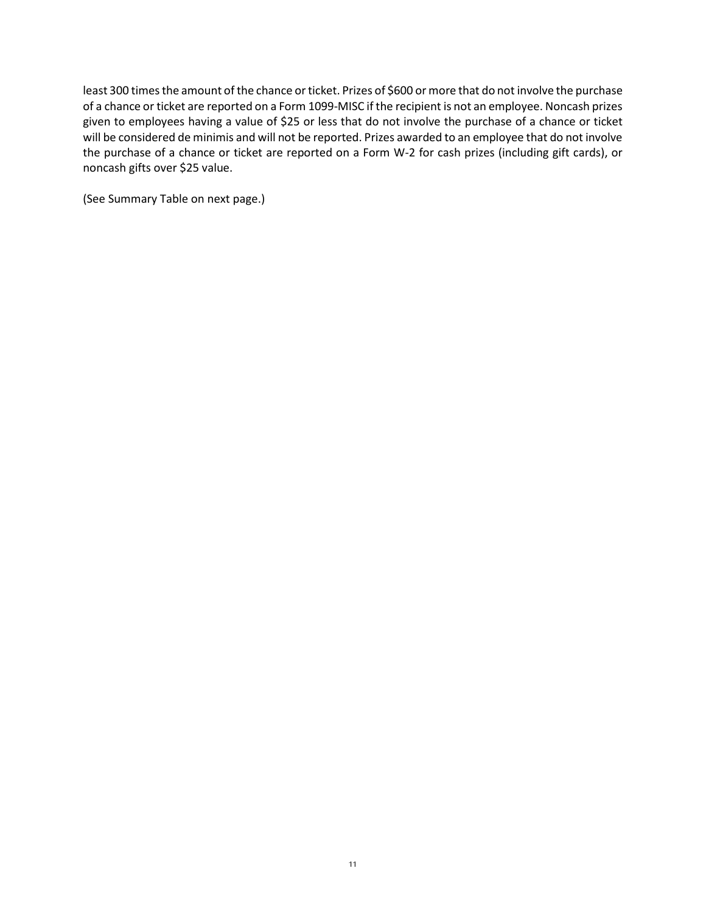least 300 times the amount of the chance or ticket. Prizes of \$600 or more that do not involve the purchase of a chance or ticket are reported on a Form 1099-MISC if the recipient is not an employee. Noncash prizes given to employees having a value of \$25 or less that do not involve the purchase of a chance or ticket will be considered de minimis and will not be reported. Prizes awarded to an employee that do not involve the purchase of a chance or ticket are reported on a Form W-2 for cash prizes (including gift cards), or noncash gifts over \$25 value.

(See Summary Table on next page.)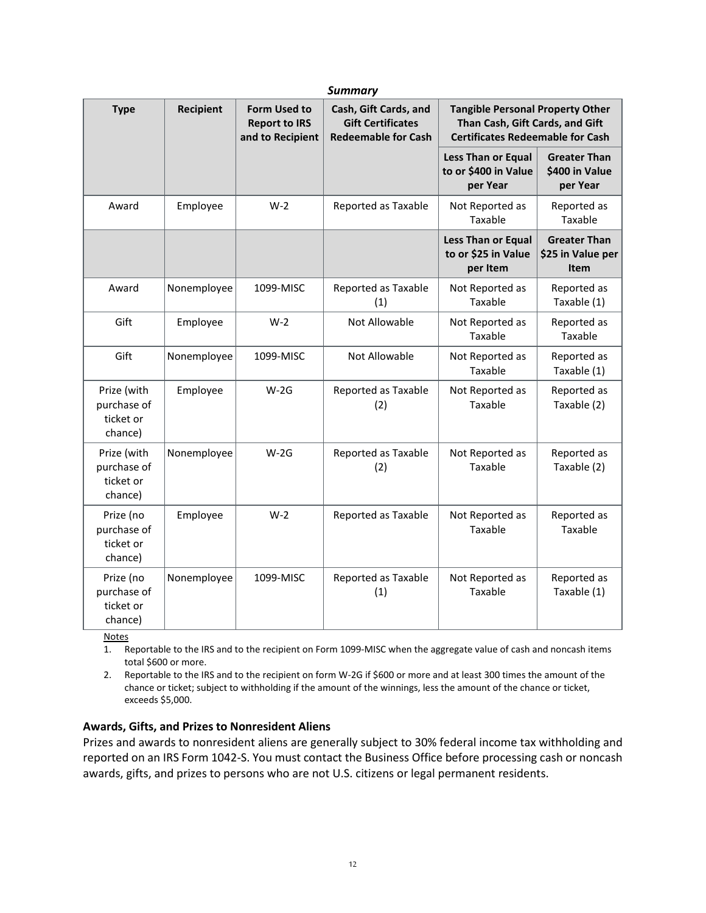| <b>Summary</b>                                     |             |                                                                 |                                                                                 |                                                                                                                       |                                                         |
|----------------------------------------------------|-------------|-----------------------------------------------------------------|---------------------------------------------------------------------------------|-----------------------------------------------------------------------------------------------------------------------|---------------------------------------------------------|
| <b>Type</b>                                        | Recipient   | <b>Form Used to</b><br><b>Report to IRS</b><br>and to Recipient | Cash, Gift Cards, and<br><b>Gift Certificates</b><br><b>Redeemable for Cash</b> | <b>Tangible Personal Property Other</b><br>Than Cash, Gift Cards, and Gift<br><b>Certificates Redeemable for Cash</b> |                                                         |
|                                                    |             |                                                                 |                                                                                 | <b>Less Than or Equal</b><br>to or \$400 in Value<br>per Year                                                         | <b>Greater Than</b><br>\$400 in Value<br>per Year       |
| Award                                              | Employee    | $W-2$                                                           | Reported as Taxable                                                             | Not Reported as<br>Taxable                                                                                            | Reported as<br>Taxable                                  |
|                                                    |             |                                                                 |                                                                                 | <b>Less Than or Equal</b><br>to or \$25 in Value<br>per Item                                                          | <b>Greater Than</b><br>\$25 in Value per<br><b>Item</b> |
| Award                                              | Nonemployee | 1099-MISC                                                       | Reported as Taxable<br>(1)                                                      | Not Reported as<br>Taxable                                                                                            | Reported as<br>Taxable (1)                              |
| Gift                                               | Employee    | $W-2$                                                           | Not Allowable                                                                   | Not Reported as<br>Taxable                                                                                            | Reported as<br>Taxable                                  |
| Gift                                               | Nonemployee | 1099-MISC                                                       | Not Allowable                                                                   | Not Reported as<br>Taxable                                                                                            | Reported as<br>Taxable (1)                              |
| Prize (with<br>purchase of<br>ticket or<br>chance) | Employee    | $W-2G$                                                          | Reported as Taxable<br>(2)                                                      | Not Reported as<br>Taxable                                                                                            | Reported as<br>Taxable (2)                              |
| Prize (with<br>purchase of<br>ticket or<br>chance) | Nonemployee | $W-2G$                                                          | Reported as Taxable<br>(2)                                                      | Not Reported as<br>Taxable                                                                                            | Reported as<br>Taxable (2)                              |
| Prize (no<br>purchase of<br>ticket or<br>chance)   | Employee    | $W-2$                                                           | Reported as Taxable                                                             | Not Reported as<br>Taxable                                                                                            | Reported as<br>Taxable                                  |
| Prize (no<br>purchase of<br>ticket or<br>chance)   | Nonemployee | 1099-MISC                                                       | Reported as Taxable<br>(1)                                                      | Not Reported as<br>Taxable                                                                                            | Reported as<br>Taxable (1)                              |

**Notes** 

1. Reportable to the IRS and to the recipient on Form 1099-MISC when the aggregate value of cash and noncash items total \$600 or more.

2. Reportable to the IRS and to the recipient on form W-2G if \$600 or more and at least 300 times the amount of the chance or ticket; subject to withholding if the amount of the winnings, less the amount of the chance or ticket, exceeds \$5,000.

#### **Awards, Gifts, and Prizes to Nonresident Aliens**

Prizes and awards to nonresident aliens are generally subject to 30% federal income tax withholding and reported on an IRS Form 1042-S. You must contact the Business Office before processing cash or noncash awards, gifts, and prizes to persons who are not U.S. citizens or legal permanent residents.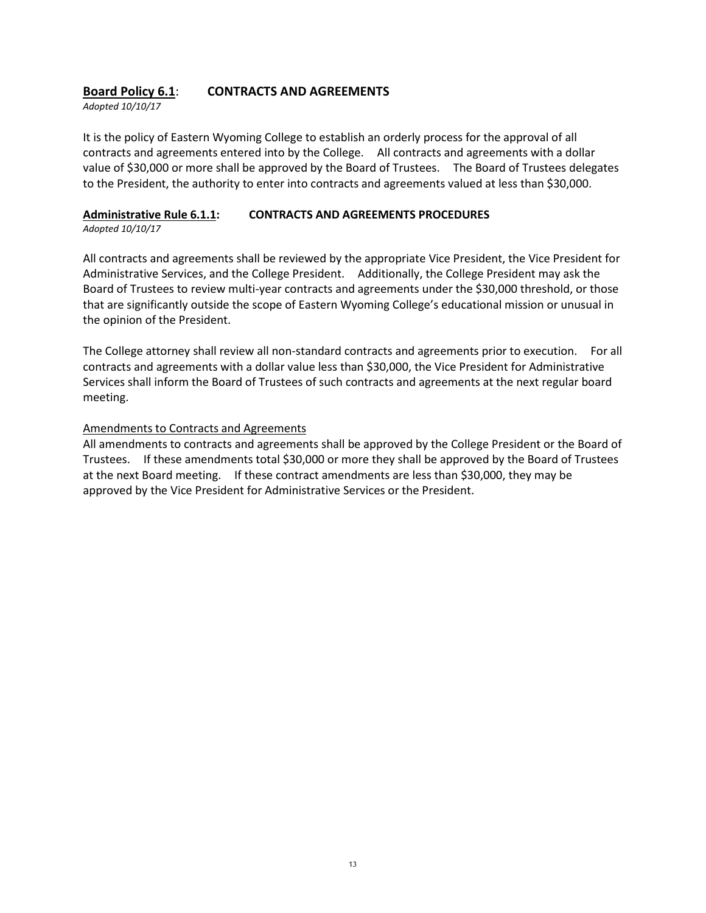## **Board Policy 6.1**: **CONTRACTS AND AGREEMENTS**

*Adopted 10/10/17*

It is the policy of Eastern Wyoming College to establish an orderly process for the approval of all contracts and agreements entered into by the College. All contracts and agreements with a dollar value of \$30,000 or more shall be approved by the Board of Trustees. The Board of Trustees delegates to the President, the authority to enter into contracts and agreements valued at less than \$30,000.

## **Administrative Rule 6.1.1: CONTRACTS AND AGREEMENTS PROCEDURES**

*Adopted 10/10/17*

All contracts and agreements shall be reviewed by the appropriate Vice President, the Vice President for Administrative Services, and the College President. Additionally, the College President may ask the Board of Trustees to review multi-year contracts and agreements under the \$30,000 threshold, or those that are significantly outside the scope of Eastern Wyoming College's educational mission or unusual in the opinion of the President.

The College attorney shall review all non-standard contracts and agreements prior to execution. For all contracts and agreements with a dollar value less than \$30,000, the Vice President for Administrative Services shall inform the Board of Trustees of such contracts and agreements at the next regular board meeting.

#### Amendments to Contracts and Agreements

All amendments to contracts and agreements shall be approved by the College President or the Board of Trustees. If these amendments total \$30,000 or more they shall be approved by the Board of Trustees at the next Board meeting. If these contract amendments are less than \$30,000, they may be approved by the Vice President for Administrative Services or the President.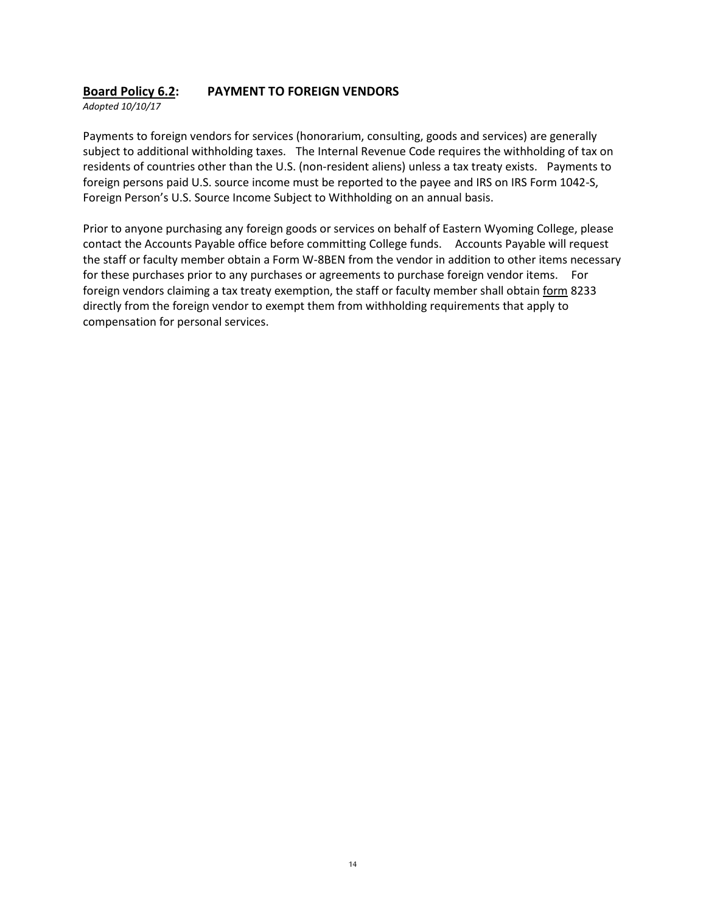## **Board Policy 6.2: PAYMENT TO FOREIGN VENDORS**

*Adopted 10/10/17*

Payments to foreign vendors for services (honorarium, consulting, goods and services) are generally subject to additional withholding taxes. The Internal Revenue Code requires the withholding of tax on residents of countries other than the U.S. (non-resident aliens) unless a tax treaty exists. Payments to foreign persons paid U.S. source income must be reported to the payee and IRS on IRS Form 1042-S, Foreign Person's U.S. Source Income Subject to Withholding on an annual basis.

Prior to anyone purchasing any foreign goods or services on behalf of Eastern Wyoming College, please contact the Accounts Payable office before committing College funds. Accounts Payable will request the staff or faculty member obtain a Form W-8BEN from the vendor in addition to other items necessary for these purchases prior to any purchases or agreements to purchase foreign vendor items. For foreign vendors claiming a tax treaty exemption, the staff or faculty member shall obtain form 8233 directly from the foreign vendor to exempt them from withholding requirements that apply to compensation for personal services.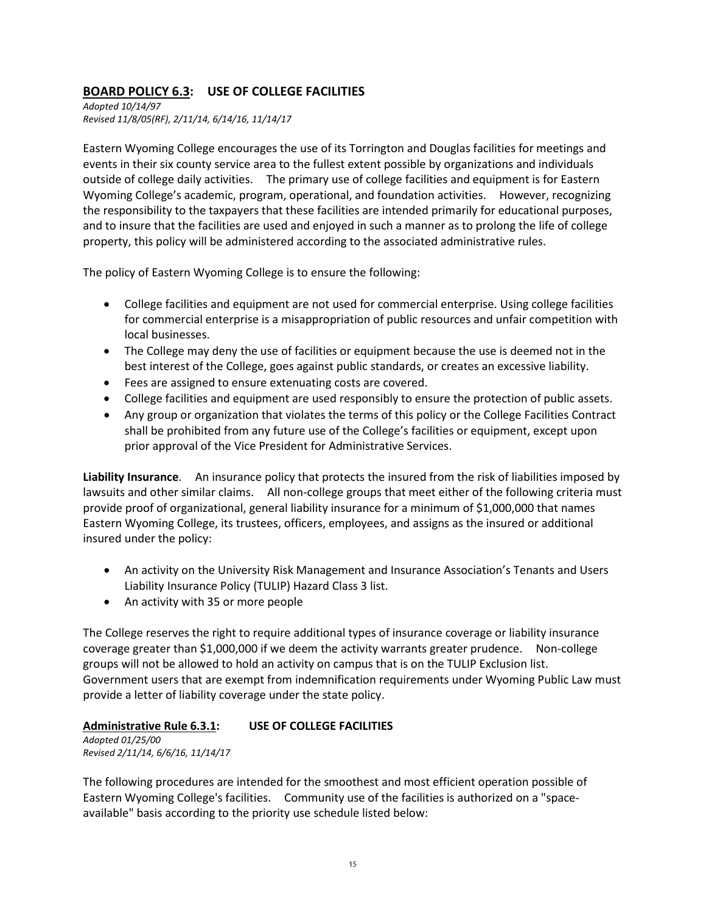## **BOARD POLICY 6.3: USE OF COLLEGE FACILITIES**

*Adopted 10/14/97 Revised 11/8/05(RF), 2/11/14, 6/14/16, 11/14/17*

Eastern Wyoming College encourages the use of its Torrington and Douglas facilities for meetings and events in their six county service area to the fullest extent possible by organizations and individuals outside of college daily activities. The primary use of college facilities and equipment is for Eastern Wyoming College's academic, program, operational, and foundation activities. However, recognizing the responsibility to the taxpayers that these facilities are intended primarily for educational purposes, and to insure that the facilities are used and enjoyed in such a manner as to prolong the life of college property, this policy will be administered according to the associated administrative rules.

The policy of Eastern Wyoming College is to ensure the following:

- College facilities and equipment are not used for commercial enterprise. Using college facilities for commercial enterprise is a misappropriation of public resources and unfair competition with local businesses.
- The College may deny the use of facilities or equipment because the use is deemed not in the best interest of the College, goes against public standards, or creates an excessive liability.
- Fees are assigned to ensure extenuating costs are covered.
- College facilities and equipment are used responsibly to ensure the protection of public assets.
- Any group or organization that violates the terms of this policy or the College Facilities Contract shall be prohibited from any future use of the College's facilities or equipment, except upon prior approval of the Vice President for Administrative Services.

**Liability Insurance**. An insurance policy that protects the insured from the risk of liabilities imposed by lawsuits and other similar claims. All non-college groups that meet either of the following criteria must provide proof of organizational, general liability insurance for a minimum of \$1,000,000 that names Eastern Wyoming College, its trustees, officers, employees, and assigns as the insured or additional insured under the policy:

- An activity on the University Risk Management and Insurance Association's Tenants and Users Liability Insurance Policy (TULIP) Hazard Class 3 list.
- An activity with 35 or more people

The College reserves the right to require additional types of insurance coverage or liability insurance coverage greater than \$1,000,000 if we deem the activity warrants greater prudence. Non-college groups will not be allowed to hold an activity on campus that is on the TULIP Exclusion list. Government users that are exempt from indemnification requirements under Wyoming Public Law must provide a letter of liability coverage under the state policy.

## **Administrative Rule 6.3.1: USE OF COLLEGE FACILITIES**

*Adopted 01/25/00 Revised 2/11/14, 6/6/16, 11/14/17*

The following procedures are intended for the smoothest and most efficient operation possible of Eastern Wyoming College's facilities. Community use of the facilities is authorized on a "spaceavailable" basis according to the priority use schedule listed below: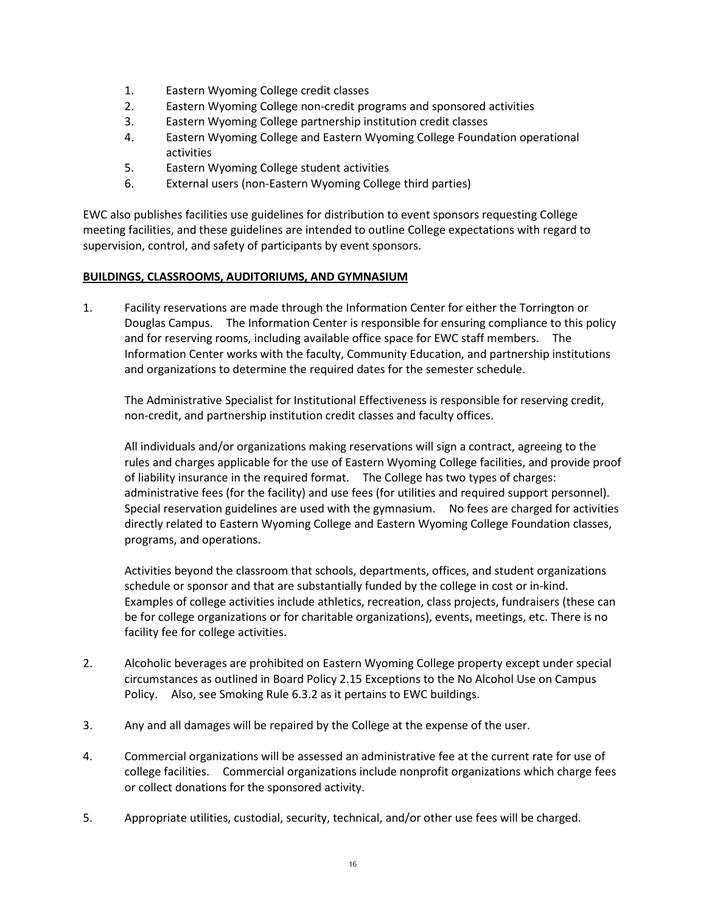- 1. Eastern Wyoming College credit classes
- 2. Eastern Wyoming College non-credit programs and sponsored activities
- 3. Eastern Wyoming College partnership institution credit classes
- 4. Eastern Wyoming College and Eastern Wyoming College Foundation operational activities
- 5. Eastern Wyoming College student activities
- 6. External users (non-Eastern Wyoming College third parties)

EWC also publishes facilities use guidelines for distribution to event sponsors requesting College meeting facilities, and these guidelines are intended to outline College expectations with regard to supervision, control, and safety of participants by event sponsors.

#### **BUILDINGS, CLASSROOMS, AUDITORIUMS, AND GYMNASIUM**

1. Facility reservations are made through the Information Center for either the Torrington or Douglas Campus. The Information Center is responsible for ensuring compliance to this policy and for reserving rooms, including available office space for EWC staff members. The Information Center works with the faculty, Community Education, and partnership institutions and organizations to determine the required dates for the semester schedule.

The Administrative Specialist for Institutional Effectiveness is responsible for reserving credit, non-credit, and partnership institution credit classes and faculty offices.

All individuals and/or organizations making reservations will sign a contract, agreeing to the rules and charges applicable for the use of Eastern Wyoming College facilities, and provide proof of liability insurance in the required format. The College has two types of charges: administrative fees (for the facility) and use fees (for utilities and required support personnel). Special reservation guidelines are used with the gymnasium.No fees are charged for activities directly related to Eastern Wyoming College and Eastern Wyoming College Foundation classes, programs, and operations.

Activities beyond the classroom that schools, departments, offices, and student organizations schedule or sponsor and that are substantially funded by the college in cost or in-kind. Examples of college activities include athletics, recreation, class projects, fundraisers (these can be for college organizations or for charitable organizations), events, meetings, etc. There is no facility fee for college activities.

- 2. Alcoholic beverages are prohibited on Eastern Wyoming College property except under special circumstances as outlined in Board Policy 2.15 Exceptions to the No Alcohol Use on Campus Policy. Also, see Smoking Rule 6.3.2 as it pertains to EWC buildings.
- 3. Any and all damages will be repaired by the College at the expense of the user.
- 4. Commercial organizations will be assessed an administrative fee at the current rate for use of college facilities. Commercial organizations include nonprofit organizations which charge fees or collect donations for the sponsored activity.
- 5. Appropriate utilities, custodial, security, technical, and/or other use fees will be charged.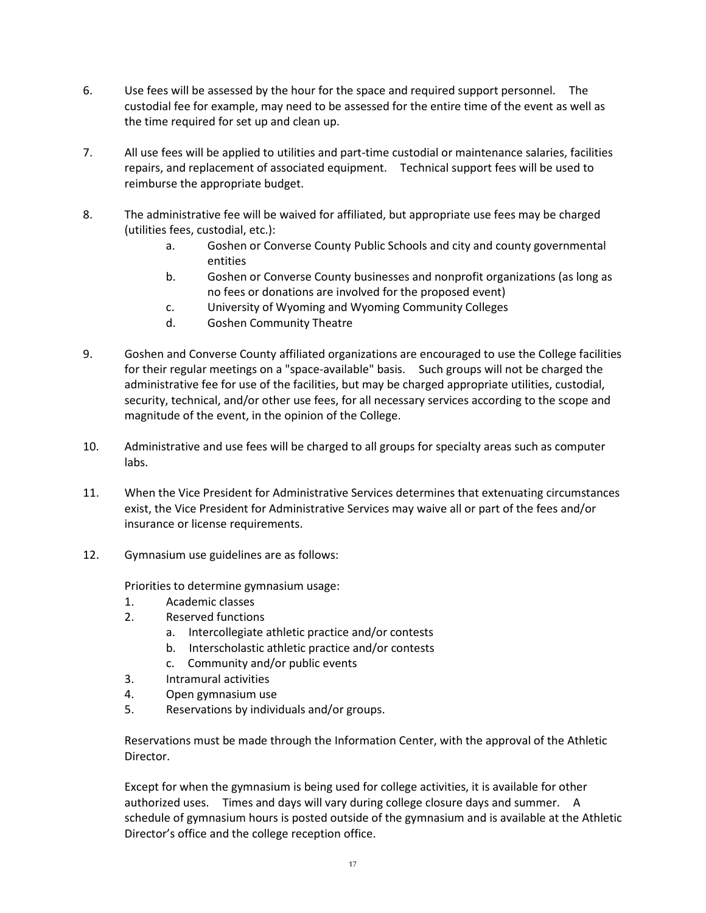- 6. Use fees will be assessed by the hour for the space and required support personnel. The custodial fee for example, may need to be assessed for the entire time of the event as well as the time required for set up and clean up.
- 7. All use fees will be applied to utilities and part-time custodial or maintenance salaries, facilities repairs, and replacement of associated equipment. Technical support fees will be used to reimburse the appropriate budget.
- 8. The administrative fee will be waived for affiliated, but appropriate use fees may be charged (utilities fees, custodial, etc.):
	- a. Goshen or Converse County Public Schools and city and county governmental entities
	- b. Goshen or Converse County businesses and nonprofit organizations (as long as no fees or donations are involved for the proposed event)
	- c. University of Wyoming and Wyoming Community Colleges
	- d. Goshen Community Theatre
- 9. Goshen and Converse County affiliated organizations are encouraged to use the College facilities for their regular meetings on a "space-available" basis. Such groups will not be charged the administrative fee for use of the facilities, but may be charged appropriate utilities, custodial, security, technical, and/or other use fees, for all necessary services according to the scope and magnitude of the event, in the opinion of the College.
- 10. Administrative and use fees will be charged to all groups for specialty areas such as computer labs.
- 11. When the Vice President for Administrative Services determines that extenuating circumstances exist, the Vice President for Administrative Services may waive all or part of the fees and/or insurance or license requirements.
- 12. Gymnasium use guidelines are as follows:

Priorities to determine gymnasium usage:

- 1. Academic classes
- 2. Reserved functions
	- a. Intercollegiate athletic practice and/or contests
	- b. Interscholastic athletic practice and/or contests
	- c. Community and/or public events
- 3. Intramural activities
- 4. Open gymnasium use
- 5. Reservations by individuals and/or groups.

Reservations must be made through the Information Center, with the approval of the Athletic Director.

Except for when the gymnasium is being used for college activities, it is available for other authorized uses. Times and days will vary during college closure days and summer. A schedule of gymnasium hours is posted outside of the gymnasium and is available at the Athletic Director's office and the college reception office.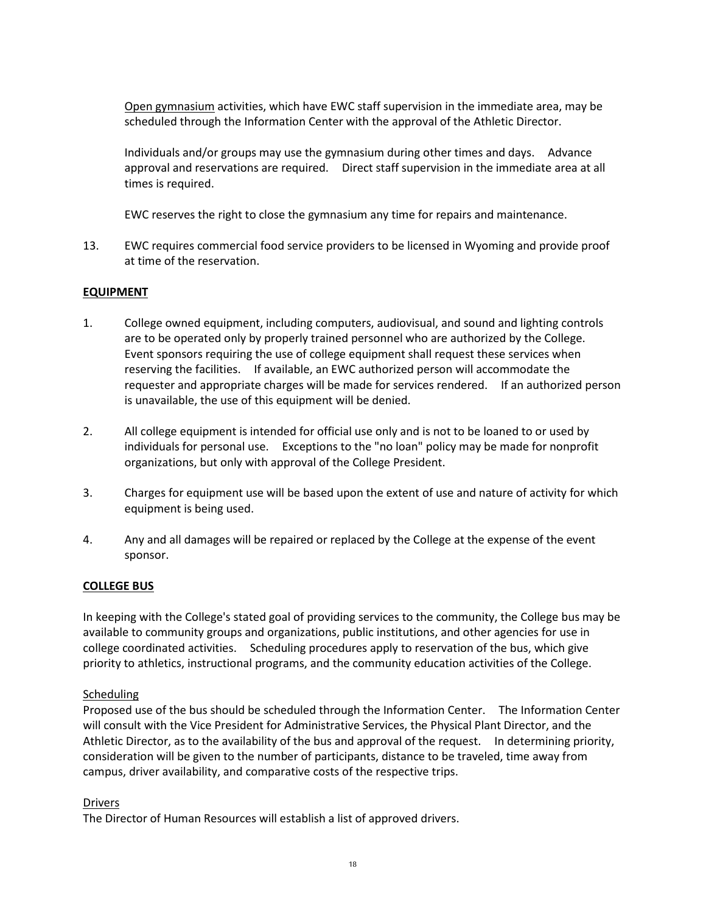Open gymnasium activities, which have EWC staff supervision in the immediate area, may be scheduled through the Information Center with the approval of the Athletic Director.

Individuals and/or groups may use the gymnasium during other times and days. Advance approval and reservations are required. Direct staff supervision in the immediate area at all times is required.

EWC reserves the right to close the gymnasium any time for repairs and maintenance.

13. EWC requires commercial food service providers to be licensed in Wyoming and provide proof at time of the reservation.

#### **EQUIPMENT**

- 1. College owned equipment, including computers, audiovisual, and sound and lighting controls are to be operated only by properly trained personnel who are authorized by the College. Event sponsors requiring the use of college equipment shall request these services when reserving the facilities. If available, an EWC authorized person will accommodate the requester and appropriate charges will be made for services rendered. If an authorized person is unavailable, the use of this equipment will be denied.
- 2. All college equipment is intended for official use only and is not to be loaned to or used by individuals for personal use. Exceptions to the "no loan" policy may be made for nonprofit organizations, but only with approval of the College President.
- 3. Charges for equipment use will be based upon the extent of use and nature of activity for which equipment is being used.
- 4. Any and all damages will be repaired or replaced by the College at the expense of the event sponsor.

#### **COLLEGE BUS**

In keeping with the College's stated goal of providing services to the community, the College bus may be available to community groups and organizations, public institutions, and other agencies for use in college coordinated activities. Scheduling procedures apply to reservation of the bus, which give priority to athletics, instructional programs, and the community education activities of the College.

#### **Scheduling**

Proposed use of the bus should be scheduled through the Information Center. The Information Center will consult with the Vice President for Administrative Services, the Physical Plant Director, and the Athletic Director, as to the availability of the bus and approval of the request. In determining priority, consideration will be given to the number of participants, distance to be traveled, time away from campus, driver availability, and comparative costs of the respective trips.

#### Drivers

The Director of Human Resources will establish a list of approved drivers.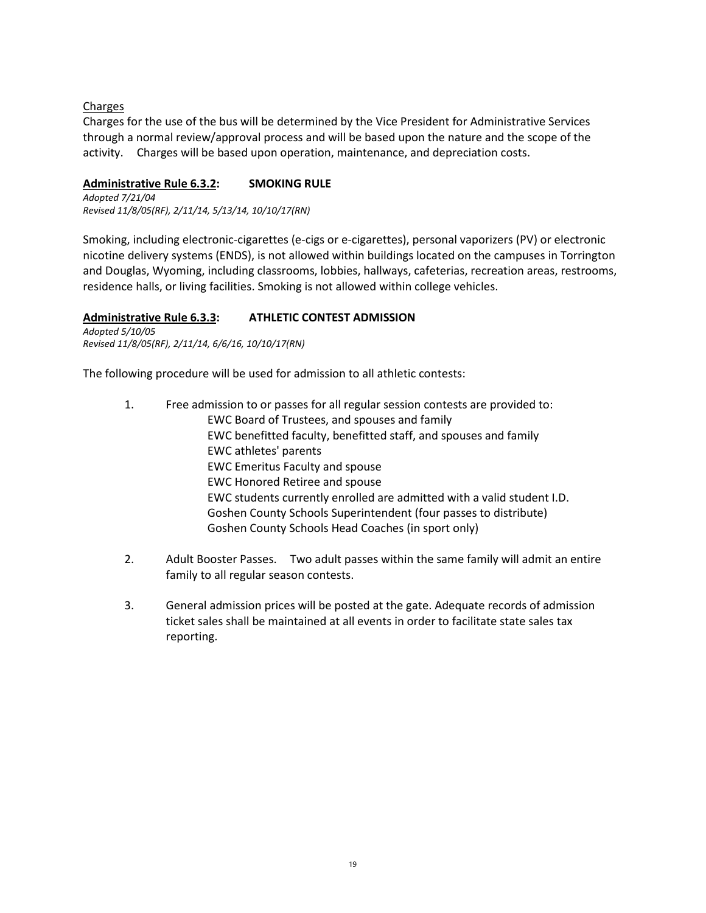#### Charges

Charges for the use of the bus will be determined by the Vice President for Administrative Services through a normal review/approval process and will be based upon the nature and the scope of the activity. Charges will be based upon operation, maintenance, and depreciation costs.

#### **Administrative Rule 6.3.2: SMOKING RULE**

*Adopted 7/21/04 Revised 11/8/05(RF), 2/11/14, 5/13/14, 10/10/17(RN)*

Smoking, including electronic-cigarettes (e-cigs or e-cigarettes), personal vaporizers (PV) or electronic nicotine delivery systems (ENDS), is not allowed within buildings located on the campuses in Torrington and Douglas, Wyoming, including classrooms, lobbies, hallways, cafeterias, recreation areas, restrooms, residence halls, or living facilities. Smoking is not allowed within college vehicles.

#### **Administrative Rule 6.3.3: ATHLETIC CONTEST ADMISSION**

*Adopted 5/10/05 Revised 11/8/05(RF), 2/11/14, 6/6/16, 10/10/17(RN)*

The following procedure will be used for admission to all athletic contests:

- 1. Free admission to or passes for all regular session contests are provided to: EWC Board of Trustees, and spouses and family EWC benefitted faculty, benefitted staff, and spouses and family EWC athletes' parents EWC Emeritus Faculty and spouse EWC Honored Retiree and spouse EWC students currently enrolled are admitted with a valid student I.D. Goshen County Schools Superintendent (four passes to distribute) Goshen County Schools Head Coaches (in sport only)
- 2. Adult Booster Passes. Two adult passes within the same family will admit an entire family to all regular season contests.
- 3. General admission prices will be posted at the gate. Adequate records of admission ticket sales shall be maintained at all events in order to facilitate state sales tax reporting.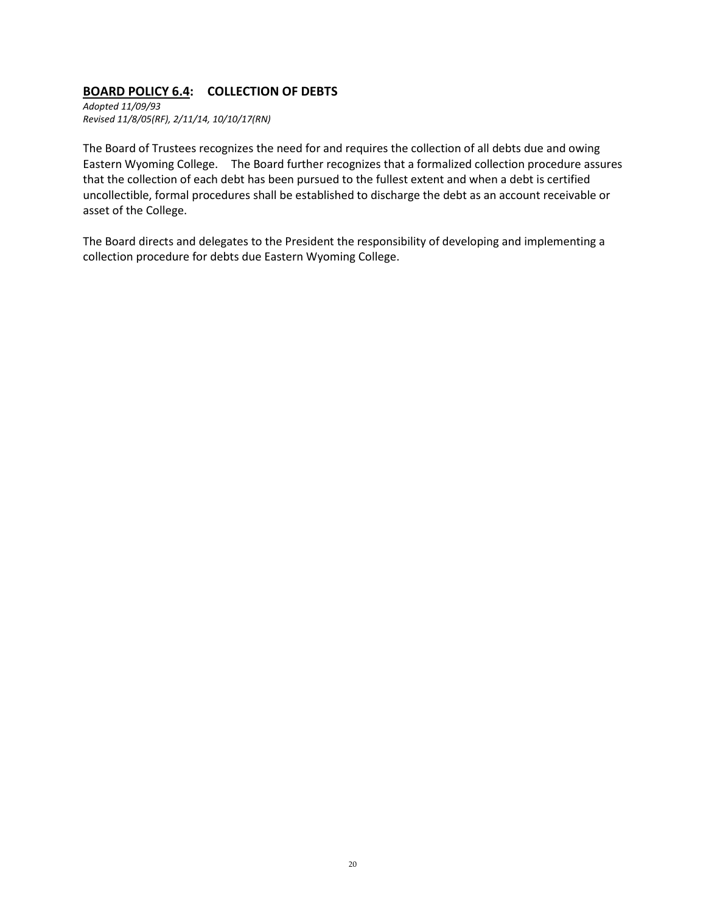## **BOARD POLICY 6.4: COLLECTION OF DEBTS**

*Adopted 11/09/93 Revised 11/8/05(RF), 2/11/14, 10/10/17(RN)*

The Board of Trustees recognizes the need for and requires the collection of all debts due and owing Eastern Wyoming College. The Board further recognizes that a formalized collection procedure assures that the collection of each debt has been pursued to the fullest extent and when a debt is certified uncollectible, formal procedures shall be established to discharge the debt as an account receivable or asset of the College.

The Board directs and delegates to the President the responsibility of developing and implementing a collection procedure for debts due Eastern Wyoming College.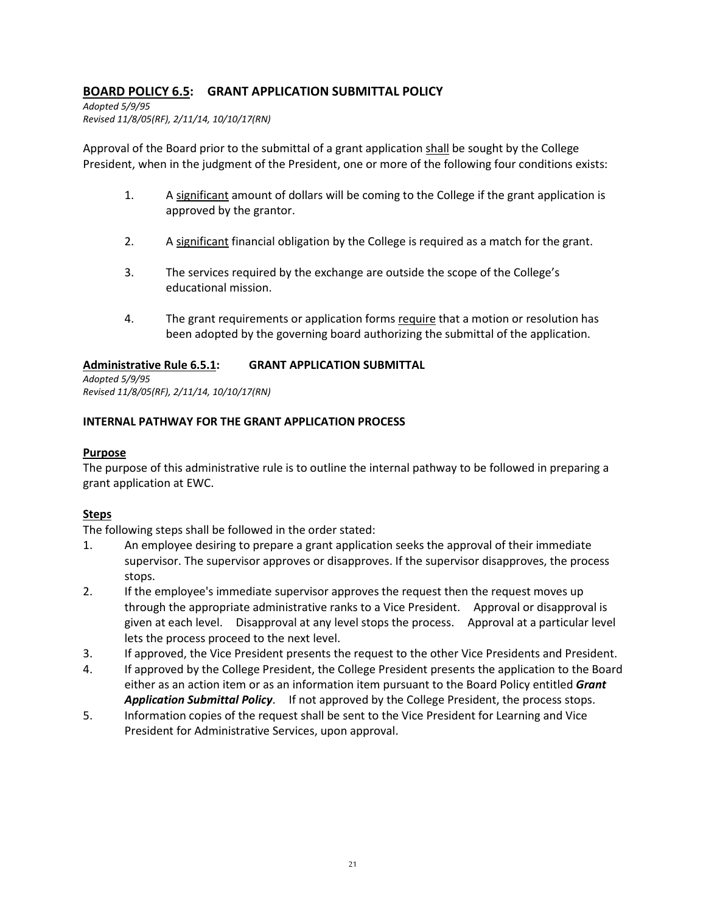## **BOARD POLICY 6.5: GRANT APPLICATION SUBMITTAL POLICY**

*Adopted 5/9/95 Revised 11/8/05(RF), 2/11/14, 10/10/17(RN)*

Approval of the Board prior to the submittal of a grant application shall be sought by the College President, when in the judgment of the President, one or more of the following four conditions exists:

- 1. A significant amount of dollars will be coming to the College if the grant application is approved by the grantor.
- 2. A significant financial obligation by the College is required as a match for the grant.
- 3. The services required by the exchange are outside the scope of the College's educational mission.
- 4. The grant requirements or application forms require that a motion or resolution has been adopted by the governing board authorizing the submittal of the application.

#### **Administrative Rule 6.5.1: GRANT APPLICATION SUBMITTAL**

*Adopted 5/9/95 Revised 11/8/05(RF), 2/11/14, 10/10/17(RN)*

#### **INTERNAL PATHWAY FOR THE GRANT APPLICATION PROCESS**

#### **Purpose**

The purpose of this administrative rule is to outline the internal pathway to be followed in preparing a grant application at EWC.

## **Steps**

The following steps shall be followed in the order stated:

- 1. An employee desiring to prepare a grant application seeks the approval of their immediate supervisor. The supervisor approves or disapproves. If the supervisor disapproves, the process stops.
- 2. If the employee's immediate supervisor approves the request then the request moves up through the appropriate administrative ranks to a Vice President. Approval or disapproval is given at each level. Disapproval at any level stops the process. Approval at a particular level lets the process proceed to the next level.
- 3. If approved, the Vice President presents the request to the other Vice Presidents and President.
- 4. If approved by the College President, the College President presents the application to the Board either as an action item or as an information item pursuant to the Board Policy entitled *Grant Application Submittal Policy*. If not approved by the College President, the process stops.
- 5. Information copies of the request shall be sent to the Vice President for Learning and Vice President for Administrative Services, upon approval.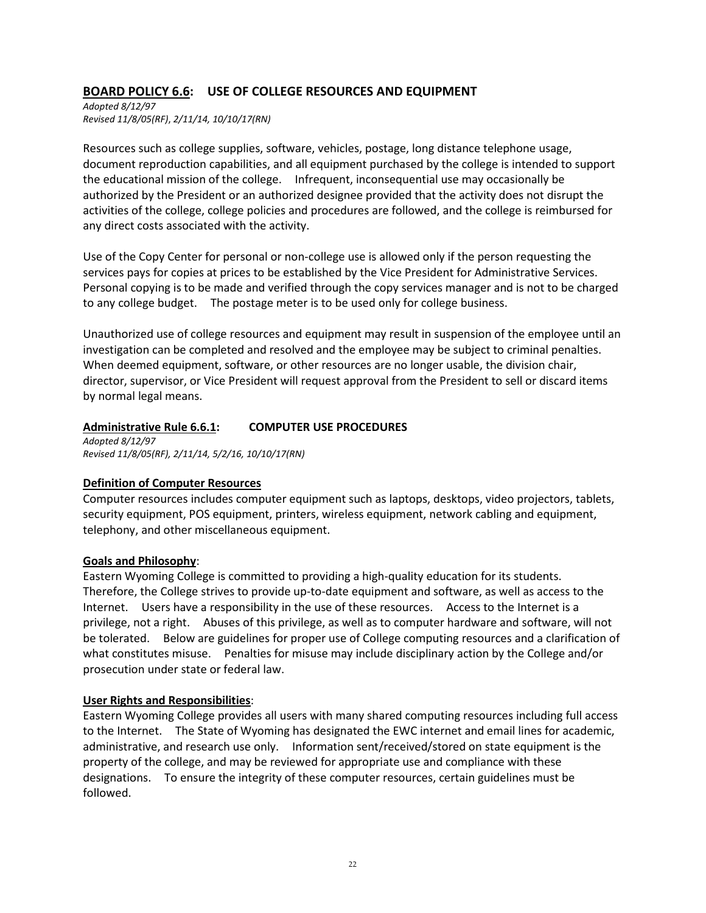## **BOARD POLICY 6.6: USE OF COLLEGE RESOURCES AND EQUIPMENT**

*Adopted 8/12/97 Revised 11/8/05(RF)*, *2/11/14, 10/10/17(RN)*

Resources such as college supplies, software, vehicles, postage, long distance telephone usage, document reproduction capabilities, and all equipment purchased by the college is intended to support the educational mission of the college. Infrequent, inconsequential use may occasionally be authorized by the President or an authorized designee provided that the activity does not disrupt the activities of the college, college policies and procedures are followed, and the college is reimbursed for any direct costs associated with the activity.

Use of the Copy Center for personal or non-college use is allowed only if the person requesting the services pays for copies at prices to be established by the Vice President for Administrative Services. Personal copying is to be made and verified through the copy services manager and is not to be charged to any college budget. The postage meter is to be used only for college business.

Unauthorized use of college resources and equipment may result in suspension of the employee until an investigation can be completed and resolved and the employee may be subject to criminal penalties. When deemed equipment, software, or other resources are no longer usable, the division chair, director, supervisor, or Vice President will request approval from the President to sell or discard items by normal legal means.

#### **Administrative Rule 6.6.1: COMPUTER USE PROCEDURES**

*Adopted 8/12/97 Revised 11/8/05(RF), 2/11/14, 5/2/16, 10/10/17(RN)*

#### **Definition of Computer Resources**

Computer resources includes computer equipment such as laptops, desktops, video projectors, tablets, security equipment, POS equipment, printers, wireless equipment, network cabling and equipment, telephony, and other miscellaneous equipment.

#### **Goals and Philosophy**:

Eastern Wyoming College is committed to providing a high-quality education for its students. Therefore, the College strives to provide up-to-date equipment and software, as well as access to the Internet. Users have a responsibility in the use of these resources. Access to the Internet is a privilege, not a right. Abuses of this privilege, as well as to computer hardware and software, will not be tolerated. Below are guidelines for proper use of College computing resources and a clarification of what constitutes misuse. Penalties for misuse may include disciplinary action by the College and/or prosecution under state or federal law.

#### **User Rights and Responsibilities**:

Eastern Wyoming College provides all users with many shared computing resources including full access to the Internet. The State of Wyoming has designated the EWC internet and email lines for academic, administrative, and research use only. Information sent/received/stored on state equipment is the property of the college, and may be reviewed for appropriate use and compliance with these designations. To ensure the integrity of these computer resources, certain guidelines must be followed.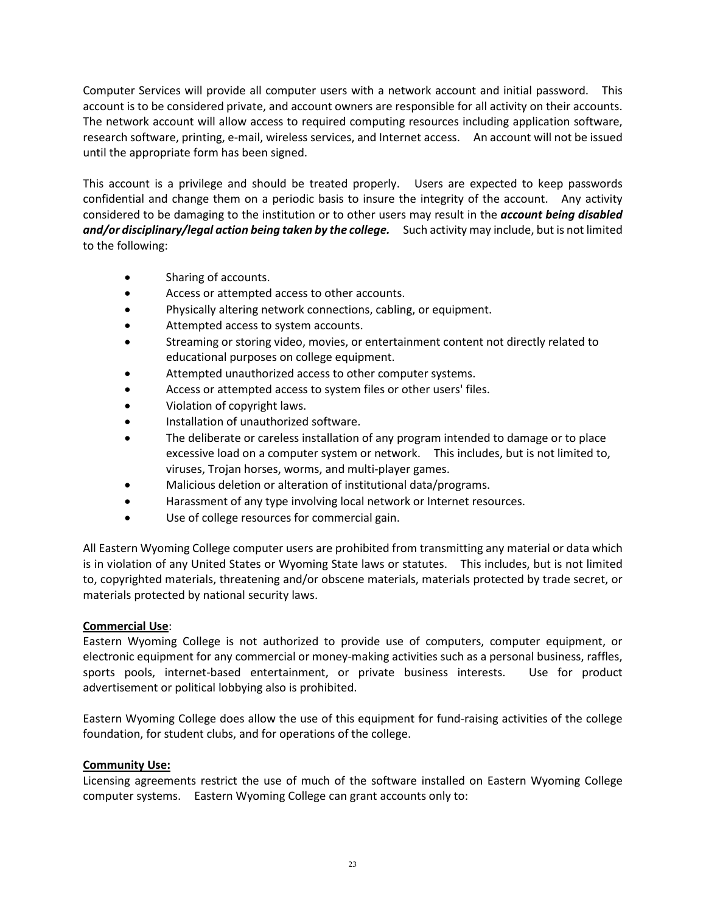Computer Services will provide all computer users with a network account and initial password. This account is to be considered private, and account owners are responsible for all activity on their accounts. The network account will allow access to required computing resources including application software, research software, printing, e-mail, wireless services, and Internet access. An account will not be issued until the appropriate form has been signed.

This account is a privilege and should be treated properly. Users are expected to keep passwords confidential and change them on a periodic basis to insure the integrity of the account. Any activity considered to be damaging to the institution or to other users may result in the *account being disabled and/or disciplinary/legal action being taken by the college.* Such activity may include, but is not limited to the following:

- Sharing of accounts.
- Access or attempted access to other accounts.
- Physically altering network connections, cabling, or equipment.
- Attempted access to system accounts.
- Streaming or storing video, movies, or entertainment content not directly related to educational purposes on college equipment.
- Attempted unauthorized access to other computer systems.
- Access or attempted access to system files or other users' files.
- Violation of copyright laws.
- Installation of unauthorized software.
- The deliberate or careless installation of any program intended to damage or to place excessive load on a computer system or network. This includes, but is not limited to, viruses, Trojan horses, worms, and multi-player games.
- Malicious deletion or alteration of institutional data/programs.
- Harassment of any type involving local network or Internet resources.
- Use of college resources for commercial gain.

All Eastern Wyoming College computer users are prohibited from transmitting any material or data which is in violation of any United States or Wyoming State laws or statutes. This includes, but is not limited to, copyrighted materials, threatening and/or obscene materials, materials protected by trade secret, or materials protected by national security laws.

#### **Commercial Use**:

Eastern Wyoming College is not authorized to provide use of computers, computer equipment, or electronic equipment for any commercial or money-making activities such as a personal business, raffles, sports pools, internet-based entertainment, or private business interests. Use for product advertisement or political lobbying also is prohibited.

Eastern Wyoming College does allow the use of this equipment for fund-raising activities of the college foundation, for student clubs, and for operations of the college.

#### **Community Use:**

Licensing agreements restrict the use of much of the software installed on Eastern Wyoming College computer systems. Eastern Wyoming College can grant accounts only to: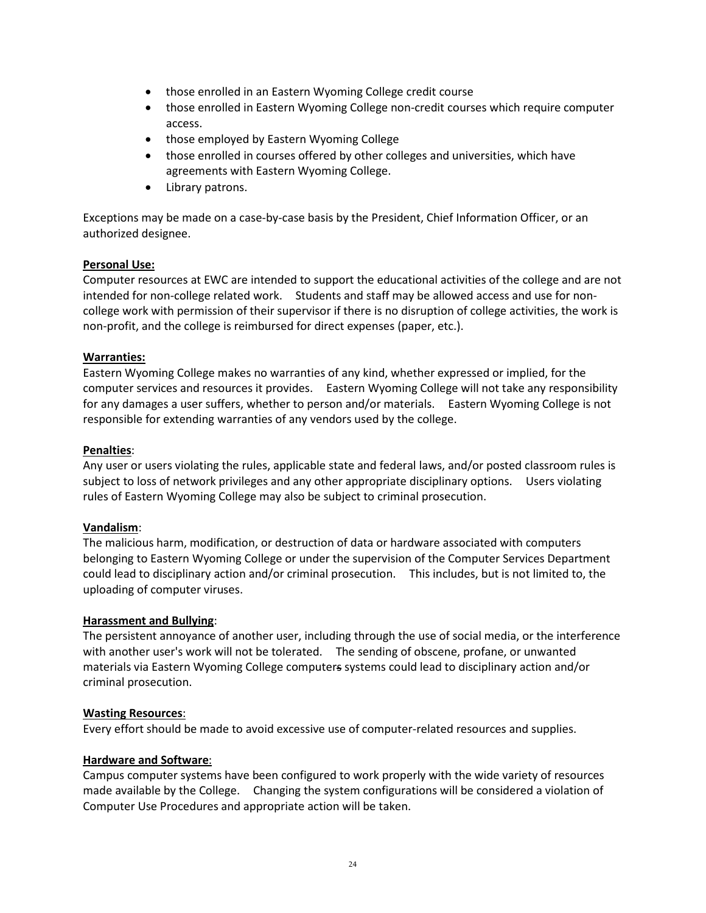- those enrolled in an Eastern Wyoming College credit course
- those enrolled in Eastern Wyoming College non-credit courses which require computer access.
- those employed by Eastern Wyoming College
- those enrolled in courses offered by other colleges and universities, which have agreements with Eastern Wyoming College.
- Library patrons.

Exceptions may be made on a case-by-case basis by the President, Chief Information Officer, or an authorized designee.

#### **Personal Use:**

Computer resources at EWC are intended to support the educational activities of the college and are not intended for non-college related work. Students and staff may be allowed access and use for noncollege work with permission of their supervisor if there is no disruption of college activities, the work is non-profit, and the college is reimbursed for direct expenses (paper, etc.).

#### **Warranties:**

Eastern Wyoming College makes no warranties of any kind, whether expressed or implied, for the computer services and resources it provides. Eastern Wyoming College will not take any responsibility for any damages a user suffers, whether to person and/or materials. Eastern Wyoming College is not responsible for extending warranties of any vendors used by the college.

#### **Penalties**:

Any user or users violating the rules, applicable state and federal laws, and/or posted classroom rules is subject to loss of network privileges and any other appropriate disciplinary options. Users violating rules of Eastern Wyoming College may also be subject to criminal prosecution.

#### **Vandalism**:

The malicious harm, modification, or destruction of data or hardware associated with computers belonging to Eastern Wyoming College or under the supervision of the Computer Services Department could lead to disciplinary action and/or criminal prosecution. This includes, but is not limited to, the uploading of computer viruses.

#### **Harassment and Bullying**:

The persistent annoyance of another user, including through the use of social media, or the interference with another user's work will not be tolerated. The sending of obscene, profane, or unwanted materials via Eastern Wyoming College computers systems could lead to disciplinary action and/or criminal prosecution.

#### **Wasting Resources**:

Every effort should be made to avoid excessive use of computer-related resources and supplies.

#### **Hardware and Software**:

Campus computer systems have been configured to work properly with the wide variety of resources made available by the College. Changing the system configurations will be considered a violation of Computer Use Procedures and appropriate action will be taken.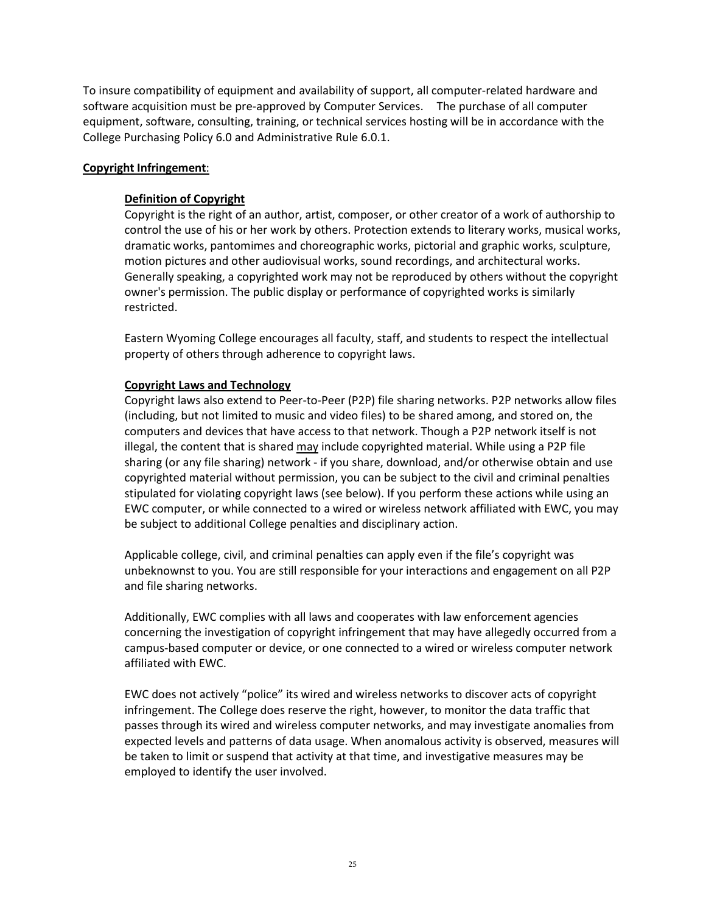To insure compatibility of equipment and availability of support, all computer-related hardware and software acquisition must be pre-approved by Computer Services. The purchase of all computer equipment, software, consulting, training, or technical services hosting will be in accordance with the College Purchasing Policy 6.0 and Administrative Rule 6.0.1.

#### **Copyright Infringement**:

#### **Definition of Copyright**

Copyright is the right of an author, artist, composer, or other creator of a work of authorship to control the use of his or her work by others. Protection extends to literary works, musical works, dramatic works, pantomimes and choreographic works, pictorial and graphic works, sculpture, motion pictures and other audiovisual works, sound recordings, and architectural works. Generally speaking, a copyrighted work may not be reproduced by others without the copyright owner's permission. The public display or performance of copyrighted works is similarly restricted.

Eastern Wyoming College encourages all faculty, staff, and students to respect the intellectual property of others through adherence to copyright laws.

#### **Copyright Laws and Technology**

Copyright laws also extend to Peer-to-Peer (P2P) file sharing networks. P2P networks allow files (including, but not limited to music and video files) to be shared among, and stored on, the computers and devices that have access to that network. Though a P2P network itself is not illegal, the content that is shared may include copyrighted material. While using a P2P file sharing (or any file sharing) network - if you share, download, and/or otherwise obtain and use copyrighted material without permission, you can be subject to the civil and criminal penalties stipulated for violating copyright laws (see below). If you perform these actions while using an EWC computer, or while connected to a wired or wireless network affiliated with EWC, you may be subject to additional College penalties and disciplinary action.

Applicable college, civil, and criminal penalties can apply even if the file's copyright was unbeknownst to you. You are still responsible for your interactions and engagement on all P2P and file sharing networks.

Additionally, EWC complies with all laws and cooperates with law enforcement agencies concerning the investigation of copyright infringement that may have allegedly occurred from a campus-based computer or device, or one connected to a wired or wireless computer network affiliated with EWC.

EWC does not actively "police" its wired and wireless networks to discover acts of copyright infringement. The College does reserve the right, however, to monitor the data traffic that passes through its wired and wireless computer networks, and may investigate anomalies from expected levels and patterns of data usage. When anomalous activity is observed, measures will be taken to limit or suspend that activity at that time, and investigative measures may be employed to identify the user involved.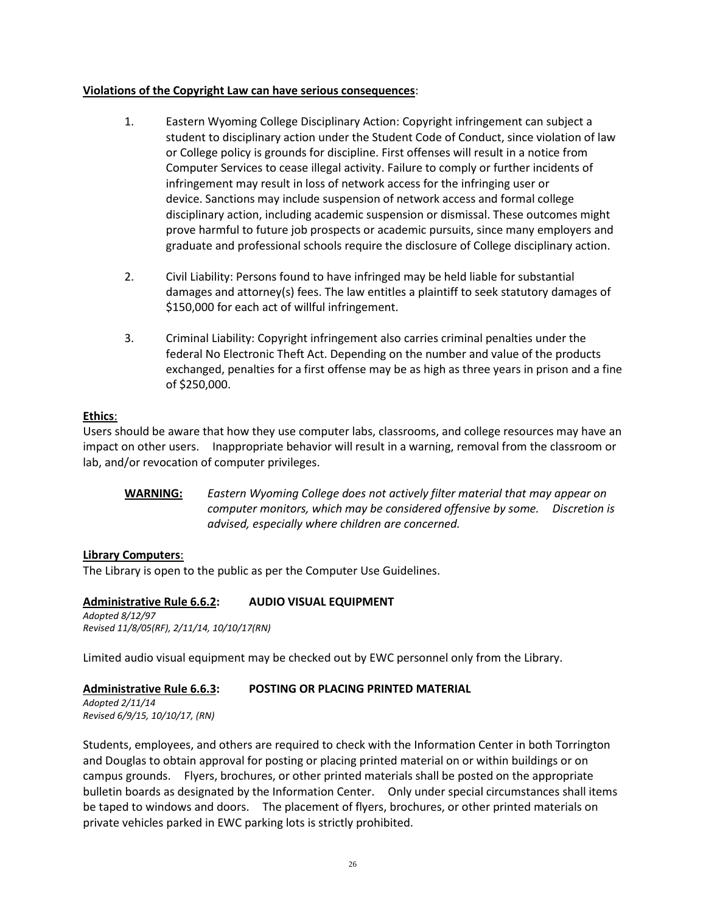#### **Violations of the Copyright Law can have serious consequences**:

- 1. Eastern Wyoming College Disciplinary Action: Copyright infringement can subject a student to disciplinary action under the Student Code of Conduct, since violation of law or College policy is grounds for discipline. First offenses will result in a notice from Computer Services to cease illegal activity. Failure to comply or further incidents of infringement may result in loss of network access for the infringing user or device. Sanctions may include suspension of network access and formal college disciplinary action, including academic suspension or dismissal. These outcomes might prove harmful to future job prospects or academic pursuits, since many employers and graduate and professional schools require the disclosure of College disciplinary action.
- 2. Civil Liability: Persons found to have infringed may be held liable for substantial damages and attorney(s) fees. The law entitles a plaintiff to seek statutory damages of \$150,000 for each act of willful infringement.
- 3. Criminal Liability: Copyright infringement also carries criminal penalties under the federal No Electronic Theft Act. Depending on the number and value of the products exchanged, penalties for a first offense may be as high as three years in prison and a fine of \$250,000.

#### **Ethics**:

Users should be aware that how they use computer labs, classrooms, and college resources may have an impact on other users. Inappropriate behavior will result in a warning, removal from the classroom or lab, and/or revocation of computer privileges.

**WARNING:** *Eastern Wyoming College does not actively filter material that may appear on computer monitors, which may be considered offensive by some. Discretion is advised, especially where children are concerned.*

#### **Library Computers**:

The Library is open to the public as per the Computer Use Guidelines.

**Administrative Rule 6.6.2: AUDIO VISUAL EQUIPMENT** *Adopted 8/12/97 Revised 11/8/05(RF), 2/11/14, 10/10/17(RN)*

Limited audio visual equipment may be checked out by EWC personnel only from the Library.

#### **Administrative Rule 6.6.3: POSTING OR PLACING PRINTED MATERIAL**

*Adopted 2/11/14 Revised 6/9/15, 10/10/17, (RN)*

Students, employees, and others are required to check with the Information Center in both Torrington and Douglas to obtain approval for posting or placing printed material on or within buildings or on campus grounds. Flyers, brochures, or other printed materials shall be posted on the appropriate bulletin boards as designated by the Information Center. Only under special circumstances shall items be taped to windows and doors. The placement of flyers, brochures, or other printed materials on private vehicles parked in EWC parking lots is strictly prohibited.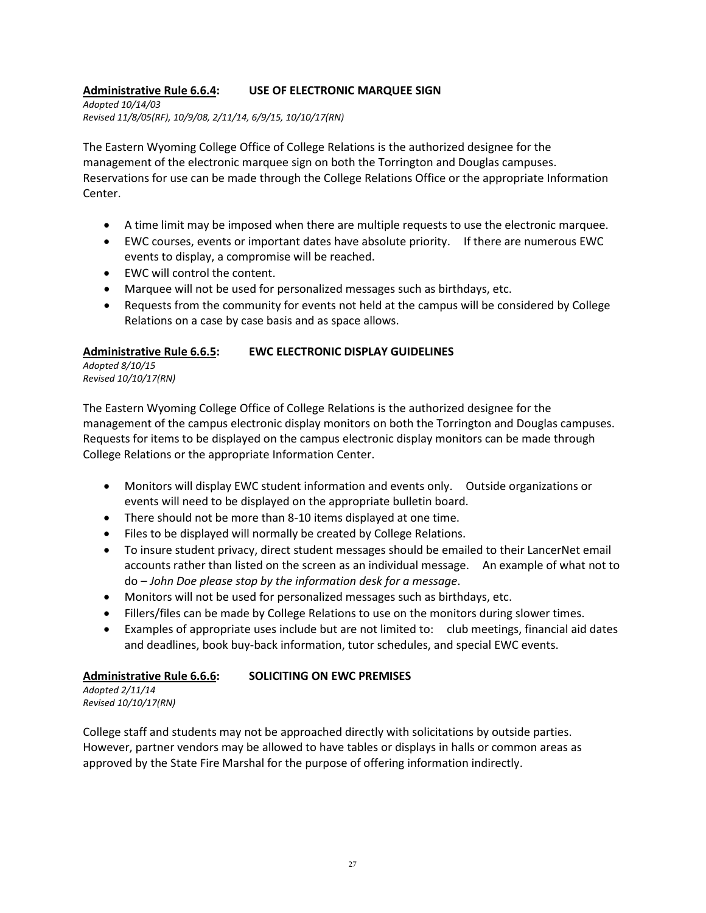## **Administrative Rule 6.6.4: USE OF ELECTRONIC MARQUEE SIGN**

*Adopted 10/14/03 Revised 11/8/05(RF), 10/9/08, 2/11/14, 6/9/15, 10/10/17(RN)*

The Eastern Wyoming College Office of College Relations is the authorized designee for the management of the electronic marquee sign on both the Torrington and Douglas campuses. Reservations for use can be made through the College Relations Office or the appropriate Information Center.

- A time limit may be imposed when there are multiple requests to use the electronic marquee.
- EWC courses, events or important dates have absolute priority. If there are numerous EWC events to display, a compromise will be reached.
- EWC will control the content.
- Marquee will not be used for personalized messages such as birthdays, etc.
- Requests from the community for events not held at the campus will be considered by College Relations on a case by case basis and as space allows.

#### **Administrative Rule 6.6.5: EWC ELECTRONIC DISPLAY GUIDELINES**

*Adopted 8/10/15 Revised 10/10/17(RN)*

The Eastern Wyoming College Office of College Relations is the authorized designee for the management of the campus electronic display monitors on both the Torrington and Douglas campuses. Requests for items to be displayed on the campus electronic display monitors can be made through College Relations or the appropriate Information Center.

- Monitors will display EWC student information and events only. Outside organizations or events will need to be displayed on the appropriate bulletin board.
- There should not be more than 8-10 items displayed at one time.
- Files to be displayed will normally be created by College Relations.
- To insure student privacy, direct student messages should be emailed to their LancerNet email accounts rather than listed on the screen as an individual message. An example of what not to do – *John Doe please stop by the information desk for a message*.
- Monitors will not be used for personalized messages such as birthdays, etc.
- Fillers/files can be made by College Relations to use on the monitors during slower times.
- Examples of appropriate uses include but are not limited to: club meetings, financial aid dates and deadlines, book buy-back information, tutor schedules, and special EWC events.

#### **Administrative Rule 6.6.6: SOLICITING ON EWC PREMISES**

*Adopted 2/11/14 Revised 10/10/17(RN)*

College staff and students may not be approached directly with solicitations by outside parties. However, partner vendors may be allowed to have tables or displays in halls or common areas as approved by the State Fire Marshal for the purpose of offering information indirectly.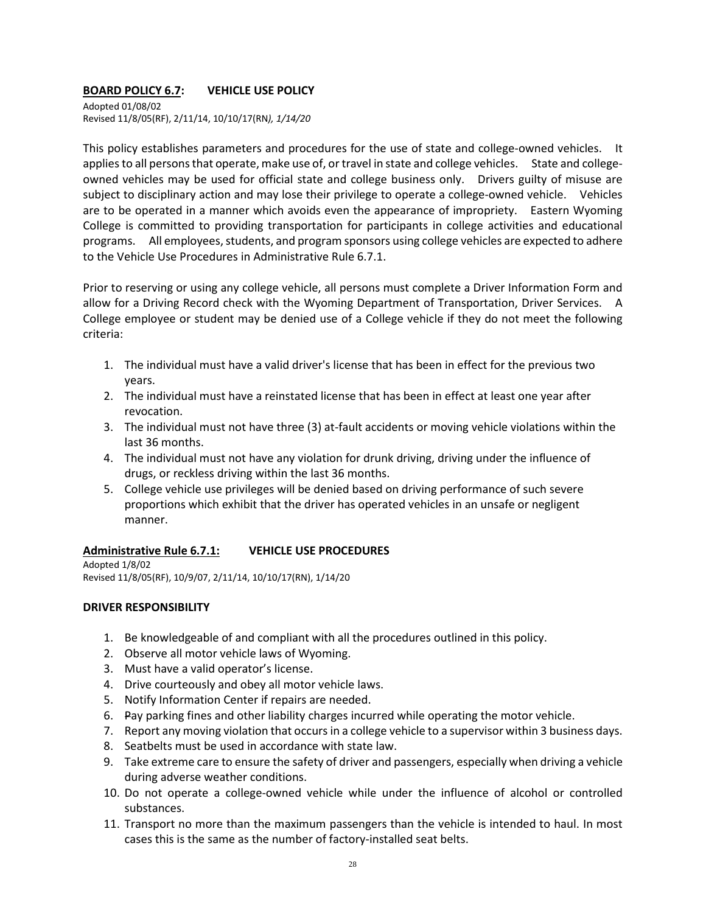## **BOARD POLICY 6.7: VEHICLE USE POLICY**

Adopted 01/08/02 Revised 11/8/05(RF), 2/11/14, 10/10/17(RN*), 1/14/20*

This policy establishes parameters and procedures for the use of state and college-owned vehicles. It applies to all persons that operate, make use of, or travel in state and college vehicles. State and collegeowned vehicles may be used for official state and college business only. Drivers guilty of misuse are subject to disciplinary action and may lose their privilege to operate a college-owned vehicle. Vehicles are to be operated in a manner which avoids even the appearance of impropriety. Eastern Wyoming College is committed to providing transportation for participants in college activities and educational programs. All employees, students, and program sponsors using college vehicles are expected to adhere to the Vehicle Use Procedures in Administrative Rule 6.7.1.

Prior to reserving or using any college vehicle, all persons must complete a Driver Information Form and allow for a Driving Record check with the Wyoming Department of Transportation, Driver Services. A College employee or student may be denied use of a College vehicle if they do not meet the following criteria:

- 1. The individual must have a valid driver's license that has been in effect for the previous two years.
- 2. The individual must have a reinstated license that has been in effect at least one year after revocation.
- 3. The individual must not have three (3) at-fault accidents or moving vehicle violations within the last 36 months.
- 4. The individual must not have any violation for drunk driving, driving under the influence of drugs, or reckless driving within the last 36 months.
- 5. College vehicle use privileges will be denied based on driving performance of such severe proportions which exhibit that the driver has operated vehicles in an unsafe or negligent manner.

#### **Administrative Rule 6.7.1: VEHICLE USE PROCEDURES**

Adopted 1/8/02 Revised 11/8/05(RF), 10/9/07, 2/11/14, 10/10/17(RN), 1/14/20

#### **DRIVER RESPONSIBILITY**

- 1. Be knowledgeable of and compliant with all the procedures outlined in this policy.
- 2. Observe all motor vehicle laws of Wyoming.
- 3. Must have a valid operator's license.
- 4. Drive courteously and obey all motor vehicle laws.
- 5. Notify Information Center if repairs are needed.
- 6. Pay parking fines and other liability charges incurred while operating the motor vehicle.
- 7. Report any moving violation that occurs in a college vehicle to a supervisor within 3 business days.
- 8. Seatbelts must be used in accordance with state law.
- 9. Take extreme care to ensure the safety of driver and passengers, especially when driving a vehicle during adverse weather conditions.
- 10. Do not operate a college-owned vehicle while under the influence of alcohol or controlled substances.
- 11. Transport no more than the maximum passengers than the vehicle is intended to haul. In most cases this is the same as the number of factory-installed seat belts.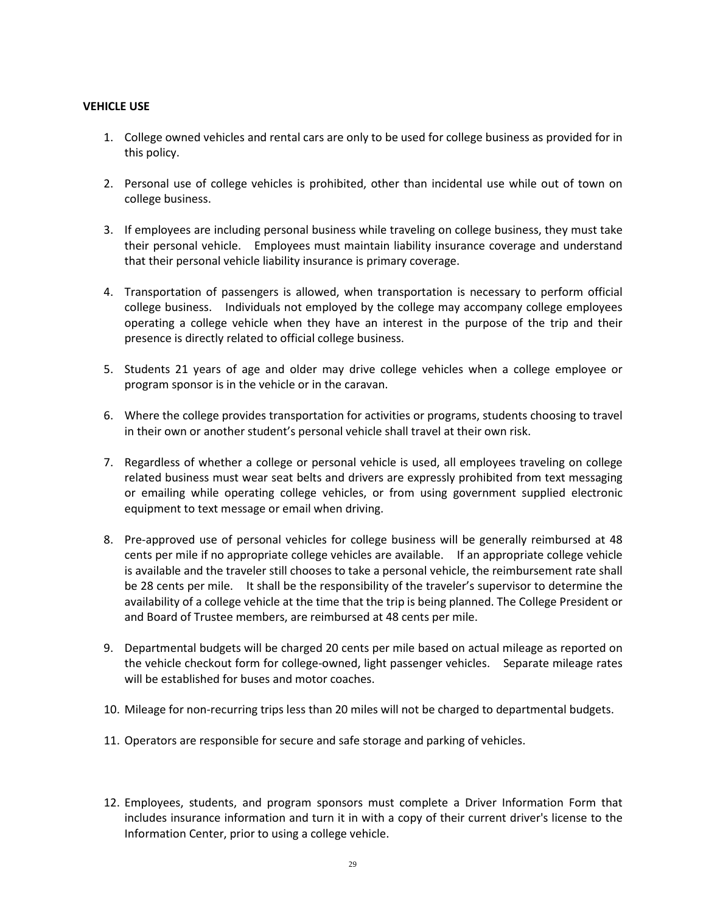#### **VEHICLE USE**

- 1. College owned vehicles and rental cars are only to be used for college business as provided for in this policy.
- 2. Personal use of college vehicles is prohibited, other than incidental use while out of town on college business.
- 3. If employees are including personal business while traveling on college business, they must take their personal vehicle. Employees must maintain liability insurance coverage and understand that their personal vehicle liability insurance is primary coverage.
- 4. Transportation of passengers is allowed, when transportation is necessary to perform official college business. Individuals not employed by the college may accompany college employees operating a college vehicle when they have an interest in the purpose of the trip and their presence is directly related to official college business.
- 5. Students 21 years of age and older may drive college vehicles when a college employee or program sponsor is in the vehicle or in the caravan.
- 6. Where the college provides transportation for activities or programs, students choosing to travel in their own or another student's personal vehicle shall travel at their own risk.
- 7. Regardless of whether a college or personal vehicle is used, all employees traveling on college related business must wear seat belts and drivers are expressly prohibited from text messaging or emailing while operating college vehicles, or from using government supplied electronic equipment to text message or email when driving.
- 8. Pre-approved use of personal vehicles for college business will be generally reimbursed at 48 cents per mile if no appropriate college vehicles are available. If an appropriate college vehicle is available and the traveler still chooses to take a personal vehicle, the reimbursement rate shall be 28 cents per mile. It shall be the responsibility of the traveler's supervisor to determine the availability of a college vehicle at the time that the trip is being planned. The College President or and Board of Trustee members, are reimbursed at 48 cents per mile.
- 9. Departmental budgets will be charged 20 cents per mile based on actual mileage as reported on the vehicle checkout form for college-owned, light passenger vehicles. Separate mileage rates will be established for buses and motor coaches.
- 10. Mileage for non-recurring trips less than 20 miles will not be charged to departmental budgets.
- 11. Operators are responsible for secure and safe storage and parking of vehicles.
- 12. Employees, students, and program sponsors must complete a Driver Information Form that includes insurance information and turn it in with a copy of their current driver's license to the Information Center, prior to using a college vehicle.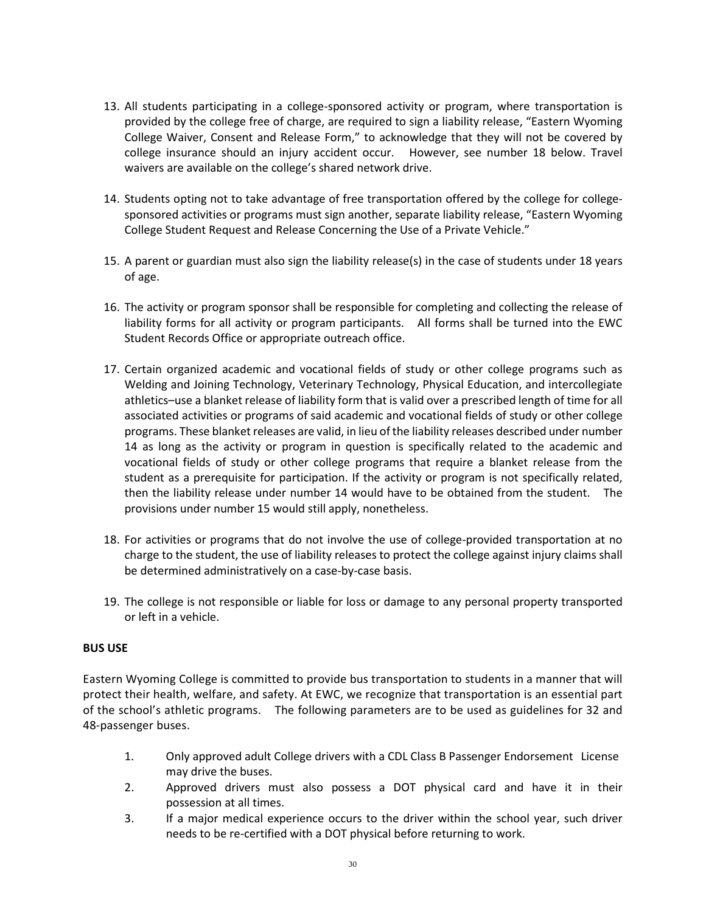- 13. All students participating in a college-sponsored activity or program, where transportation is provided by the college free of charge, are required to sign a liability release, "Eastern Wyoming College Waiver, Consent and Release Form," to acknowledge that they will not be covered by college insurance should an injury accident occur. However, see number 18 below. Travel waivers are available on the college's shared network drive.
- 14. Students opting not to take advantage of free transportation offered by the college for collegesponsored activities or programs must sign another, separate liability release, "Eastern Wyoming College Student Request and Release Concerning the Use of a Private Vehicle."
- 15. A parent or guardian must also sign the liability release(s) in the case of students under 18 years of age.
- 16. The activity or program sponsor shall be responsible for completing and collecting the release of liability forms for all activity or program participants. All forms shall be turned into the EWC Student Records Office or appropriate outreach office.
- 17. Certain organized academic and vocational fields of study or other college programs such as Welding and Joining Technology, Veterinary Technology, Physical Education, and intercollegiate athletics–use a blanket release of liability form that is valid over a prescribed length of time for all associated activities or programs of said academic and vocational fields of study or other college programs. These blanket releases are valid, in lieu of the liability releases described under number 14 as long as the activity or program in question is specifically related to the academic and vocational fields of study or other college programs that require a blanket release from the student as a prerequisite for participation. If the activity or program is not specifically related, then the liability release under number 14 would have to be obtained from the student. The provisions under number 15 would still apply, nonetheless.
- 18. For activities or programs that do not involve the use of college-provided transportation at no charge to the student, the use of liability releases to protect the college against injury claims shall be determined administratively on a case-by-case basis.
- 19. The college is not responsible or liable for loss or damage to any personal property transported or left in a vehicle.

#### **BUS USE**

Eastern Wyoming College is committed to provide bus transportation to students in a manner that will protect their health, welfare, and safety. At EWC, we recognize that transportation is an essential part of the school's athletic programs. The following parameters are to be used as guidelines for 32 and 48-passenger buses.

- 1. Only approved adult College drivers with a CDL Class B Passenger Endorsement License may drive the buses.
- 2. Approved drivers must also possess a DOT physical card and have it in their possession at all times.
- 3. If a major medical experience occurs to the driver within the school year, such driver needs to be re-certified with a DOT physical before returning to work.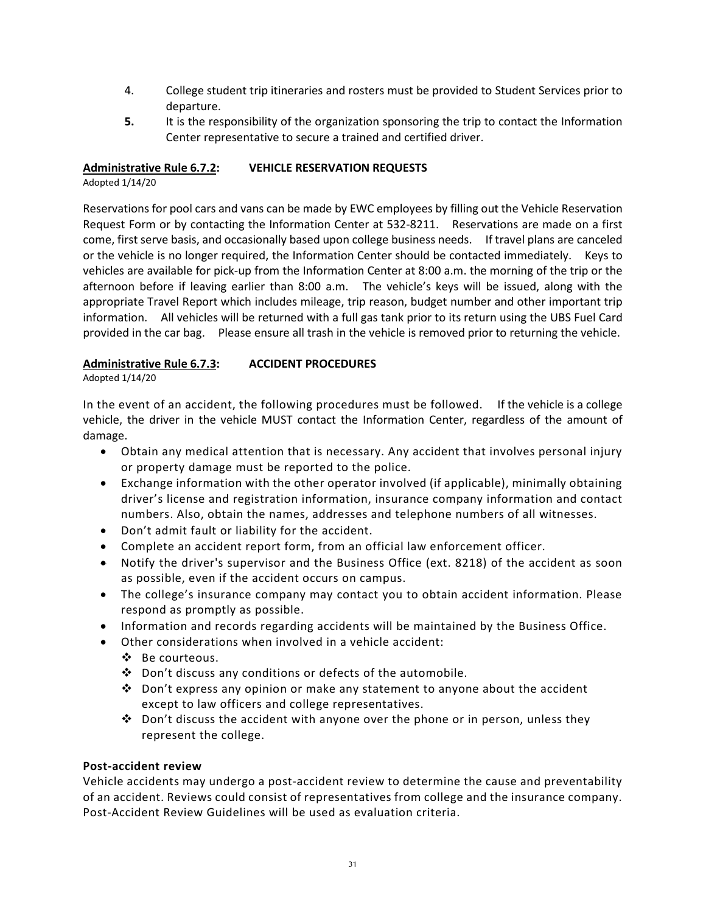- 4. College student trip itineraries and rosters must be provided to Student Services prior to departure.
- **5.** It is the responsibility of the organization sponsoring the trip to contact the Information Center representative to secure a trained and certified driver.

#### **Administrative Rule 6.7.2: VEHICLE RESERVATION REQUESTS**

Adopted 1/14/20

Reservations for pool cars and vans can be made by EWC employees by filling out the Vehicle Reservation Request Form or by contacting the Information Center at 532-8211. Reservations are made on a first come, first serve basis, and occasionally based upon college business needs. If travel plans are canceled or the vehicle is no longer required, the Information Center should be contacted immediately. Keys to vehicles are available for pick-up from the Information Center at 8:00 a.m. the morning of the trip or the afternoon before if leaving earlier than 8:00 a.m. The vehicle's keys will be issued, along with the appropriate Travel Report which includes mileage, trip reason, budget number and other important trip information. All vehicles will be returned with a full gas tank prior to its return using the UBS Fuel Card provided in the car bag. Please ensure all trash in the vehicle is removed prior to returning the vehicle.

#### **Administrative Rule 6.7.3: ACCIDENT PROCEDURES**

Adopted 1/14/20

In the event of an accident, the following procedures must be followed. If the vehicle is a college vehicle, the driver in the vehicle MUST contact the Information Center, regardless of the amount of damage.

- Obtain any medical attention that is necessary. Any accident that involves personal injury or property damage must be reported to the police.
- Exchange information with the other operator involved (if applicable), minimally obtaining driver's license and registration information, insurance company information and contact numbers. Also, obtain the names, addresses and telephone numbers of all witnesses.
- Don't admit fault or liability for the accident.
- Complete an accident report form, from an official law enforcement officer.
- Notify the driver's supervisor and the Business Office (ext. 8218) of the accident as soon as possible, even if the accident occurs on campus.
- The college's insurance company may contact you to obtain accident information. Please respond as promptly as possible.
- Information and records regarding accidents will be maintained by the Business Office.
- Other considerations when involved in a vehicle accident:
	- ❖ Be courteous.
	- $\mathbf{\hat{P}}$  Don't discuss any conditions or defects of the automobile.
	- Don't express any opinion or make any statement to anyone about the accident except to law officers and college representatives.
	- $\div$  Don't discuss the accident with anyone over the phone or in person, unless they represent the college.

#### **Post-accident review**

Vehicle accidents may undergo a post-accident review to determine the cause and preventability of an accident. Reviews could consist of representatives from college and the insurance company. Post-Accident Review Guidelines will be used as evaluation criteria.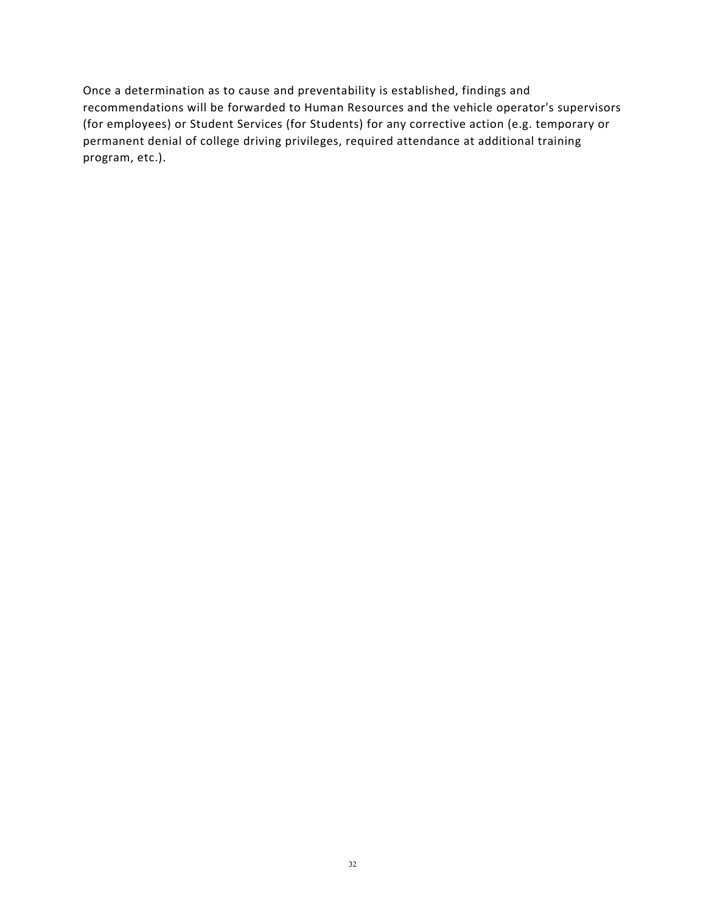Once a determination as to cause and preventability is established, findings and recommendations will be forwarded to Human Resources and the vehicle operator's supervisors (for employees) or Student Services (for Students) for any corrective action (e.g. temporary or permanent denial of college driving privileges, required attendance at additional training program, etc.).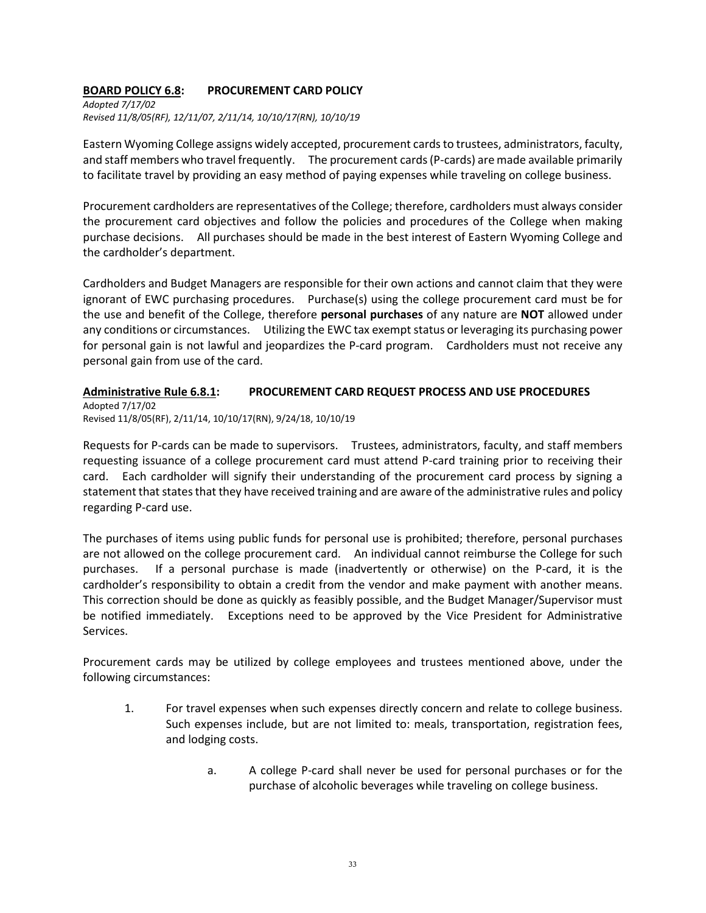#### **BOARD POLICY 6.8: PROCUREMENT CARD POLICY**

*Adopted 7/17/02 Revised 11/8/05(RF), 12/11/07, 2/11/14, 10/10/17(RN), 10/10/19*

Eastern Wyoming College assigns widely accepted, procurement cards to trustees, administrators, faculty, and staff members who travel frequently. The procurement cards (P-cards) are made available primarily to facilitate travel by providing an easy method of paying expenses while traveling on college business.

Procurement cardholders are representatives of the College; therefore, cardholders must always consider the procurement card objectives and follow the policies and procedures of the College when making purchase decisions. All purchases should be made in the best interest of Eastern Wyoming College and the cardholder's department.

Cardholders and Budget Managers are responsible for their own actions and cannot claim that they were ignorant of EWC purchasing procedures. Purchase(s) using the college procurement card must be for the use and benefit of the College, therefore **personal purchases** of any nature are **NOT** allowed under any conditions or circumstances. Utilizing the EWC tax exempt status or leveraging its purchasing power for personal gain is not lawful and jeopardizes the P-card program. Cardholders must not receive any personal gain from use of the card.

#### **Administrative Rule 6.8.1: PROCUREMENT CARD REQUEST PROCESS AND USE PROCEDURES**

Adopted 7/17/02 Revised 11/8/05(RF), 2/11/14, 10/10/17(RN), 9/24/18, 10/10/19

Requests for P-cards can be made to supervisors. Trustees, administrators, faculty, and staff members requesting issuance of a college procurement card must attend P-card training prior to receiving their card. Each cardholder will signify their understanding of the procurement card process by signing a statement that states that they have received training and are aware of the administrative rules and policy regarding P-card use.

The purchases of items using public funds for personal use is prohibited; therefore, personal purchases are not allowed on the college procurement card. An individual cannot reimburse the College for such purchases. If a personal purchase is made (inadvertently or otherwise) on the P-card, it is the cardholder's responsibility to obtain a credit from the vendor and make payment with another means. This correction should be done as quickly as feasibly possible, and the Budget Manager/Supervisor must be notified immediately. Exceptions need to be approved by the Vice President for Administrative Services.

Procurement cards may be utilized by college employees and trustees mentioned above, under the following circumstances:

- 1. For travel expenses when such expenses directly concern and relate to college business. Such expenses include, but are not limited to: meals, transportation, registration fees, and lodging costs.
	- a. A college P-card shall never be used for personal purchases or for the purchase of alcoholic beverages while traveling on college business.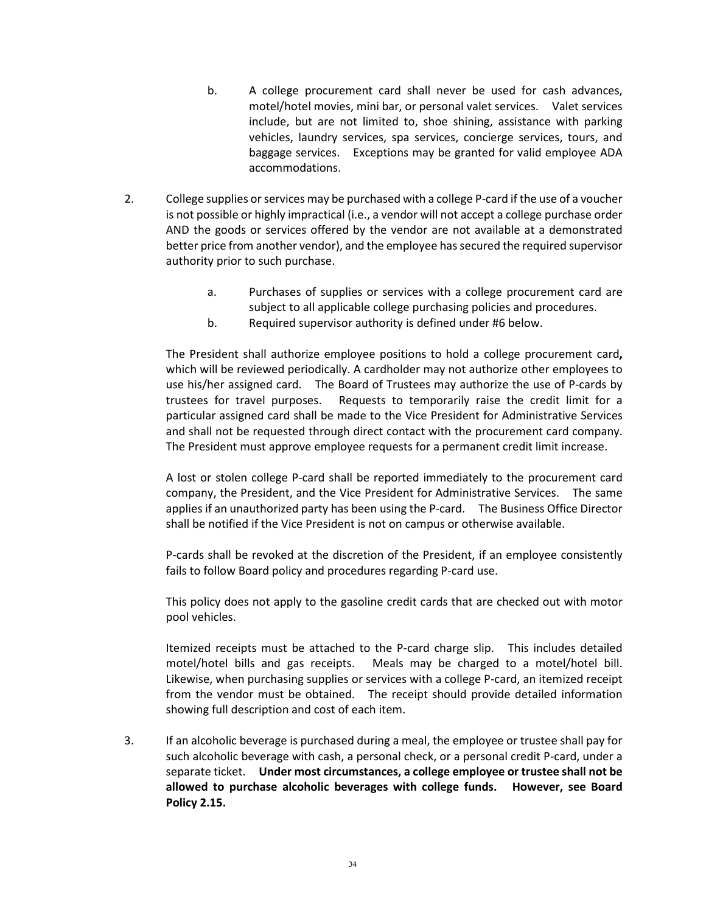- b. A college procurement card shall never be used for cash advances, motel/hotel movies, mini bar, or personal valet services. Valet services include, but are not limited to, shoe shining, assistance with parking vehicles, laundry services, spa services, concierge services, tours, and baggage services. Exceptions may be granted for valid employee ADA accommodations.
- 2. College supplies or services may be purchased with a college P-card if the use of a voucher is not possible or highly impractical (i.e., a vendor will not accept a college purchase order AND the goods or services offered by the vendor are not available at a demonstrated better price from another vendor), and the employee has secured the required supervisor authority prior to such purchase.
	- a. Purchases of supplies or services with a college procurement card are subject to all applicable college purchasing policies and procedures.
	- b. Required supervisor authority is defined under #6 below.

The President shall authorize employee positions to hold a college procurement card**,**  which will be reviewed periodically. A cardholder may not authorize other employees to use his/her assigned card. The Board of Trustees may authorize the use of P-cards by trustees for travel purposes. Requests to temporarily raise the credit limit for a particular assigned card shall be made to the Vice President for Administrative Services and shall not be requested through direct contact with the procurement card company. The President must approve employee requests for a permanent credit limit increase.

A lost or stolen college P-card shall be reported immediately to the procurement card company, the President, and the Vice President for Administrative Services. The same applies if an unauthorized party has been using the P-card. The Business Office Director shall be notified if the Vice President is not on campus or otherwise available.

P-cards shall be revoked at the discretion of the President, if an employee consistently fails to follow Board policy and procedures regarding P-card use.

This policy does not apply to the gasoline credit cards that are checked out with motor pool vehicles.

Itemized receipts must be attached to the P-card charge slip. This includes detailed motel/hotel bills and gas receipts. Meals may be charged to a motel/hotel bill. Likewise, when purchasing supplies or services with a college P-card, an itemized receipt from the vendor must be obtained. The receipt should provide detailed information showing full description and cost of each item.

3. If an alcoholic beverage is purchased during a meal, the employee or trustee shall pay for such alcoholic beverage with cash, a personal check, or a personal credit P-card, under a separate ticket. **Under most circumstances, a college employee or trustee shall not be allowed to purchase alcoholic beverages with college funds. However, see Board Policy 2.15.**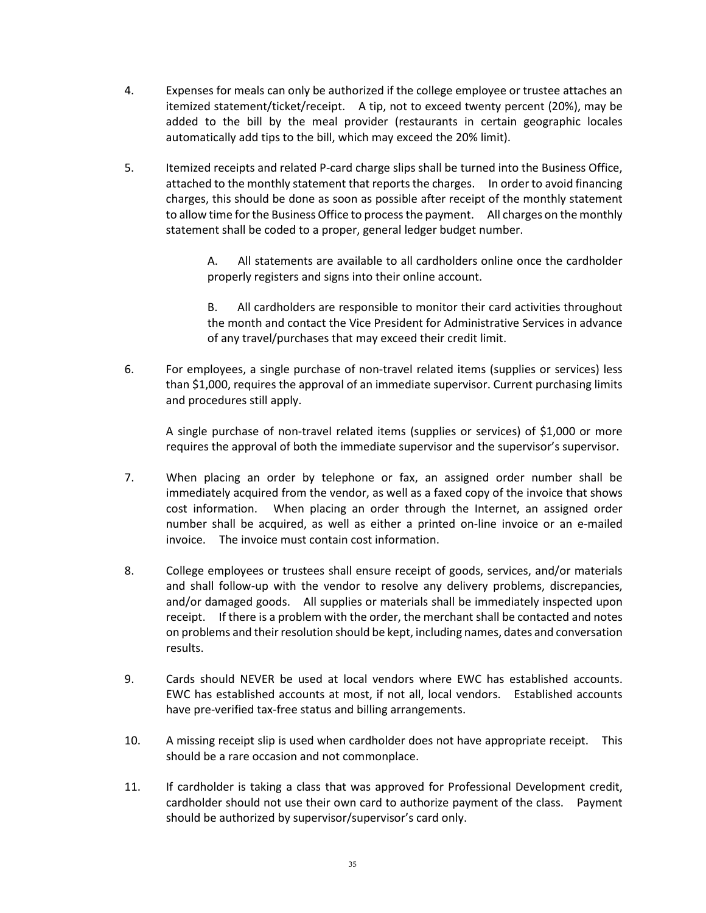- 4. Expenses for meals can only be authorized if the college employee or trustee attaches an itemized statement/ticket/receipt. A tip, not to exceed twenty percent (20%), may be added to the bill by the meal provider (restaurants in certain geographic locales automatically add tips to the bill, which may exceed the 20% limit).
- 5. Itemized receipts and related P-card charge slips shall be turned into the Business Office, attached to the monthly statement that reports the charges. In order to avoid financing charges, this should be done as soon as possible after receipt of the monthly statement to allow time for the Business Office to process the payment. All charges on the monthly statement shall be coded to a proper, general ledger budget number.

A. All statements are available to all cardholders online once the cardholder properly registers and signs into their online account.

B. All cardholders are responsible to monitor their card activities throughout the month and contact the Vice President for Administrative Services in advance of any travel/purchases that may exceed their credit limit.

6. For employees, a single purchase of non-travel related items (supplies or services) less than \$1,000, requires the approval of an immediate supervisor. Current purchasing limits and procedures still apply.

A single purchase of non-travel related items (supplies or services) of \$1,000 or more requires the approval of both the immediate supervisor and the supervisor's supervisor.

- 7. When placing an order by telephone or fax, an assigned order number shall be immediately acquired from the vendor, as well as a faxed copy of the invoice that shows cost information. When placing an order through the Internet, an assigned order number shall be acquired, as well as either a printed on-line invoice or an e-mailed invoice. The invoice must contain cost information.
- 8. College employees or trustees shall ensure receipt of goods, services, and/or materials and shall follow-up with the vendor to resolve any delivery problems, discrepancies, and/or damaged goods. All supplies or materials shall be immediately inspected upon receipt. If there is a problem with the order, the merchant shall be contacted and notes on problems and their resolution should be kept, including names, dates and conversation results.
- 9. Cards should NEVER be used at local vendors where EWC has established accounts. EWC has established accounts at most, if not all, local vendors. Established accounts have pre-verified tax-free status and billing arrangements.
- 10. A missing receipt slip is used when cardholder does not have appropriate receipt. This should be a rare occasion and not commonplace.
- 11. If cardholder is taking a class that was approved for Professional Development credit, cardholder should not use their own card to authorize payment of the class. Payment should be authorized by supervisor/supervisor's card only.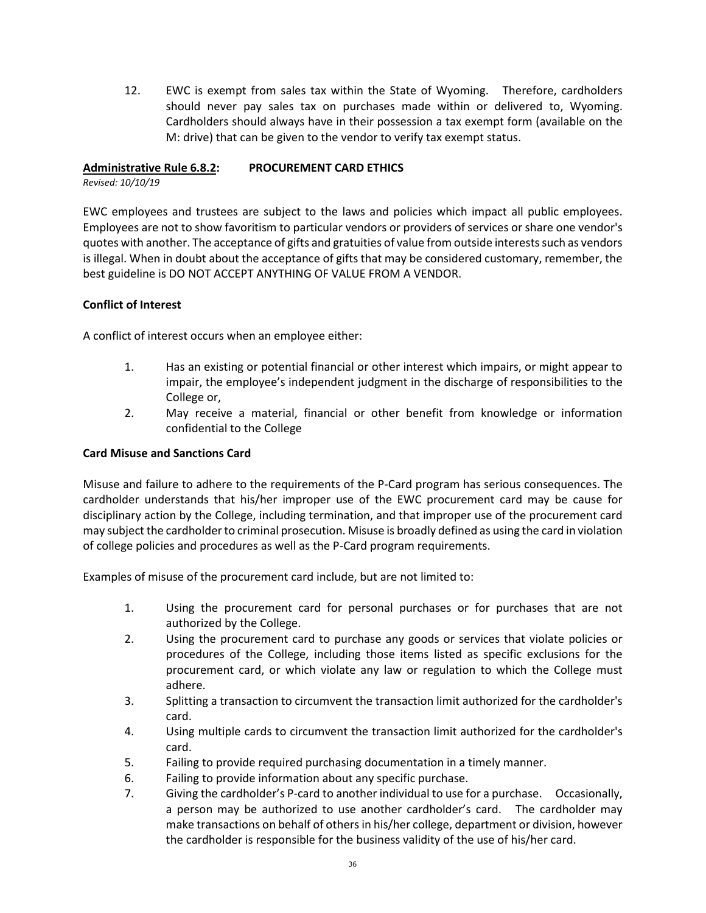12. EWC is exempt from sales tax within the State of Wyoming. Therefore, cardholders should never pay sales tax on purchases made within or delivered to, Wyoming. Cardholders should always have in their possession a tax exempt form (available on the M: drive) that can be given to the vendor to verify tax exempt status.

## **Administrative Rule 6.8.2: PROCUREMENT CARD ETHICS**

*Revised: 10/10/19*

EWC employees and trustees are subject to the laws and policies which impact all public employees. Employees are not to show favoritism to particular vendors or providers of services or share one vendor's quotes with another. The acceptance of gifts and gratuities of value from outside interests such as vendors is illegal. When in doubt about the acceptance of gifts that may be considered customary, remember, the best guideline is DO NOT ACCEPT ANYTHING OF VALUE FROM A VENDOR.

#### **Conflict of Interest**

A conflict of interest occurs when an employee either:

- 1. Has an existing or potential financial or other interest which impairs, or might appear to impair, the employee's independent judgment in the discharge of responsibilities to the College or,
- 2. May receive a material, financial or other benefit from knowledge or information confidential to the College

#### **Card Misuse and Sanctions Card**

Misuse and failure to adhere to the requirements of the P-Card program has serious consequences. The cardholder understands that his/her improper use of the EWC procurement card may be cause for disciplinary action by the College, including termination, and that improper use of the procurement card may subject the cardholder to criminal prosecution. Misuse is broadly defined as using the card in violation of college policies and procedures as well as the P-Card program requirements.

Examples of misuse of the procurement card include, but are not limited to:

- 1. Using the procurement card for personal purchases or for purchases that are not authorized by the College.
- 2. Using the procurement card to purchase any goods or services that violate policies or procedures of the College, including those items listed as specific exclusions for the procurement card, or which violate any law or regulation to which the College must adhere.
- 3. Splitting a transaction to circumvent the transaction limit authorized for the cardholder's card.
- 4. Using multiple cards to circumvent the transaction limit authorized for the cardholder's card.
- 5. Failing to provide required purchasing documentation in a timely manner.
- 6. Failing to provide information about any specific purchase.
- 7. Giving the cardholder's P-card to another individual to use for a purchase. Occasionally, a person may be authorized to use another cardholder's card. The cardholder may make transactions on behalf of others in his/her college, department or division, however the cardholder is responsible for the business validity of the use of his/her card.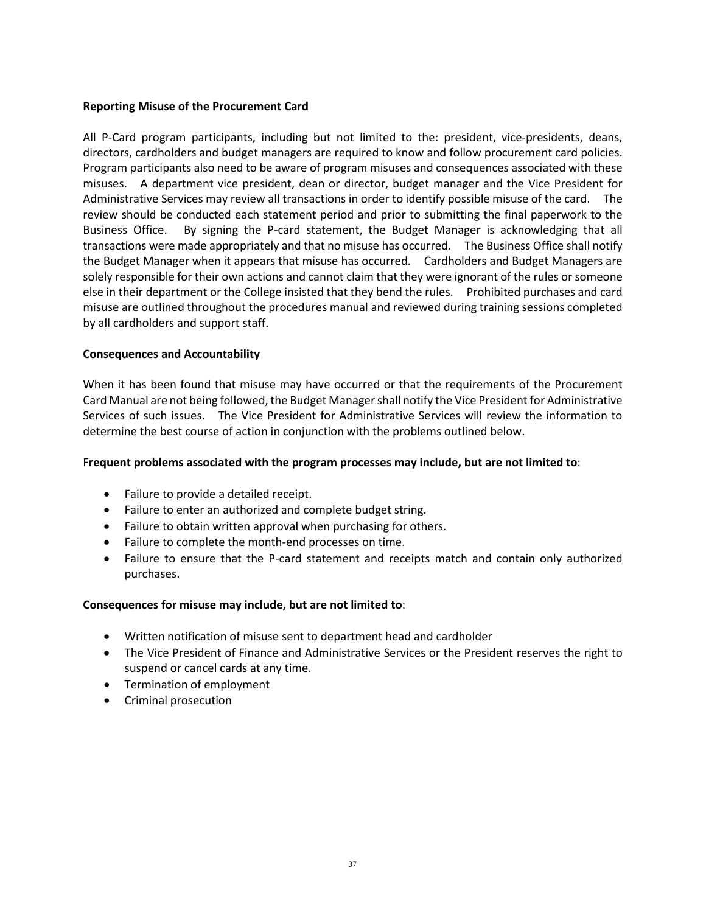#### **Reporting Misuse of the Procurement Card**

All P-Card program participants, including but not limited to the: president, vice-presidents, deans, directors, cardholders and budget managers are required to know and follow procurement card policies. Program participants also need to be aware of program misuses and consequences associated with these misuses. A department vice president, dean or director, budget manager and the Vice President for Administrative Services may review all transactions in order to identify possible misuse of the card. The review should be conducted each statement period and prior to submitting the final paperwork to the Business Office. By signing the P-card statement, the Budget Manager is acknowledging that all transactions were made appropriately and that no misuse has occurred. The Business Office shall notify the Budget Manager when it appears that misuse has occurred. Cardholders and Budget Managers are solely responsible for their own actions and cannot claim that they were ignorant of the rules or someone else in their department or the College insisted that they bend the rules. Prohibited purchases and card misuse are outlined throughout the procedures manual and reviewed during training sessions completed by all cardholders and support staff.

#### **Consequences and Accountability**

When it has been found that misuse may have occurred or that the requirements of the Procurement Card Manual are not being followed, the Budget Manager shall notify the Vice President for Administrative Services of such issues. The Vice President for Administrative Services will review the information to determine the best course of action in conjunction with the problems outlined below.

#### F**requent problems associated with the program processes may include, but are not limited to**:

- Failure to provide a detailed receipt.
- Failure to enter an authorized and complete budget string.
- Failure to obtain written approval when purchasing for others.
- Failure to complete the month-end processes on time.
- Failure to ensure that the P-card statement and receipts match and contain only authorized purchases.

#### **Consequences for misuse may include, but are not limited to**:

- Written notification of misuse sent to department head and cardholder
- The Vice President of Finance and Administrative Services or the President reserves the right to suspend or cancel cards at any time.
- Termination of employment
- Criminal prosecution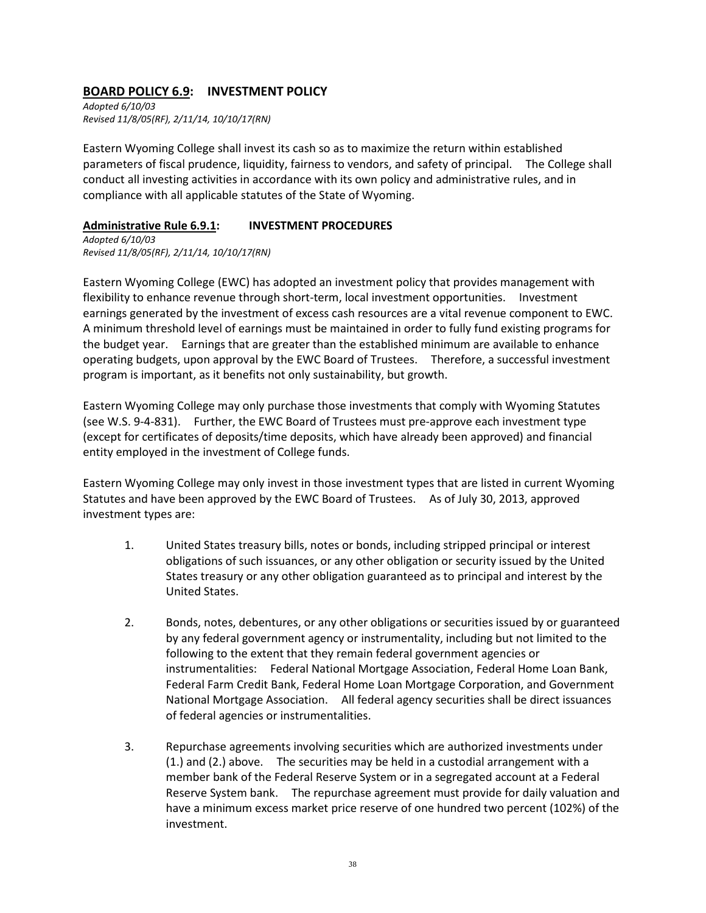## **BOARD POLICY 6.9: INVESTMENT POLICY**

*Adopted 6/10/03 Revised 11/8/05(RF), 2/11/14, 10/10/17(RN)*

Eastern Wyoming College shall invest its cash so as to maximize the return within established parameters of fiscal prudence, liquidity, fairness to vendors, and safety of principal. The College shall conduct all investing activities in accordance with its own policy and administrative rules, and in compliance with all applicable statutes of the State of Wyoming.

#### **Administrative Rule 6.9.1: INVESTMENT PROCEDURES**

*Adopted 6/10/03 Revised 11/8/05(RF), 2/11/14, 10/10/17(RN)*

Eastern Wyoming College (EWC) has adopted an investment policy that provides management with flexibility to enhance revenue through short-term, local investment opportunities. Investment earnings generated by the investment of excess cash resources are a vital revenue component to EWC. A minimum threshold level of earnings must be maintained in order to fully fund existing programs for the budget year. Earnings that are greater than the established minimum are available to enhance operating budgets, upon approval by the EWC Board of Trustees. Therefore, a successful investment program is important, as it benefits not only sustainability, but growth.

Eastern Wyoming College may only purchase those investments that comply with Wyoming Statutes (see W.S. 9-4-831). Further, the EWC Board of Trustees must pre-approve each investment type (except for certificates of deposits/time deposits, which have already been approved) and financial entity employed in the investment of College funds.

Eastern Wyoming College may only invest in those investment types that are listed in current Wyoming Statutes and have been approved by the EWC Board of Trustees. As of July 30, 2013, approved investment types are:

- 1. United States treasury bills, notes or bonds, including stripped principal or interest obligations of such issuances, or any other obligation or security issued by the United States treasury or any other obligation guaranteed as to principal and interest by the United States.
- 2. Bonds, notes, debentures, or any other obligations or securities issued by or guaranteed by any federal government agency or instrumentality, including but not limited to the following to the extent that they remain federal government agencies or instrumentalities: Federal National Mortgage Association, Federal Home Loan Bank, Federal Farm Credit Bank, Federal Home Loan Mortgage Corporation, and Government National Mortgage Association. All federal agency securities shall be direct issuances of federal agencies or instrumentalities.
- 3. Repurchase agreements involving securities which are authorized investments under (1.) and (2.) above. The securities may be held in a custodial arrangement with a member bank of the Federal Reserve System or in a segregated account at a Federal Reserve System bank. The repurchase agreement must provide for daily valuation and have a minimum excess market price reserve of one hundred two percent (102%) of the investment.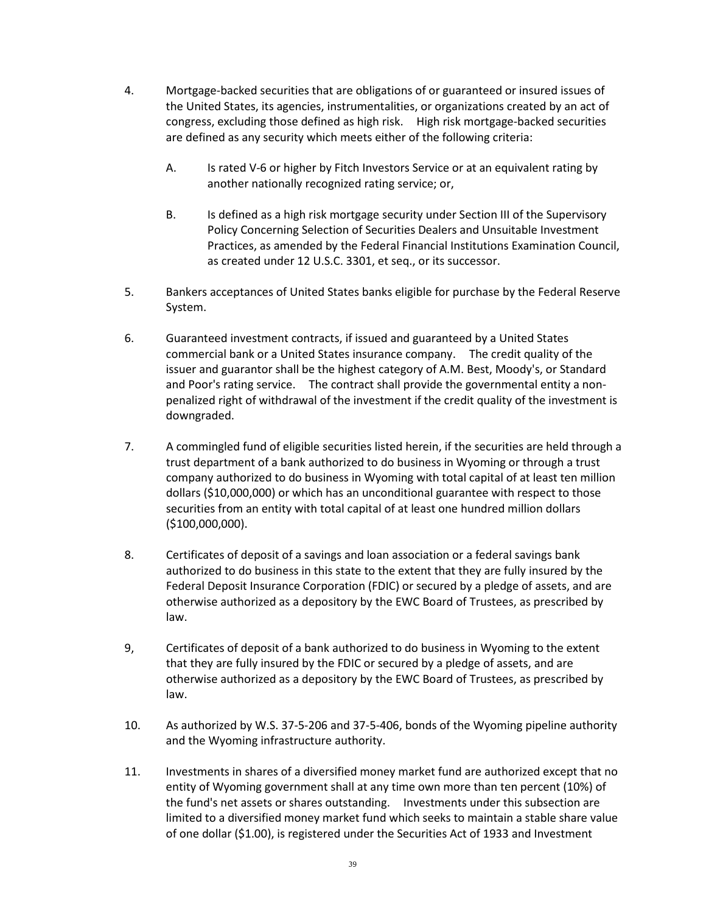- 4. Mortgage-backed securities that are obligations of or guaranteed or insured issues of the United States, its agencies, instrumentalities, or organizations created by an act of congress, excluding those defined as high risk. High risk mortgage-backed securities are defined as any security which meets either of the following criteria:
	- A. Is rated V-6 or higher by Fitch Investors Service or at an equivalent rating by another nationally recognized rating service; or,
	- B. Is defined as a high risk mortgage security under Section III of the Supervisory Policy Concerning Selection of Securities Dealers and Unsuitable Investment Practices, as amended by the Federal Financial Institutions Examination Council, as created under 12 U.S.C. 3301, et seq., or its successor.
- 5. Bankers acceptances of United States banks eligible for purchase by the Federal Reserve System.
- 6. Guaranteed investment contracts, if issued and guaranteed by a United States commercial bank or a United States insurance company. The credit quality of the issuer and guarantor shall be the highest category of A.M. Best, Moody's, or Standard and Poor's rating service. The contract shall provide the governmental entity a nonpenalized right of withdrawal of the investment if the credit quality of the investment is downgraded.
- 7. A commingled fund of eligible securities listed herein, if the securities are held through a trust department of a bank authorized to do business in Wyoming or through a trust company authorized to do business in Wyoming with total capital of at least ten million dollars (\$10,000,000) or which has an unconditional guarantee with respect to those securities from an entity with total capital of at least one hundred million dollars (\$100,000,000).
- 8. Certificates of deposit of a savings and loan association or a federal savings bank authorized to do business in this state to the extent that they are fully insured by the Federal Deposit Insurance Corporation (FDIC) or secured by a pledge of assets, and are otherwise authorized as a depository by the EWC Board of Trustees, as prescribed by law.
- 9, Certificates of deposit of a bank authorized to do business in Wyoming to the extent that they are fully insured by the FDIC or secured by a pledge of assets, and are otherwise authorized as a depository by the EWC Board of Trustees, as prescribed by law.
- 10. As authorized by W.S. 37-5-206 and 37-5-406, bonds of the Wyoming pipeline authority and the Wyoming infrastructure authority.
- 11. Investments in shares of a diversified money market fund are authorized except that no entity of Wyoming government shall at any time own more than ten percent (10%) of the fund's net assets or shares outstanding. Investments under this subsection are limited to a diversified money market fund which seeks to maintain a stable share value of one dollar (\$1.00), is registered under the Securities Act of 1933 and Investment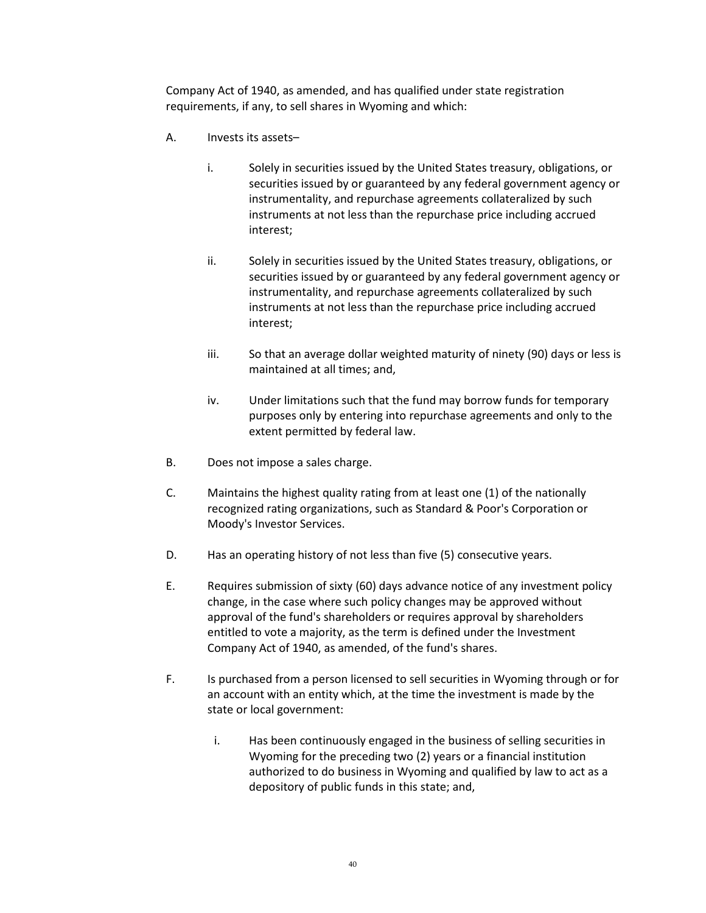Company Act of 1940, as amended, and has qualified under state registration requirements, if any, to sell shares in Wyoming and which:

- A. Invests its assets–
	- i. Solely in securities issued by the United States treasury, obligations, or securities issued by or guaranteed by any federal government agency or instrumentality, and repurchase agreements collateralized by such instruments at not less than the repurchase price including accrued interest;
	- ii. Solely in securities issued by the United States treasury, obligations, or securities issued by or guaranteed by any federal government agency or instrumentality, and repurchase agreements collateralized by such instruments at not less than the repurchase price including accrued interest;
	- iii. So that an average dollar weighted maturity of ninety (90) days or less is maintained at all times; and,
	- iv. Under limitations such that the fund may borrow funds for temporary purposes only by entering into repurchase agreements and only to the extent permitted by federal law.
- B. Does not impose a sales charge.
- C. Maintains the highest quality rating from at least one (1) of the nationally recognized rating organizations, such as Standard & Poor's Corporation or Moody's Investor Services.
- D. Has an operating history of not less than five (5) consecutive years.
- E. Requires submission of sixty (60) days advance notice of any investment policy change, in the case where such policy changes may be approved without approval of the fund's shareholders or requires approval by shareholders entitled to vote a majority, as the term is defined under the Investment Company Act of 1940, as amended, of the fund's shares.
- F. Is purchased from a person licensed to sell securities in Wyoming through or for an account with an entity which, at the time the investment is made by the state or local government:
	- i. Has been continuously engaged in the business of selling securities in Wyoming for the preceding two (2) years or a financial institution authorized to do business in Wyoming and qualified by law to act as a depository of public funds in this state; and,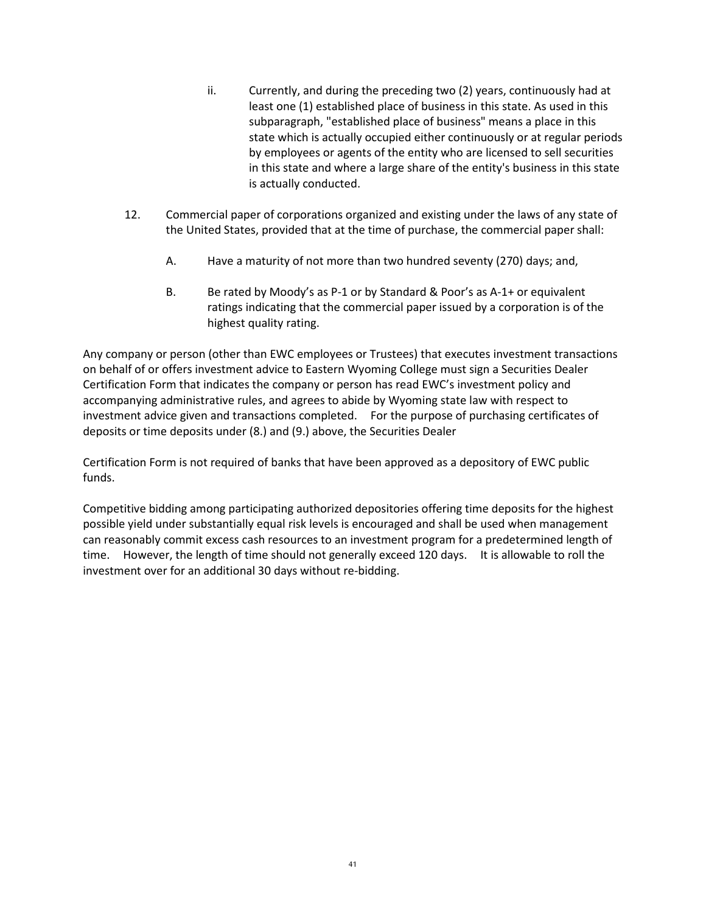- ii. Currently, and during the preceding two (2) years, continuously had at least one (1) established place of business in this state. As used in this subparagraph, "established place of business" means a place in this state which is actually occupied either continuously or at regular periods by employees or agents of the entity who are licensed to sell securities in this state and where a large share of the entity's business in this state is actually conducted.
- 12. Commercial paper of corporations organized and existing under the laws of any state of the United States, provided that at the time of purchase, the commercial paper shall:
	- A. Have a maturity of not more than two hundred seventy (270) days; and,
	- B. Be rated by Moody's as P-1 or by Standard & Poor's as A-1+ or equivalent ratings indicating that the commercial paper issued by a corporation is of the highest quality rating.

Any company or person (other than EWC employees or Trustees) that executes investment transactions on behalf of or offers investment advice to Eastern Wyoming College must sign a Securities Dealer Certification Form that indicates the company or person has read EWC's investment policy and accompanying administrative rules, and agrees to abide by Wyoming state law with respect to investment advice given and transactions completed. For the purpose of purchasing certificates of deposits or time deposits under (8.) and (9.) above, the Securities Dealer

Certification Form is not required of banks that have been approved as a depository of EWC public funds.

Competitive bidding among participating authorized depositories offering time deposits for the highest possible yield under substantially equal risk levels is encouraged and shall be used when management can reasonably commit excess cash resources to an investment program for a predetermined length of time. However, the length of time should not generally exceed 120 days. It is allowable to roll the investment over for an additional 30 days without re-bidding.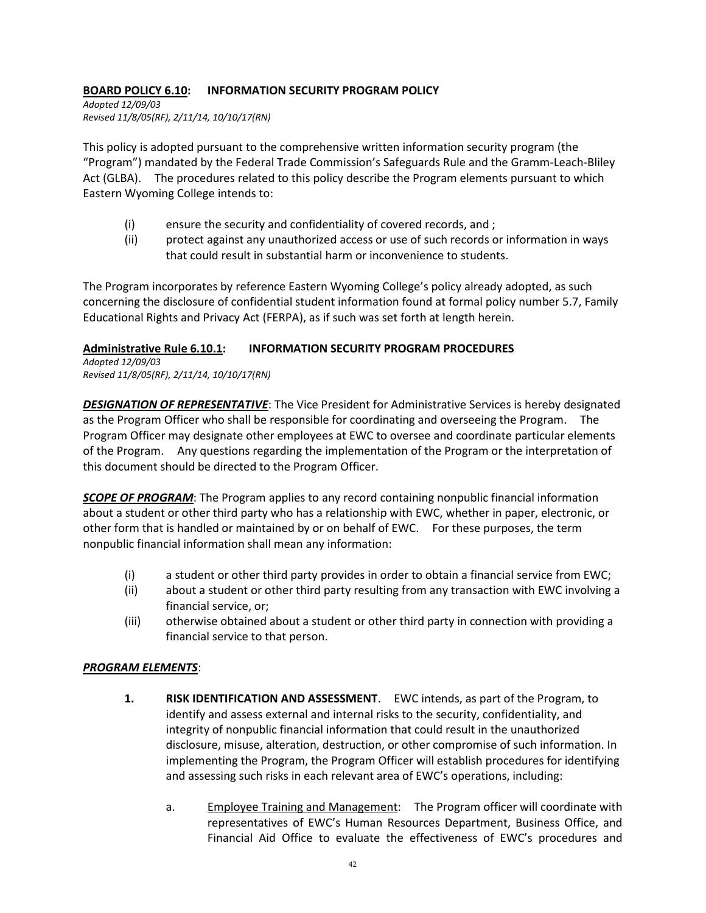## **BOARD POLICY 6.10: INFORMATION SECURITY PROGRAM POLICY**

*Adopted 12/09/03 Revised 11/8/05(RF), 2/11/14, 10/10/17(RN)*

This policy is adopted pursuant to the comprehensive written information security program (the "Program") mandated by the Federal Trade Commission's Safeguards Rule and the Gramm-Leach-Bliley Act (GLBA). The procedures related to this policy describe the Program elements pursuant to which Eastern Wyoming College intends to:

- (i) ensure the security and confidentiality of covered records, and ;
- (ii) protect against any unauthorized access or use of such records or information in ways that could result in substantial harm or inconvenience to students.

The Program incorporates by reference Eastern Wyoming College's policy already adopted, as such concerning the disclosure of confidential student information found at formal policy number 5.7, Family Educational Rights and Privacy Act (FERPA), as if such was set forth at length herein.

#### **Administrative Rule 6.10.1: INFORMATION SECURITY PROGRAM PROCEDURES**

*Adopted 12/09/03 Revised 11/8/05(RF), 2/11/14, 10/10/17(RN)*

*DESIGNATION OF REPRESENTATIVE*: The Vice President for Administrative Services is hereby designated as the Program Officer who shall be responsible for coordinating and overseeing the Program. The Program Officer may designate other employees at EWC to oversee and coordinate particular elements of the Program. Any questions regarding the implementation of the Program or the interpretation of this document should be directed to the Program Officer.

*SCOPE OF PROGRAM*: The Program applies to any record containing nonpublic financial information about a student or other third party who has a relationship with EWC, whether in paper, electronic, or other form that is handled or maintained by or on behalf of EWC. For these purposes, the term nonpublic financial information shall mean any information:

- (i) a student or other third party provides in order to obtain a financial service from EWC;
- (ii) about a student or other third party resulting from any transaction with EWC involving a financial service, or;
- (iii) otherwise obtained about a student or other third party in connection with providing a financial service to that person.

#### *PROGRAM ELEMENTS*:

- **1. RISK IDENTIFICATION AND ASSESSMENT**. EWC intends, as part of the Program, to identify and assess external and internal risks to the security, confidentiality, and integrity of nonpublic financial information that could result in the unauthorized disclosure, misuse, alteration, destruction, or other compromise of such information. In implementing the Program, the Program Officer will establish procedures for identifying and assessing such risks in each relevant area of EWC's operations, including:
	- a. Employee Training and Management: The Program officer will coordinate with representatives of EWC's Human Resources Department, Business Office, and Financial Aid Office to evaluate the effectiveness of EWC's procedures and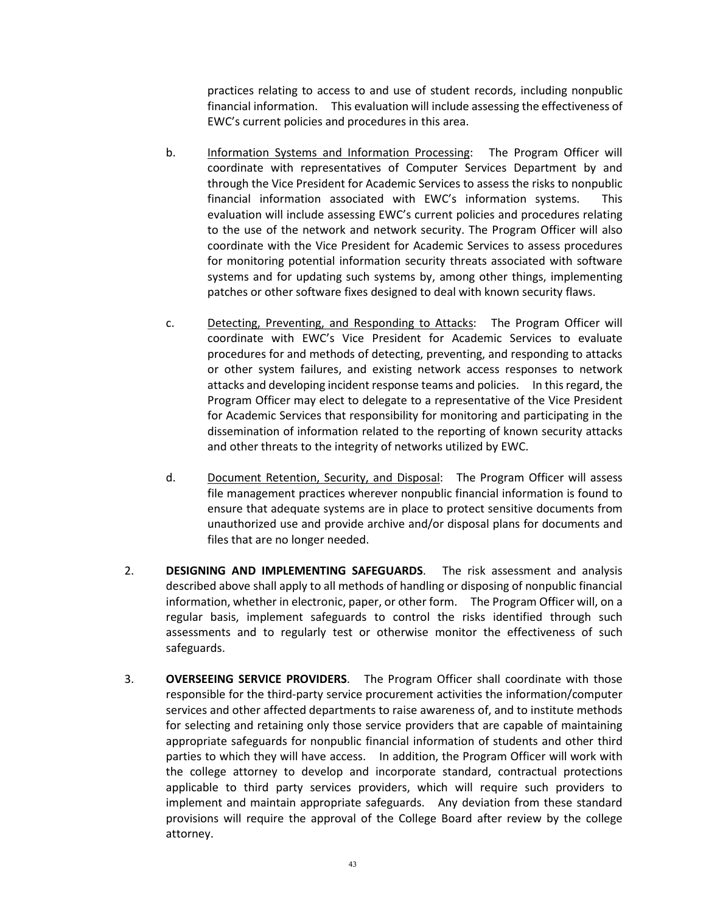practices relating to access to and use of student records, including nonpublic financial information. This evaluation will include assessing the effectiveness of EWC's current policies and procedures in this area.

- b. Information Systems and Information Processing: The Program Officer will coordinate with representatives of Computer Services Department by and through the Vice President for Academic Services to assess the risks to nonpublic financial information associated with EWC's information systems. This evaluation will include assessing EWC's current policies and procedures relating to the use of the network and network security. The Program Officer will also coordinate with the Vice President for Academic Services to assess procedures for monitoring potential information security threats associated with software systems and for updating such systems by, among other things, implementing patches or other software fixes designed to deal with known security flaws.
- c. Detecting, Preventing, and Responding to Attacks: The Program Officer will coordinate with EWC's Vice President for Academic Services to evaluate procedures for and methods of detecting, preventing, and responding to attacks or other system failures, and existing network access responses to network attacks and developing incident response teams and policies. In this regard, the Program Officer may elect to delegate to a representative of the Vice President for Academic Services that responsibility for monitoring and participating in the dissemination of information related to the reporting of known security attacks and other threats to the integrity of networks utilized by EWC.
- d. Document Retention, Security, and Disposal: The Program Officer will assess file management practices wherever nonpublic financial information is found to ensure that adequate systems are in place to protect sensitive documents from unauthorized use and provide archive and/or disposal plans for documents and files that are no longer needed.
- 2. **DESIGNING AND IMPLEMENTING SAFEGUARDS**. The risk assessment and analysis described above shall apply to all methods of handling or disposing of nonpublic financial information, whether in electronic, paper, or other form. The Program Officer will, on a regular basis, implement safeguards to control the risks identified through such assessments and to regularly test or otherwise monitor the effectiveness of such safeguards.
- 3. **OVERSEEING SERVICE PROVIDERS**. The Program Officer shall coordinate with those responsible for the third-party service procurement activities the information/computer services and other affected departments to raise awareness of, and to institute methods for selecting and retaining only those service providers that are capable of maintaining appropriate safeguards for nonpublic financial information of students and other third parties to which they will have access. In addition, the Program Officer will work with the college attorney to develop and incorporate standard, contractual protections applicable to third party services providers, which will require such providers to implement and maintain appropriate safeguards. Any deviation from these standard provisions will require the approval of the College Board after review by the college attorney.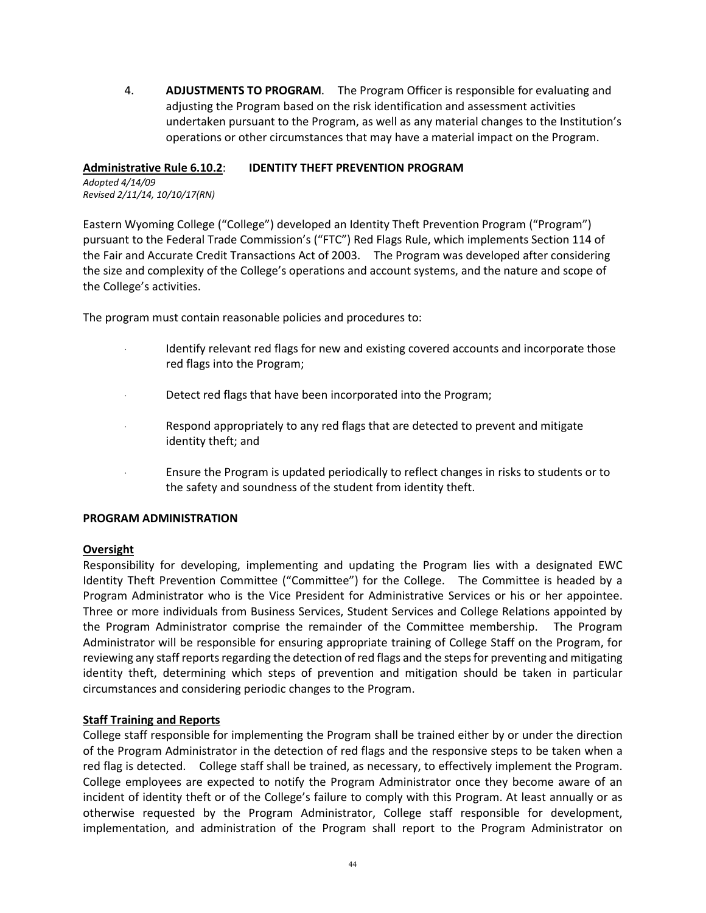4. **ADJUSTMENTS TO PROGRAM**. The Program Officer is responsible for evaluating and adjusting the Program based on the risk identification and assessment activities undertaken pursuant to the Program, as well as any material changes to the Institution's operations or other circumstances that may have a material impact on the Program.

#### **Administrative Rule 6.10.2**: **IDENTITY THEFT PREVENTION PROGRAM**

*Adopted 4/14/09 Revised 2/11/14, 10/10/17(RN)*

Eastern Wyoming College ("College") developed an Identity Theft Prevention Program ("Program") pursuant to the Federal Trade Commission's ("FTC") Red Flags Rule, which implements Section 114 of the Fair and Accurate Credit Transactions Act of 2003. The Program was developed after considering the size and complexity of the College's operations and account systems, and the nature and scope of the College's activities.

The program must contain reasonable policies and procedures to:

- Identify relevant red flags for new and existing covered accounts and incorporate those red flags into the Program;
- Detect red flags that have been incorporated into the Program;
- Respond appropriately to any red flags that are detected to prevent and mitigate identity theft; and
- · Ensure the Program is updated periodically to reflect changes in risks to students or to the safety and soundness of the student from identity theft.

#### **PROGRAM ADMINISTRATION**

#### **Oversight**

Responsibility for developing, implementing and updating the Program lies with a designated EWC Identity Theft Prevention Committee ("Committee") for the College. The Committee is headed by a Program Administrator who is the Vice President for Administrative Services or his or her appointee. Three or more individuals from Business Services, Student Services and College Relations appointed by the Program Administrator comprise the remainder of the Committee membership. The Program Administrator will be responsible for ensuring appropriate training of College Staff on the Program, for reviewing any staff reports regarding the detection of red flags and the steps for preventing and mitigating identity theft, determining which steps of prevention and mitigation should be taken in particular circumstances and considering periodic changes to the Program.

#### **Staff Training and Reports**

College staff responsible for implementing the Program shall be trained either by or under the direction of the Program Administrator in the detection of red flags and the responsive steps to be taken when a red flag is detected. College staff shall be trained, as necessary, to effectively implement the Program. College employees are expected to notify the Program Administrator once they become aware of an incident of identity theft or of the College's failure to comply with this Program. At least annually or as otherwise requested by the Program Administrator, College staff responsible for development, implementation, and administration of the Program shall report to the Program Administrator on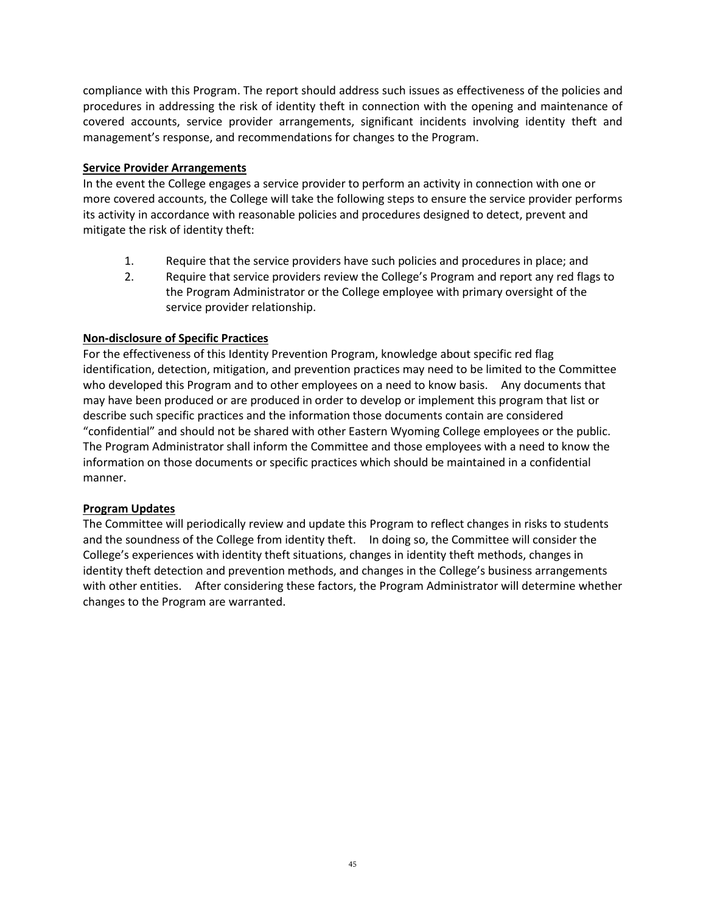compliance with this Program. The report should address such issues as effectiveness of the policies and procedures in addressing the risk of identity theft in connection with the opening and maintenance of covered accounts, service provider arrangements, significant incidents involving identity theft and management's response, and recommendations for changes to the Program.

#### **Service Provider Arrangements**

In the event the College engages a service provider to perform an activity in connection with one or more covered accounts, the College will take the following steps to ensure the service provider performs its activity in accordance with reasonable policies and procedures designed to detect, prevent and mitigate the risk of identity theft:

- 1. Require that the service providers have such policies and procedures in place; and
- 2. Require that service providers review the College's Program and report any red flags to the Program Administrator or the College employee with primary oversight of the service provider relationship.

#### **Non-disclosure of Specific Practices**

For the effectiveness of this Identity Prevention Program, knowledge about specific red flag identification, detection, mitigation, and prevention practices may need to be limited to the Committee who developed this Program and to other employees on a need to know basis. Any documents that may have been produced or are produced in order to develop or implement this program that list or describe such specific practices and the information those documents contain are considered "confidential" and should not be shared with other Eastern Wyoming College employees or the public. The Program Administrator shall inform the Committee and those employees with a need to know the information on those documents or specific practices which should be maintained in a confidential manner.

#### **Program Updates**

The Committee will periodically review and update this Program to reflect changes in risks to students and the soundness of the College from identity theft. In doing so, the Committee will consider the College's experiences with identity theft situations, changes in identity theft methods, changes in identity theft detection and prevention methods, and changes in the College's business arrangements with other entities. After considering these factors, the Program Administrator will determine whether changes to the Program are warranted.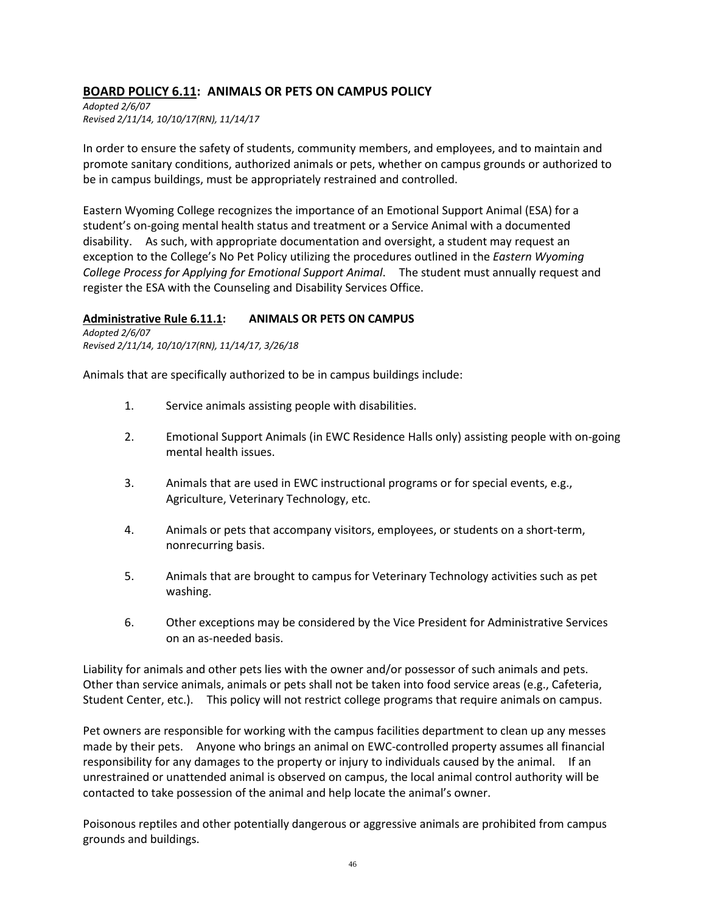## **BOARD POLICY 6.11: ANIMALS OR PETS ON CAMPUS POLICY**

*Adopted 2/6/07 Revised 2/11/14, 10/10/17(RN), 11/14/17*

In order to ensure the safety of students, community members, and employees, and to maintain and promote sanitary conditions, authorized animals or pets, whether on campus grounds or authorized to be in campus buildings, must be appropriately restrained and controlled.

Eastern Wyoming College recognizes the importance of an Emotional Support Animal (ESA) for a student's on-going mental health status and treatment or a Service Animal with a documented disability. As such, with appropriate documentation and oversight, a student may request an exception to the College's No Pet Policy utilizing the procedures outlined in the *Eastern Wyoming College Process for Applying for Emotional Support Animal*. The student must annually request and register the ESA with the Counseling and Disability Services Office.

#### **Administrative Rule 6.11.1: ANIMALS OR PETS ON CAMPUS**

*Adopted 2/6/07 Revised 2/11/14, 10/10/17(RN), 11/14/17, 3/26/18*

Animals that are specifically authorized to be in campus buildings include:

- 1. Service animals assisting people with disabilities.
- 2. Emotional Support Animals (in EWC Residence Halls only) assisting people with on-going mental health issues.
- 3. Animals that are used in EWC instructional programs or for special events, e.g., Agriculture, Veterinary Technology, etc.
- 4. Animals or pets that accompany visitors, employees, or students on a short-term, nonrecurring basis.
- 5. Animals that are brought to campus for Veterinary Technology activities such as pet washing.
- 6. Other exceptions may be considered by the Vice President for Administrative Services on an as-needed basis.

Liability for animals and other pets lies with the owner and/or possessor of such animals and pets. Other than service animals, animals or pets shall not be taken into food service areas (e.g., Cafeteria, Student Center, etc.). This policy will not restrict college programs that require animals on campus.

Pet owners are responsible for working with the campus facilities department to clean up any messes made by their pets. Anyone who brings an animal on EWC-controlled property assumes all financial responsibility for any damages to the property or injury to individuals caused by the animal. If an unrestrained or unattended animal is observed on campus, the local animal control authority will be contacted to take possession of the animal and help locate the animal's owner.

Poisonous reptiles and other potentially dangerous or aggressive animals are prohibited from campus grounds and buildings.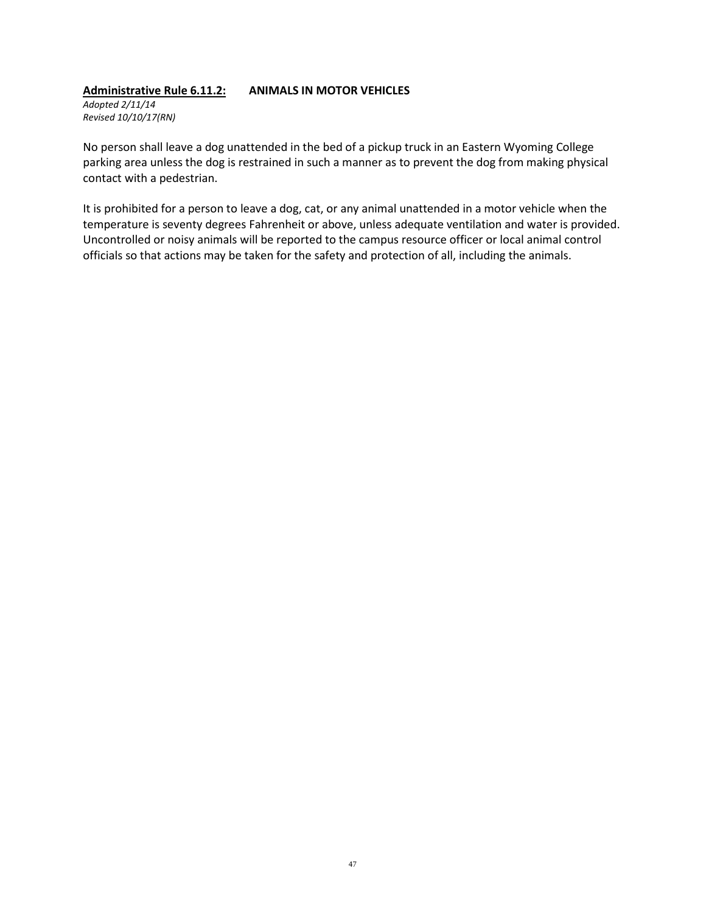### **Administrative Rule 6.11.2: ANIMALS IN MOTOR VEHICLES**

*Adopted 2/11/14 Revised 10/10/17(RN)*

No person shall leave a dog unattended in the bed of a pickup truck in an Eastern Wyoming College parking area unless the dog is restrained in such a manner as to prevent the dog from making physical contact with a pedestrian.

It is prohibited for a person to leave a dog, cat, or any animal unattended in a motor vehicle when the temperature is seventy degrees Fahrenheit or above, unless adequate ventilation and water is provided. Uncontrolled or noisy animals will be reported to the campus resource officer or local animal control officials so that actions may be taken for the safety and protection of all, including the animals.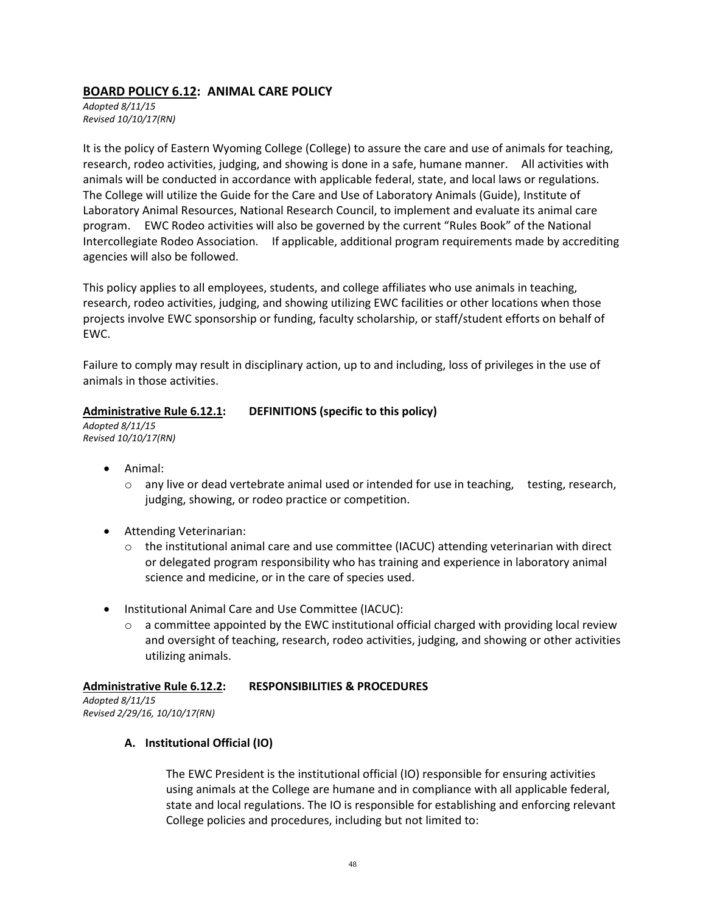## **BOARD POLICY 6.12: ANIMAL CARE POLICY**

*Adopted 8/11/15 Revised 10/10/17(RN)*

It is the policy of Eastern Wyoming College (College) to assure the care and use of animals for teaching, research, rodeo activities, judging, and showing is done in a safe, humane manner. All activities with animals will be conducted in accordance with applicable federal, state, and local laws or regulations. The College will utilize the [Guide for the Care and Use of Laboratory Animals](http://grants.nih.gov/grants/olaw/Guide-for-the-Care-and-Use-of-Laboratory-Animals.pdf) (Guide), Institute of Laboratory Animal Resources, National Research Council, to implement and evaluate its animal care program. EWC Rodeo activities will also be governed by the current "Rules Book" of the National Intercollegiate Rodeo Association. If applicable, additional program requirements made by accrediting agencies will also be followed.

This policy applies to all employees, students, and college affiliates who use animals in teaching, research, rodeo activities, judging, and showing utilizing EWC facilities or other locations when those projects involve EWC sponsorship or funding, faculty scholarship, or staff/student efforts on behalf of EWC.

Failure to comply may result in disciplinary action, up to and including, loss of privileges in the use of animals in those activities.

#### **Administrative Rule 6.12.1: DEFINITIONS (specific to this policy)**

*Adopted 8/11/15 Revised 10/10/17(RN)*

- Animal:
	- $\circ$  any live or dead vertebrate animal used or intended for use in teaching, testing, research, judging, showing, or rodeo practice or competition.
- Attending Veterinarian:
	- $\circ$  the institutional animal care and use committee (IACUC) attending veterinarian with direct or delegated program responsibility who has training and experience in laboratory animal science and medicine, or in the care of species used.
- Institutional Animal Care and Use Committee (IACUC):
	- $\circ$  a committee appointed by the EWC institutional official charged with providing local review and oversight of teaching, research, rodeo activities, judging, and showing or other activities utilizing animals.

#### **Administrative Rule 6.12.2: RESPONSIBILITIES & PROCEDURES**

*Adopted 8/11/15 Revised 2/29/16, 10/10/17(RN)*

#### **A. Institutional Official (IO)**

The EWC President is the institutional official (IO) responsible for ensuring activities using animals at the College are humane and in compliance with all applicable federal, state and local regulations. The IO is responsible for establishing and enforcing relevant College policies and procedures, including but not limited to: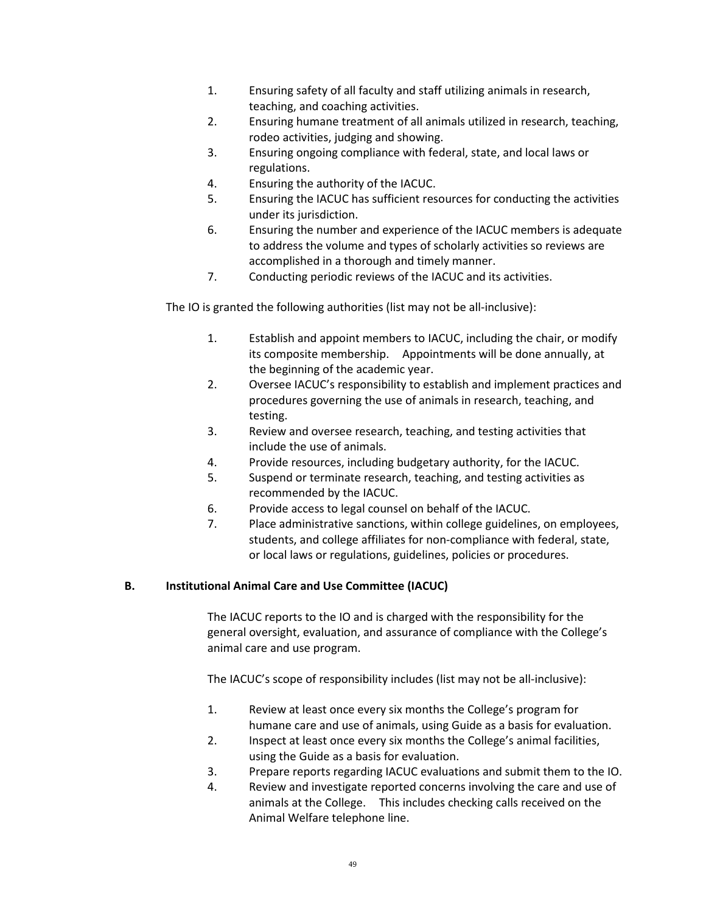- 1. Ensuring safety of all faculty and staff utilizing animals in research, teaching, and coaching activities.
- 2. Ensuring humane treatment of all animals utilized in research, teaching, rodeo activities, judging and showing.
- 3. Ensuring ongoing compliance with federal, state, and local laws or regulations.
- 4. Ensuring the authority of the IACUC.
- 5. Ensuring the IACUC has sufficient resources for conducting the activities under its jurisdiction.
- 6. Ensuring the number and experience of the IACUC members is adequate to address the volume and types of scholarly activities so reviews are accomplished in a thorough and timely manner.
- 7. Conducting periodic reviews of the IACUC and its activities.

The IO is granted the following authorities (list may not be all-inclusive):

- 1. Establish and appoint members to IACUC, including the chair, or modify its composite membership. Appointments will be done annually, at the beginning of the academic year.
- 2. Oversee IACUC's responsibility to establish and implement practices and procedures governing the use of animals in research, teaching, and testing.
- 3. Review and oversee research, teaching, and testing activities that include the use of animals.
- 4. Provide resources, including budgetary authority, for the IACUC.
- 5. Suspend or terminate research, teaching, and testing activities as recommended by the IACUC.
- 6. Provide access to legal counsel on behalf of the IACUC.
- 7. Place administrative sanctions, within college guidelines, on employees, students, and college affiliates for non-compliance with federal, state, or local laws or regulations, guidelines, policies or procedures.

## **B. Institutional Animal Care and Use Committee (IACUC)**

The IACUC reports to the IO and is charged with the responsibility for the general oversight, evaluation, and assurance of compliance with the College's animal care and use program.

The IACUC's scope of responsibility includes (list may not be all-inclusive):

- 1. Review at least once every six months the College's program for humane care and use of animals, using Guide as a basis for evaluation.
- 2. Inspect at least once every six months the College's animal facilities, using the Guide as a basis for evaluation.
- 3. Prepare reports regarding IACUC evaluations and submit them to the IO.
- 4. Review and investigate reported concerns involving the care and use of animals at the College. This includes checking calls received on the Animal Welfare telephone line.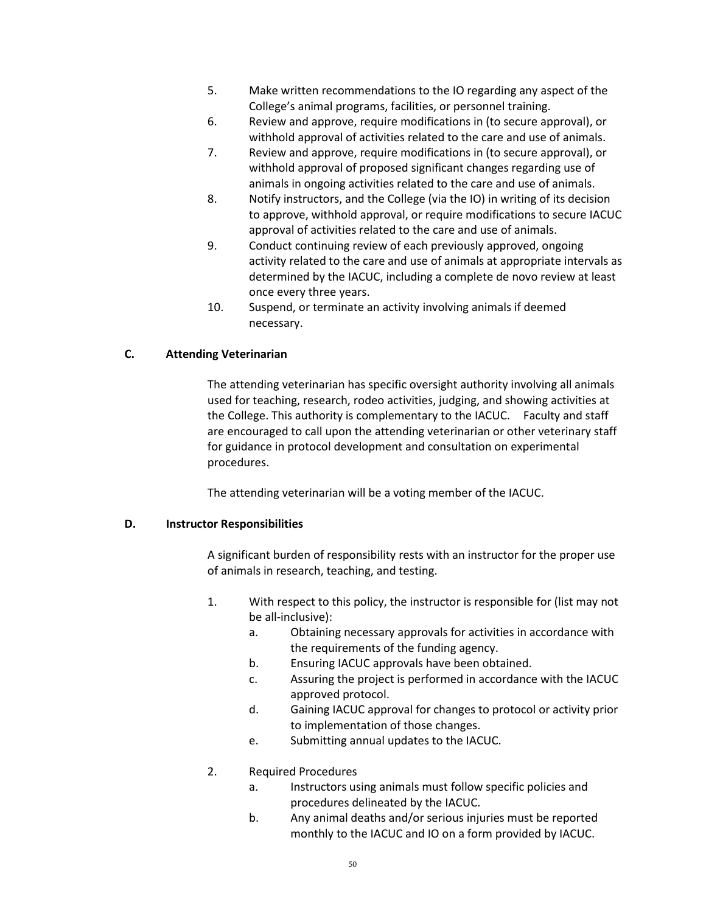- 5. Make written recommendations to the IO regarding any aspect of the College's animal programs, facilities, or personnel training.
- 6. Review and approve, require modifications in (to secure approval), or withhold approval of activities related to the care and use of animals.
- 7. Review and approve, require modifications in (to secure approval), or withhold approval of proposed significant changes regarding use of animals in ongoing activities related to the care and use of animals.
- 8. Notify instructors, and the College (via the IO) in writing of its decision to approve, withhold approval, or require modifications to secure IACUC approval of activities related to the care and use of animals.
- 9. Conduct continuing review of each previously approved, ongoing activity related to the care and use of animals at appropriate intervals as determined by the IACUC, including a complete de novo review at least once every three years.
- 10. Suspend, or terminate an activity involving animals if deemed necessary.

#### **C. Attending Veterinarian**

The attending veterinarian has specific oversight authority involving all animals used for teaching, research, rodeo activities, judging, and showing activities at the College. This authority is complementary to the IACUC. Faculty and staff are encouraged to call upon the attending veterinarian or other veterinary staff for guidance in protocol development and consultation on experimental procedures.

The attending veterinarian will be a voting member of the IACUC.

#### **D. Instructor Responsibilities**

A significant burden of responsibility rests with an instructor for the proper use of animals in research, teaching, and testing.

- 1. With respect to this policy, the instructor is responsible for (list may not be all-inclusive):
	- a. Obtaining necessary approvals for activities in accordance with the requirements of the funding agency.
	- b. Ensuring IACUC approvals have been obtained.
	- c. Assuring the project is performed in accordance with the IACUC approved protocol.
	- d. Gaining IACUC approval for changes to protocol or activity prior to implementation of those changes.
	- e. Submitting annual updates to the IACUC.
- 2. Required Procedures
	- a. Instructors using animals must follow specific policies and procedures delineated by the IACUC.
	- b. Any animal deaths and/or serious injuries must be reported monthly to the IACUC and IO on a form provided by IACUC.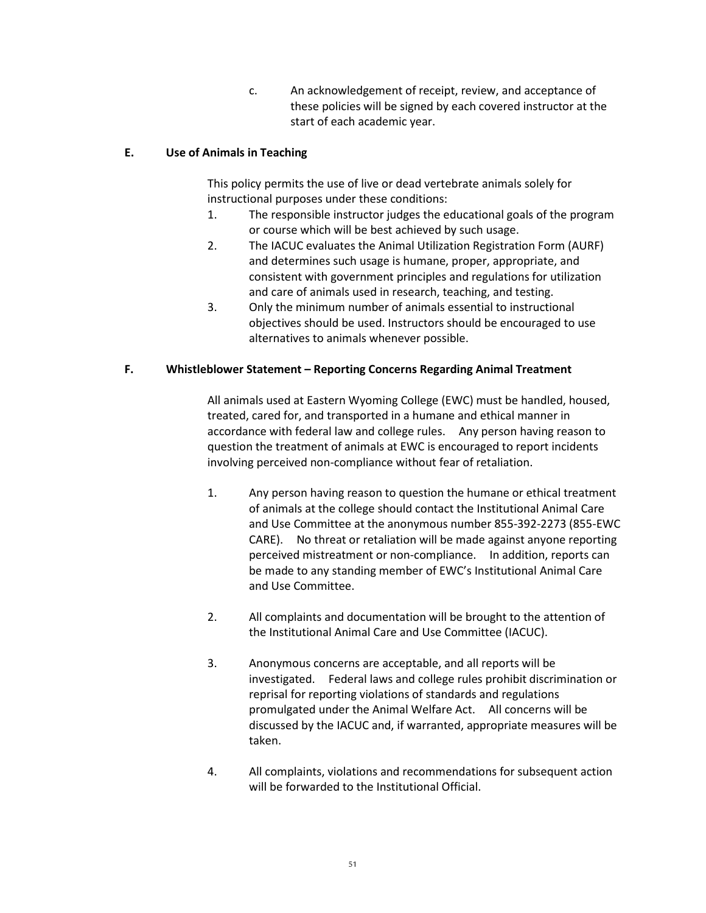c. An acknowledgement of receipt, review, and acceptance of these policies will be signed by each covered instructor at the start of each academic year.

## **E. Use of Animals in Teaching**

This policy permits the use of live or dead vertebrate animals solely for instructional purposes under these conditions:

- 1. The responsible instructor judges the educational goals of the program or course which will be best achieved by such usage.
- 2. The IACUC evaluates the Animal Utilization Registration Form (AURF) and determines such usage is humane, proper, appropriate, and consistent with government principles and regulations for utilization and care of animals used in research, teaching, and testing.
- 3. Only the minimum number of animals essential to instructional objectives should be used. Instructors should be encouraged to use alternatives to animals whenever possible.

#### **F. Whistleblower Statement – Reporting Concerns Regarding Animal Treatment**

All animals used at Eastern Wyoming College (EWC) must be handled, housed, treated, cared for, and transported in a humane and ethical manner in accordance with federal law and college rules. Any person having reason to question the treatment of animals at EWC is encouraged to report incidents involving perceived non-compliance without fear of retaliation.

- 1. Any person having reason to question the humane or ethical treatment of animals at the college should contact the Institutional Animal Care and Use Committee at the anonymous number 855-392-2273 (855-EWC CARE). No threat or retaliation will be made against anyone reporting perceived mistreatment or non-compliance. In addition, reports can be made to any standing member of EWC's Institutional Animal Care and Use Committee.
- 2. All complaints and documentation will be brought to the attention of the Institutional Animal Care and Use Committee (IACUC).
- 3. Anonymous concerns are acceptable, and all reports will be investigated. Federal laws and college rules prohibit discrimination or reprisal for reporting violations of standards and regulations promulgated under the Animal Welfare Act. All concerns will be discussed by the IACUC and, if warranted, appropriate measures will be taken.
- 4. All complaints, violations and recommendations for subsequent action will be forwarded to the Institutional Official.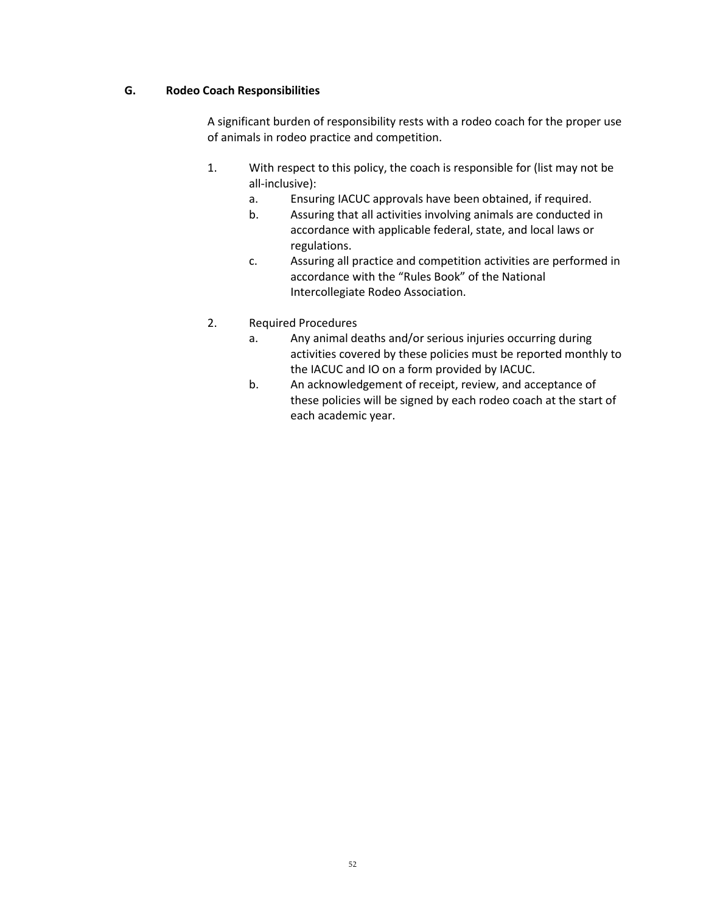#### **G. Rodeo Coach Responsibilities**

A significant burden of responsibility rests with a rodeo coach for the proper use of animals in rodeo practice and competition.

- 1. With respect to this policy, the coach is responsible for (list may not be all-inclusive):
	- a. Ensuring IACUC approvals have been obtained, if required.
	- b. Assuring that all activities involving animals are conducted in accordance with applicable federal, state, and local laws or regulations.
	- c. Assuring all practice and competition activities are performed in accordance with the "Rules Book" of the National Intercollegiate Rodeo Association.
- 2. Required Procedures
	- a. Any animal deaths and/or serious injuries occurring during activities covered by these policies must be reported monthly to the IACUC and IO on a form provided by IACUC.
	- b. An acknowledgement of receipt, review, and acceptance of these policies will be signed by each rodeo coach at the start of each academic year.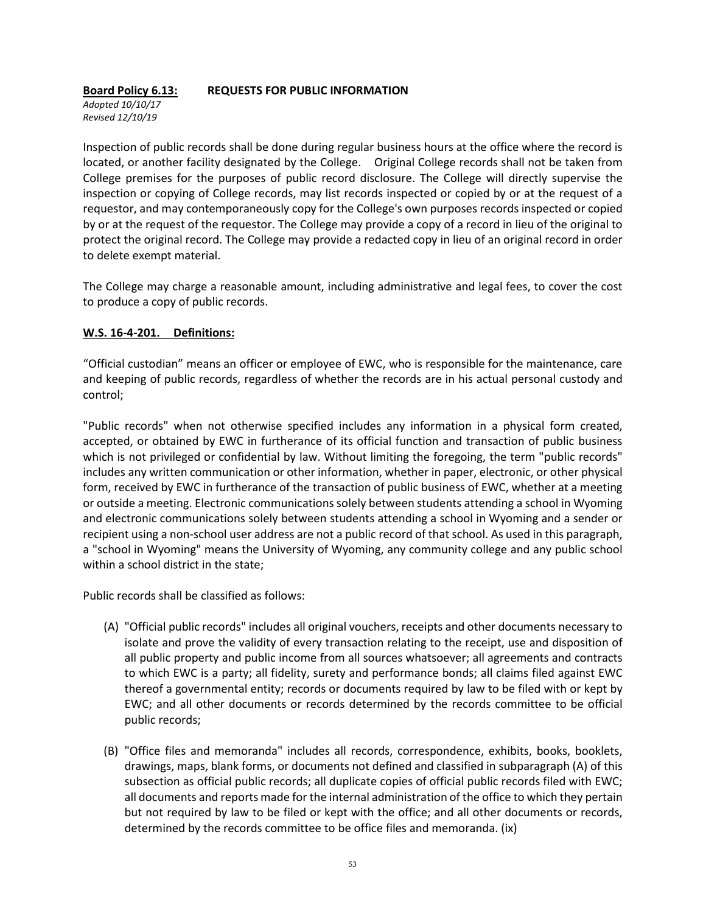## **Board Policy 6.13: REQUESTS FOR PUBLIC INFORMATION**

*Adopted 10/10/17 Revised 12/10/19*

Inspection of public records shall be done during regular business hours at the office where the record is located, or another facility designated by the College. Original College records shall not be taken from College premises for the purposes of public record disclosure. The College will directly supervise the inspection or copying of College records, may list records inspected or copied by or at the request of a requestor, and may contemporaneously copy for the College's own purposes records inspected or copied by or at the request of the requestor. The College may provide a copy of a record in lieu of the original to protect the original record. The College may provide a redacted copy in lieu of an original record in order to delete exempt material.

The College may charge a reasonable amount, including administrative and legal fees, to cover the cost to produce a copy of public records.

#### **W.S. 16-4-201. Definitions:**

"Official custodian" means an officer or employee of EWC, who is responsible for the maintenance, care and keeping of public records, regardless of whether the records are in his actual personal custody and control;

"Public records" when not otherwise specified includes any information in a physical form created, accepted, or obtained by EWC in furtherance of its official function and transaction of public business which is not privileged or confidential by law. Without limiting the foregoing, the term "public records" includes any written communication or other information, whether in paper, electronic, or other physical form, received by EWC in furtherance of the transaction of public business of EWC, whether at a meeting or outside a meeting. Electronic communications solely between students attending a school in Wyoming and electronic communications solely between students attending a school in Wyoming and a sender or recipient using a non-school user address are not a public record of that school. As used in this paragraph, a "school in Wyoming" means the University of Wyoming, any community college and any public school within a school district in the state;

Public records shall be classified as follows:

- (A) "Official public records" includes all original vouchers, receipts and other documents necessary to isolate and prove the validity of every transaction relating to the receipt, use and disposition of all public property and public income from all sources whatsoever; all agreements and contracts to which EWC is a party; all fidelity, surety and performance bonds; all claims filed against EWC thereof a governmental entity; records or documents required by law to be filed with or kept by EWC; and all other documents or records determined by the records committee to be official public records;
- (B) "Office files and memoranda" includes all records, correspondence, exhibits, books, booklets, drawings, maps, blank forms, or documents not defined and classified in subparagraph (A) of this subsection as official public records; all duplicate copies of official public records filed with EWC; all documents and reports made for the internal administration of the office to which they pertain but not required by law to be filed or kept with the office; and all other documents or records, determined by the records committee to be office files and memoranda. (ix)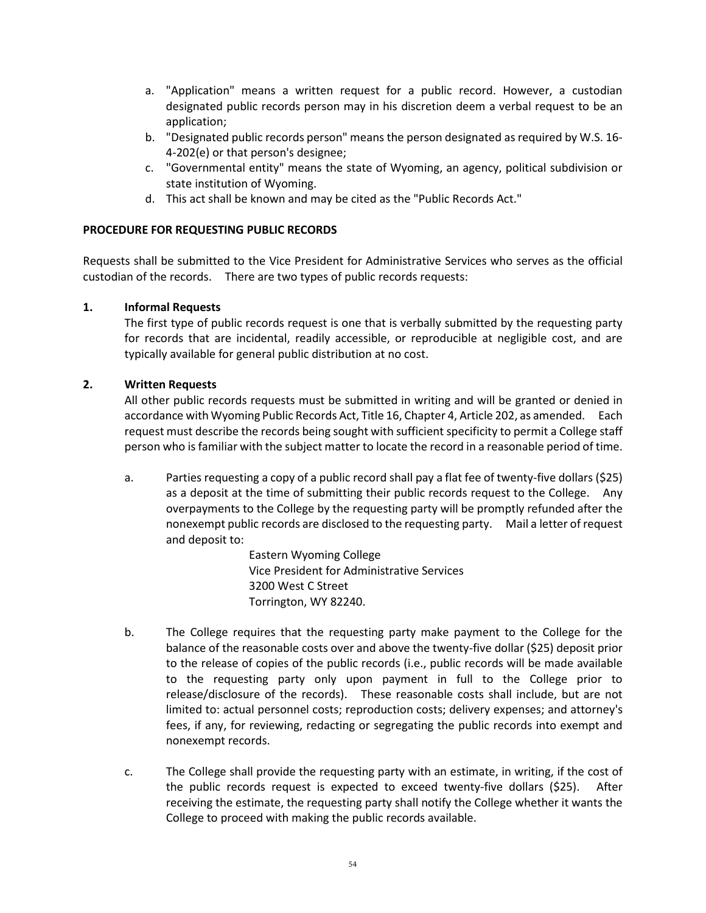- a. "Application" means a written request for a public record. However, a custodian designated public records person may in his discretion deem a verbal request to be an application;
- b. "Designated public records person" means the person designated as required by W.S. 16- 4-202(e) or that person's designee;
- c. "Governmental entity" means the state of Wyoming, an agency, political subdivision or state institution of Wyoming.
- d. This act shall be known and may be cited as the "Public Records Act."

#### **PROCEDURE FOR REQUESTING PUBLIC RECORDS**

Requests shall be submitted to the Vice President for Administrative Services who serves as the official custodian of the records. There are two types of public records requests:

#### **1. Informal Requests**

The first type of public records request is one that is verbally submitted by the requesting party for records that are incidental, readily accessible, or reproducible at negligible cost, and are typically available for general public distribution at no cost.

#### **2. Written Requests**

All other public records requests must be submitted in writing and will be granted or denied in accordance with Wyoming Public Records Act, Title 16, Chapter 4, Article 202, as amended. Each request must describe the records being sought with sufficient specificity to permit a College staff person who is familiar with the subject matter to locate the record in a reasonable period of time.

a. Parties requesting a copy of a public record shall pay a flat fee of twenty-five dollars (\$25) as a deposit at the time of submitting their public records request to the College. Any overpayments to the College by the requesting party will be promptly refunded after the nonexempt public records are disclosed to the requesting party. Mail a letter of request and deposit to:

> Eastern Wyoming College Vice President for Administrative Services 3200 West C Street Torrington, WY 82240.

- b. The College requires that the requesting party make payment to the College for the balance of the reasonable costs over and above the twenty-five dollar (\$25) deposit prior to the release of copies of the public records (i.e., public records will be made available to the requesting party only upon payment in full to the College prior to release/disclosure of the records). These reasonable costs shall include, but are not limited to: actual personnel costs; reproduction costs; delivery expenses; and attorney's fees, if any, for reviewing, redacting or segregating the public records into exempt and nonexempt records.
- c. The College shall provide the requesting party with an estimate, in writing, if the cost of the public records request is expected to exceed twenty-five dollars (\$25). After receiving the estimate, the requesting party shall notify the College whether it wants the College to proceed with making the public records available.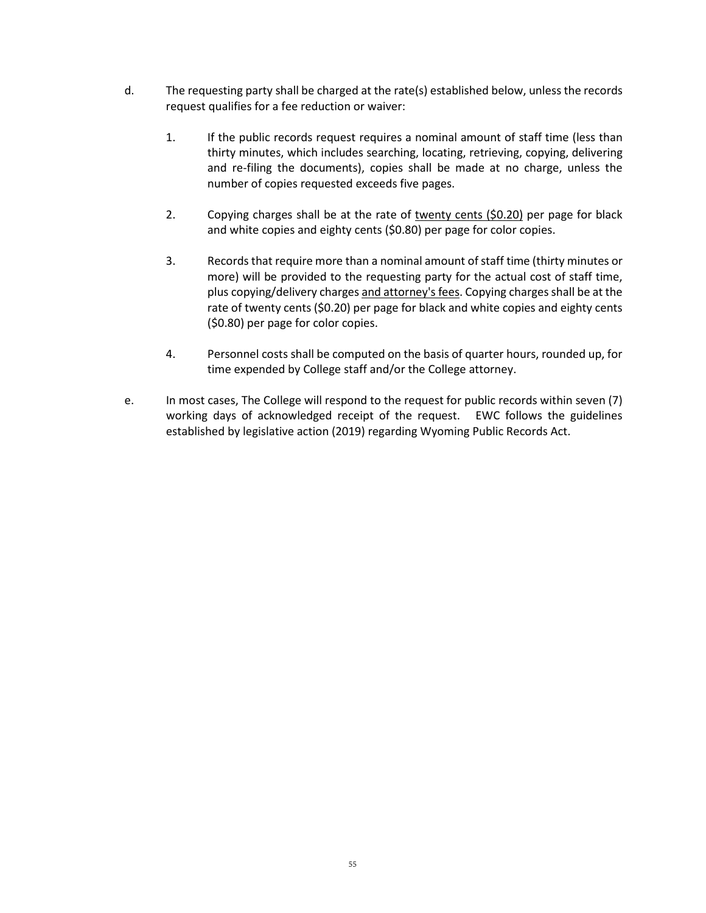- d. The requesting party shall be charged at the rate(s) established below, unless the records request qualifies for a fee reduction or waiver:
	- 1. If the public records request requires a nominal amount of staff time (less than thirty minutes, which includes searching, locating, retrieving, copying, delivering and re-filing the documents), copies shall be made at no charge, unless the number of copies requested exceeds five pages.
	- 2. Copying charges shall be at the rate of twenty cents (\$0.20) per page for black and white copies and eighty cents (\$0.80) per page for color copies.
	- 3. Records that require more than a nominal amount of staff time (thirty minutes or more) will be provided to the requesting party for the actual cost of staff time, plus copying/delivery charges and attorney's fees. Copying charges shall be at the rate of twenty cents (\$0.20) per page for black and white copies and eighty cents (\$0.80) per page for color copies.
	- 4. Personnel costs shall be computed on the basis of quarter hours, rounded up, for time expended by College staff and/or the College attorney.
- e. In most cases, The College will respond to the request for public records within seven (7) working days of acknowledged receipt of the request. EWC follows the guidelines established by legislative action (2019) regarding Wyoming Public Records Act.